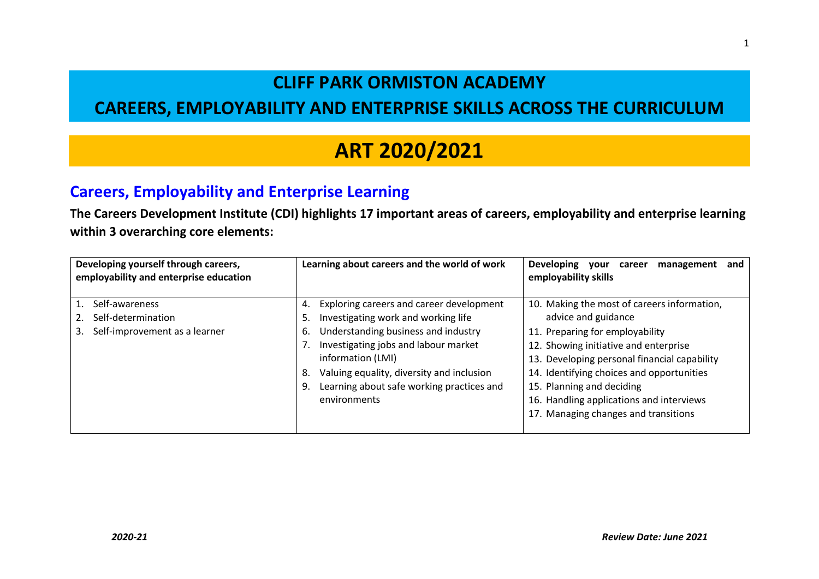### **CLIFF PARK ORMISTON ACADEMY**

### **CAREERS, EMPLOYABILITY AND ENTERPRISE SKILLS ACROSS THE CURRICULUM**

## **ART 2020/2021**

#### **Careers, Employability and Enterprise Learning**

**The Careers Development Institute (CDI) highlights 17 important areas of careers, employability and enterprise learning within 3 overarching core elements:** 

| Developing yourself through careers,<br>employability and enterprise education | Learning about careers and the world of work    | <b>Developing</b><br>management<br>career<br>and<br>vour<br>employability skills |
|--------------------------------------------------------------------------------|-------------------------------------------------|----------------------------------------------------------------------------------|
| Self-awareness                                                                 | Exploring careers and career development<br>4.  | 10. Making the most of careers information,                                      |
| Self-determination                                                             | Investigating work and working life<br>5.       | advice and guidance                                                              |
| Self-improvement as a learner                                                  | Understanding business and industry<br>6.       | 11. Preparing for employability                                                  |
|                                                                                | Investigating jobs and labour market            | 12. Showing initiative and enterprise                                            |
|                                                                                | information (LMI)                               | 13. Developing personal financial capability                                     |
|                                                                                | Valuing equality, diversity and inclusion<br>8. | 14. Identifying choices and opportunities                                        |
|                                                                                | Learning about safe working practices and<br>9. | 15. Planning and deciding                                                        |
|                                                                                | environments                                    | 16. Handling applications and interviews                                         |
|                                                                                |                                                 | 17. Managing changes and transitions                                             |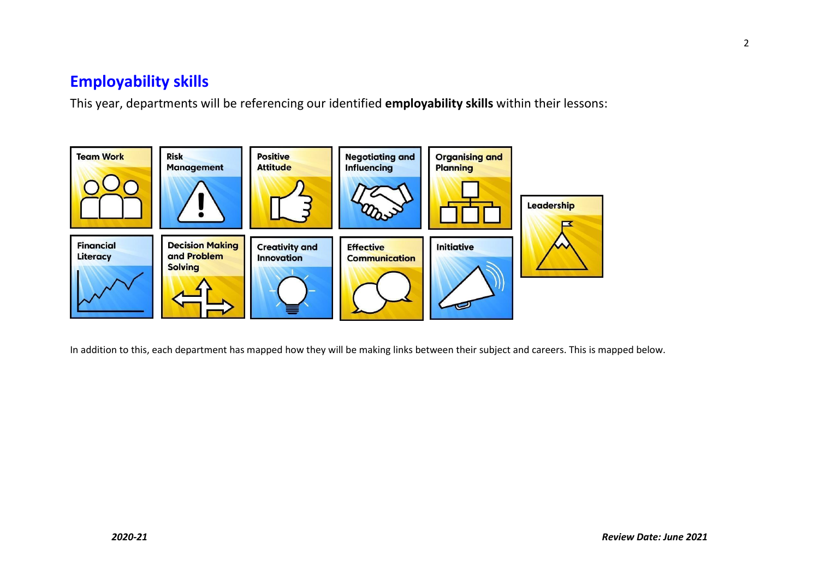#### **Employability skills**

This year, departments will be referencing our identified **employability skills** within their lessons:



In addition to this, each department has mapped how they will be making links between their subject and careers. This is mapped below.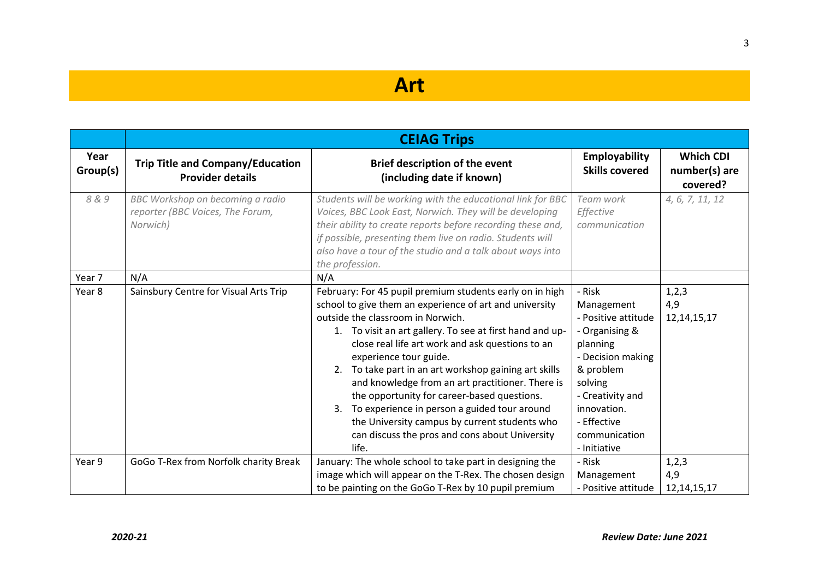### **Art**

|                  | <b>CEIAG Trips</b>                                                               |                                                                                                                                                                                                                                                                                                                                                                                                                                                                                                                                                                                                                                  |                                                                                                                                                                                                           |                                               |
|------------------|----------------------------------------------------------------------------------|----------------------------------------------------------------------------------------------------------------------------------------------------------------------------------------------------------------------------------------------------------------------------------------------------------------------------------------------------------------------------------------------------------------------------------------------------------------------------------------------------------------------------------------------------------------------------------------------------------------------------------|-----------------------------------------------------------------------------------------------------------------------------------------------------------------------------------------------------------|-----------------------------------------------|
| Year<br>Group(s) | <b>Trip Title and Company/Education</b><br><b>Provider details</b>               | <b>Brief description of the event</b><br>(including date if known)                                                                                                                                                                                                                                                                                                                                                                                                                                                                                                                                                               | Employability<br><b>Skills covered</b>                                                                                                                                                                    | <b>Which CDI</b><br>number(s) are<br>covered? |
| 8&9              | BBC Workshop on becoming a radio<br>reporter (BBC Voices, The Forum,<br>Norwich) | Students will be working with the educational link for BBC<br>Voices, BBC Look East, Norwich. They will be developing<br>their ability to create reports before recording these and,<br>if possible, presenting them live on radio. Students will<br>also have a tour of the studio and a talk about ways into<br>the profession.                                                                                                                                                                                                                                                                                                | Team work<br>Effective<br>communication                                                                                                                                                                   | 4, 6, 7, 11, 12                               |
| Year 7           | N/A                                                                              | N/A                                                                                                                                                                                                                                                                                                                                                                                                                                                                                                                                                                                                                              |                                                                                                                                                                                                           |                                               |
| Year 8           | Sainsbury Centre for Visual Arts Trip                                            | February: For 45 pupil premium students early on in high<br>school to give them an experience of art and university<br>outside the classroom in Norwich.<br>1. To visit an art gallery. To see at first hand and up-<br>close real life art work and ask questions to an<br>experience tour guide.<br>2. To take part in an art workshop gaining art skills<br>and knowledge from an art practitioner. There is<br>the opportunity for career-based questions.<br>To experience in person a guided tour around<br>3.<br>the University campus by current students who<br>can discuss the pros and cons about University<br>life. | - Risk<br>Management<br>- Positive attitude<br>- Organising &<br>planning<br>- Decision making<br>& problem<br>solving<br>- Creativity and<br>innovation.<br>- Effective<br>communication<br>- Initiative | 1,2,3<br>4,9<br>12, 14, 15, 17                |
| Year 9           | GoGo T-Rex from Norfolk charity Break                                            | January: The whole school to take part in designing the<br>image which will appear on the T-Rex. The chosen design<br>to be painting on the GoGo T-Rex by 10 pupil premium                                                                                                                                                                                                                                                                                                                                                                                                                                                       | - Risk<br>Management<br>- Positive attitude                                                                                                                                                               | 1, 2, 3<br>4,9<br>12, 14, 15, 17              |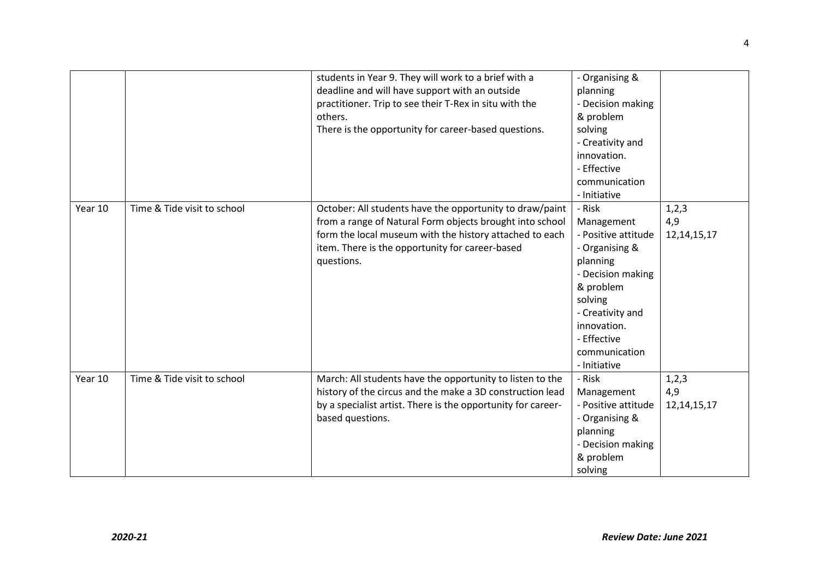|         |                             | students in Year 9. They will work to a brief with a<br>deadline and will have support with an outside<br>practitioner. Trip to see their T-Rex in situ with the<br>others.<br>There is the opportunity for career-based questions.              | - Organising &<br>planning<br>- Decision making<br>& problem<br>solving<br>- Creativity and<br>innovation.<br>- Effective<br>communication<br>- Initiative                                                |                                  |
|---------|-----------------------------|--------------------------------------------------------------------------------------------------------------------------------------------------------------------------------------------------------------------------------------------------|-----------------------------------------------------------------------------------------------------------------------------------------------------------------------------------------------------------|----------------------------------|
| Year 10 | Time & Tide visit to school | October: All students have the opportunity to draw/paint<br>from a range of Natural Form objects brought into school<br>form the local museum with the history attached to each<br>item. There is the opportunity for career-based<br>questions. | - Risk<br>Management<br>- Positive attitude<br>- Organising &<br>planning<br>- Decision making<br>& problem<br>solving<br>- Creativity and<br>innovation.<br>- Effective<br>communication<br>- Initiative | 1, 2, 3<br>4,9<br>12, 14, 15, 17 |
| Year 10 | Time & Tide visit to school | March: All students have the opportunity to listen to the<br>history of the circus and the make a 3D construction lead<br>by a specialist artist. There is the opportunity for career-<br>based questions.                                       | - Risk<br>Management<br>- Positive attitude<br>- Organising &<br>planning<br>- Decision making<br>& problem<br>solving                                                                                    | 1,2,3<br>4,9<br>12, 14, 15, 17   |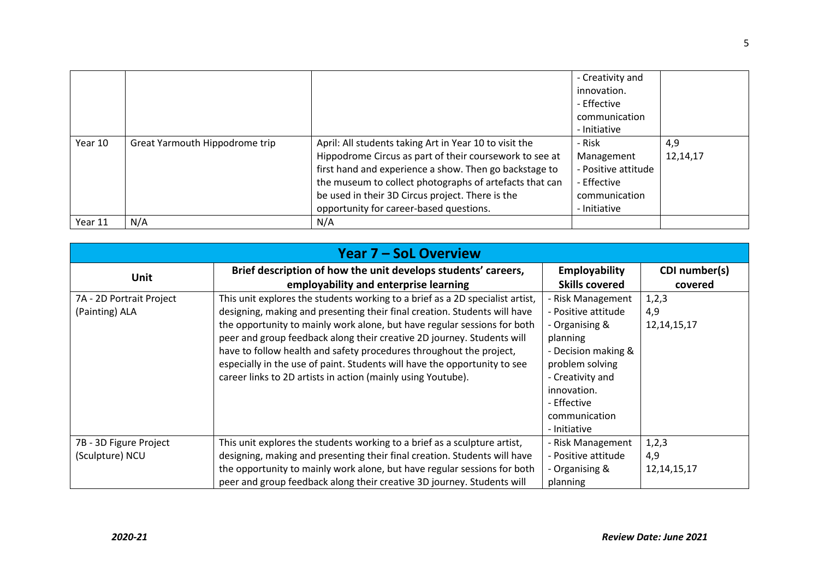|         |                                |                                                                                                                                                                                                                                                                                                                                       | - Creativity and<br>innovation.<br>- Effective<br>communication<br>- Initiative             |                 |
|---------|--------------------------------|---------------------------------------------------------------------------------------------------------------------------------------------------------------------------------------------------------------------------------------------------------------------------------------------------------------------------------------|---------------------------------------------------------------------------------------------|-----------------|
| Year 10 | Great Yarmouth Hippodrome trip | April: All students taking Art in Year 10 to visit the<br>Hippodrome Circus as part of their coursework to see at<br>first hand and experience a show. Then go backstage to<br>the museum to collect photographs of artefacts that can<br>be used in their 3D Circus project. There is the<br>opportunity for career-based questions. | - Risk<br>Management<br>- Positive attitude<br>- Effective<br>communication<br>- Initiative | 4,9<br>12,14,17 |
| Year 11 | N/A                            | N/A                                                                                                                                                                                                                                                                                                                                   |                                                                                             |                 |

| <b>Year 7 - SoL Overview</b> |                                                                               |                       |                |  |
|------------------------------|-------------------------------------------------------------------------------|-----------------------|----------------|--|
| <b>Unit</b>                  | Brief description of how the unit develops students' careers,                 | Employability         | CDI number(s)  |  |
|                              | employability and enterprise learning                                         | <b>Skills covered</b> | covered        |  |
| 7A - 2D Portrait Project     | This unit explores the students working to a brief as a 2D specialist artist, | - Risk Management     | 1,2,3          |  |
| (Painting) ALA               | designing, making and presenting their final creation. Students will have     | - Positive attitude   | 4,9            |  |
|                              | the opportunity to mainly work alone, but have regular sessions for both      | - Organising &        | 12, 14, 15, 17 |  |
|                              | peer and group feedback along their creative 2D journey. Students will        | planning              |                |  |
|                              | have to follow health and safety procedures throughout the project,           | - Decision making &   |                |  |
|                              | especially in the use of paint. Students will have the opportunity to see     | problem solving       |                |  |
|                              | career links to 2D artists in action (mainly using Youtube).                  | - Creativity and      |                |  |
|                              |                                                                               | innovation.           |                |  |
|                              |                                                                               | - Effective           |                |  |
|                              |                                                                               | communication         |                |  |
|                              |                                                                               | - Initiative          |                |  |
| 7B - 3D Figure Project       | This unit explores the students working to a brief as a sculpture artist,     | - Risk Management     | 1,2,3          |  |
| (Sculpture) NCU              | designing, making and presenting their final creation. Students will have     | - Positive attitude   | 4,9            |  |
|                              | the opportunity to mainly work alone, but have regular sessions for both      | - Organising &        | 12, 14, 15, 17 |  |
|                              | peer and group feedback along their creative 3D journey. Students will        | planning              |                |  |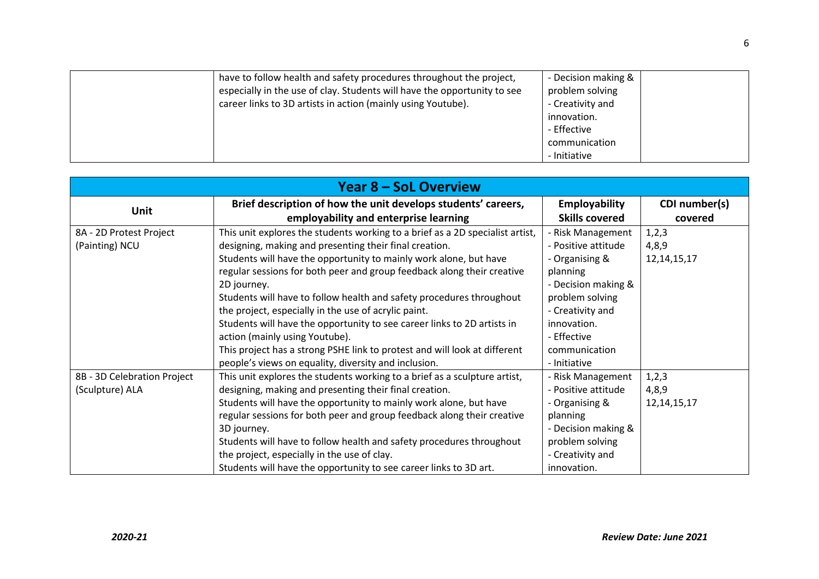| have to follow health and safety procedures throughout the project,      | - Decision making & |
|--------------------------------------------------------------------------|---------------------|
| especially in the use of clay. Students will have the opportunity to see | problem solving     |
| career links to 3D artists in action (mainly using Youtube).             | - Creativity and    |
|                                                                          | innovation.         |
|                                                                          | - Effective         |
|                                                                          | communication       |
|                                                                          | - Initiative        |

| <b>Year 8 - SoL Overview</b> |                                                                               |                       |                |  |
|------------------------------|-------------------------------------------------------------------------------|-----------------------|----------------|--|
| Unit                         | Brief description of how the unit develops students' careers,                 | <b>Employability</b>  | CDI number(s)  |  |
|                              | employability and enterprise learning                                         | <b>Skills covered</b> | covered        |  |
| 8A - 2D Protest Project      | This unit explores the students working to a brief as a 2D specialist artist, | - Risk Management     | 1,2,3          |  |
| (Painting) NCU               | designing, making and presenting their final creation.                        | - Positive attitude   | 4,8,9          |  |
|                              | Students will have the opportunity to mainly work alone, but have             | - Organising &        | 12, 14, 15, 17 |  |
|                              | regular sessions for both peer and group feedback along their creative        | planning              |                |  |
|                              | 2D journey.                                                                   | - Decision making &   |                |  |
|                              | Students will have to follow health and safety procedures throughout          | problem solving       |                |  |
|                              | the project, especially in the use of acrylic paint.                          | - Creativity and      |                |  |
|                              | Students will have the opportunity to see career links to 2D artists in       | innovation.           |                |  |
|                              | action (mainly using Youtube).                                                | - Effective           |                |  |
|                              | This project has a strong PSHE link to protest and will look at different     | communication         |                |  |
|                              | people's views on equality, diversity and inclusion.                          | - Initiative          |                |  |
| 8B - 3D Celebration Project  | This unit explores the students working to a brief as a sculpture artist,     | - Risk Management     | 1,2,3          |  |
| (Sculpture) ALA              | designing, making and presenting their final creation.                        | - Positive attitude   | 4,8,9          |  |
|                              | Students will have the opportunity to mainly work alone, but have             | - Organising &        | 12, 14, 15, 17 |  |
|                              | regular sessions for both peer and group feedback along their creative        | planning              |                |  |
|                              | 3D journey.                                                                   | - Decision making &   |                |  |
|                              | Students will have to follow health and safety procedures throughout          | problem solving       |                |  |
|                              | the project, especially in the use of clay.                                   | - Creativity and      |                |  |
|                              | Students will have the opportunity to see career links to 3D art.             | innovation.           |                |  |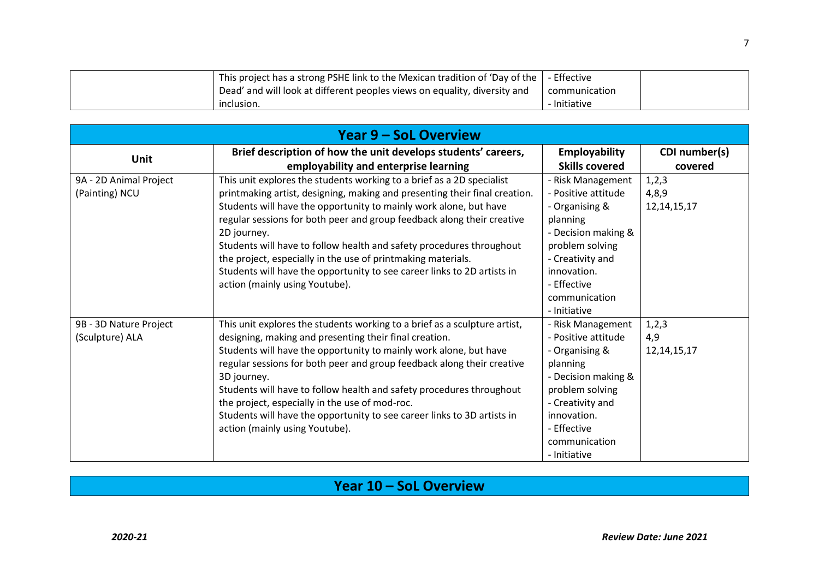| This project has a strong PSHE link to the Mexican tradition of 'Day of the $\vert$ - Effective |               |  |
|-------------------------------------------------------------------------------------------------|---------------|--|
| Dead' and will look at different peoples views on equality, diversity and                       | communication |  |
| inclusion.                                                                                      | - Initiative  |  |

| <b>Year 9 - SoL Overview</b>              |                                                                                                                                                                                                                                                                                                                                                                                                                                                                                                                                                                        |                                                                                                                                                                                                     |                                  |  |
|-------------------------------------------|------------------------------------------------------------------------------------------------------------------------------------------------------------------------------------------------------------------------------------------------------------------------------------------------------------------------------------------------------------------------------------------------------------------------------------------------------------------------------------------------------------------------------------------------------------------------|-----------------------------------------------------------------------------------------------------------------------------------------------------------------------------------------------------|----------------------------------|--|
| Unit                                      | Brief description of how the unit develops students' careers,<br>employability and enterprise learning                                                                                                                                                                                                                                                                                                                                                                                                                                                                 | Employability<br><b>Skills covered</b>                                                                                                                                                              | CDI number(s)<br>covered         |  |
| 9A - 2D Animal Project<br>(Painting) NCU  | This unit explores the students working to a brief as a 2D specialist<br>printmaking artist, designing, making and presenting their final creation.<br>Students will have the opportunity to mainly work alone, but have<br>regular sessions for both peer and group feedback along their creative<br>2D journey.<br>Students will have to follow health and safety procedures throughout<br>the project, especially in the use of printmaking materials.<br>Students will have the opportunity to see career links to 2D artists in<br>action (mainly using Youtube). | - Risk Management<br>- Positive attitude<br>- Organising &<br>planning<br>- Decision making &<br>problem solving<br>- Creativity and<br>innovation.<br>- Effective<br>communication<br>- Initiative | 1,2,3<br>4,8,9<br>12, 14, 15, 17 |  |
| 9B - 3D Nature Project<br>(Sculpture) ALA | This unit explores the students working to a brief as a sculpture artist,<br>designing, making and presenting their final creation.<br>Students will have the opportunity to mainly work alone, but have<br>regular sessions for both peer and group feedback along their creative<br>3D journey.<br>Students will have to follow health and safety procedures throughout<br>the project, especially in the use of mod-roc.<br>Students will have the opportunity to see career links to 3D artists in<br>action (mainly using Youtube).                               | - Risk Management<br>- Positive attitude<br>- Organising &<br>planning<br>- Decision making &<br>problem solving<br>- Creativity and<br>innovation.<br>- Effective<br>communication<br>- Initiative | 1,2,3<br>4,9<br>12, 14, 15, 17   |  |

### **Year 10 – SoL Overview**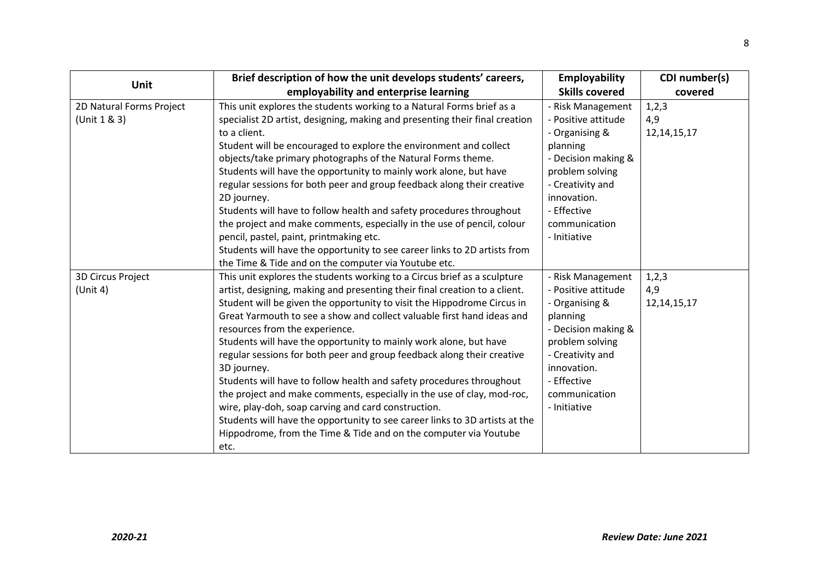|                          | Brief description of how the unit develops students' careers,               | Employability         | CDI number(s)  |
|--------------------------|-----------------------------------------------------------------------------|-----------------------|----------------|
| Unit                     | employability and enterprise learning                                       | <b>Skills covered</b> | covered        |
| 2D Natural Forms Project | This unit explores the students working to a Natural Forms brief as a       | - Risk Management     | 1,2,3          |
| (Unit 1 & 3)             | specialist 2D artist, designing, making and presenting their final creation | - Positive attitude   | 4,9            |
|                          | to a client.                                                                | - Organising &        | 12, 14, 15, 17 |
|                          | Student will be encouraged to explore the environment and collect           | planning              |                |
|                          | objects/take primary photographs of the Natural Forms theme.                | - Decision making &   |                |
|                          | Students will have the opportunity to mainly work alone, but have           | problem solving       |                |
|                          | regular sessions for both peer and group feedback along their creative      | - Creativity and      |                |
|                          | 2D journey.                                                                 | innovation.           |                |
|                          | Students will have to follow health and safety procedures throughout        | - Effective           |                |
|                          | the project and make comments, especially in the use of pencil, colour      | communication         |                |
|                          | pencil, pastel, paint, printmaking etc.                                     | - Initiative          |                |
|                          | Students will have the opportunity to see career links to 2D artists from   |                       |                |
|                          | the Time & Tide and on the computer via Youtube etc.                        |                       |                |
| 3D Circus Project        | This unit explores the students working to a Circus brief as a sculpture    | - Risk Management     | 1,2,3          |
| (Unit 4)                 | artist, designing, making and presenting their final creation to a client.  | - Positive attitude   | 4,9            |
|                          | Student will be given the opportunity to visit the Hippodrome Circus in     | - Organising &        | 12, 14, 15, 17 |
|                          | Great Yarmouth to see a show and collect valuable first hand ideas and      | planning              |                |
|                          | resources from the experience.                                              | - Decision making &   |                |
|                          | Students will have the opportunity to mainly work alone, but have           | problem solving       |                |
|                          | regular sessions for both peer and group feedback along their creative      | - Creativity and      |                |
|                          | 3D journey.                                                                 | innovation.           |                |
|                          | Students will have to follow health and safety procedures throughout        | - Effective           |                |
|                          | the project and make comments, especially in the use of clay, mod-roc,      | communication         |                |
|                          | wire, play-doh, soap carving and card construction.                         | - Initiative          |                |
|                          | Students will have the opportunity to see career links to 3D artists at the |                       |                |
|                          | Hippodrome, from the Time & Tide and on the computer via Youtube            |                       |                |
|                          | etc.                                                                        |                       |                |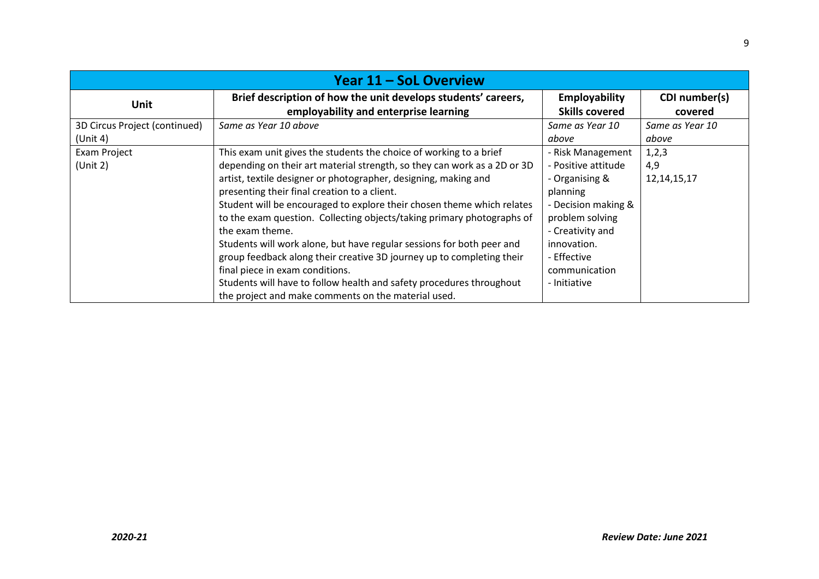| Year 11 – SoL Overview        |                                                                          |                       |                 |  |
|-------------------------------|--------------------------------------------------------------------------|-----------------------|-----------------|--|
| Unit                          | Brief description of how the unit develops students' careers,            | Employability         | CDI number(s)   |  |
|                               | employability and enterprise learning                                    | <b>Skills covered</b> | covered         |  |
| 3D Circus Project (continued) | Same as Year 10 above                                                    | Same as Year 10       | Same as Year 10 |  |
| (Unit 4)                      |                                                                          | above                 | above           |  |
| Exam Project                  | This exam unit gives the students the choice of working to a brief       | - Risk Management     | 1,2,3           |  |
| (Unit 2)                      | depending on their art material strength, so they can work as a 2D or 3D | - Positive attitude   | 4,9             |  |
|                               | artist, textile designer or photographer, designing, making and          | - Organising &        | 12, 14, 15, 17  |  |
|                               | presenting their final creation to a client.                             | planning              |                 |  |
|                               | Student will be encouraged to explore their chosen theme which relates   | - Decision making &   |                 |  |
|                               | to the exam question. Collecting objects/taking primary photographs of   | problem solving       |                 |  |
|                               | the exam theme.                                                          | - Creativity and      |                 |  |
|                               | Students will work alone, but have regular sessions for both peer and    | innovation.           |                 |  |
|                               | group feedback along their creative 3D journey up to completing their    | - Effective           |                 |  |
|                               | final piece in exam conditions.                                          | communication         |                 |  |
|                               | Students will have to follow health and safety procedures throughout     | - Initiative          |                 |  |
|                               | the project and make comments on the material used.                      |                       |                 |  |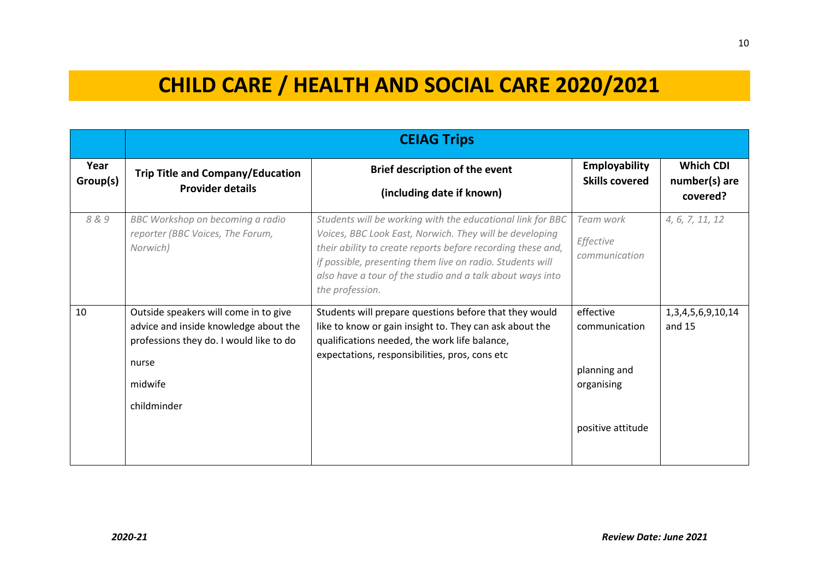## **CHILD CARE / HEALTH AND SOCIAL CARE 2020/2021**

|                  |                                                                                                                                                              | <b>CEIAG Trips</b>                                                                                                                                                                                                                                                                                                                |                                                                               |                                               |
|------------------|--------------------------------------------------------------------------------------------------------------------------------------------------------------|-----------------------------------------------------------------------------------------------------------------------------------------------------------------------------------------------------------------------------------------------------------------------------------------------------------------------------------|-------------------------------------------------------------------------------|-----------------------------------------------|
| Year<br>Group(s) | <b>Trip Title and Company/Education</b><br><b>Provider details</b>                                                                                           | <b>Brief description of the event</b><br>(including date if known)                                                                                                                                                                                                                                                                | <b>Employability</b><br><b>Skills covered</b>                                 | <b>Which CDI</b><br>number(s) are<br>covered? |
| 8&9              | BBC Workshop on becoming a radio<br>reporter (BBC Voices, The Forum,<br>Norwich)                                                                             | Students will be working with the educational link for BBC<br>Voices, BBC Look East, Norwich. They will be developing<br>their ability to create reports before recording these and,<br>if possible, presenting them live on radio. Students will<br>also have a tour of the studio and a talk about ways into<br>the profession. | Team work<br>Effective<br>communication                                       | 4, 6, 7, 11, 12                               |
| 10               | Outside speakers will come in to give<br>advice and inside knowledge about the<br>professions they do. I would like to do<br>nurse<br>midwife<br>childminder | Students will prepare questions before that they would<br>like to know or gain insight to. They can ask about the<br>qualifications needed, the work life balance,<br>expectations, responsibilities, pros, cons etc                                                                                                              | effective<br>communication<br>planning and<br>organising<br>positive attitude | 1, 3, 4, 5, 6, 9, 10, 14<br>and 15            |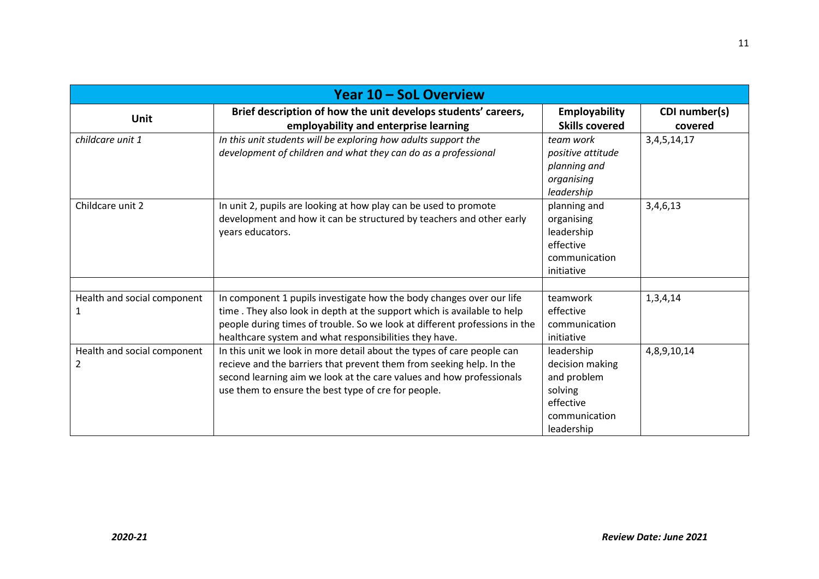|                                  | <b>Year 10 - SoL Overview</b>                                                                                                                                                                                                                                                           |                                                                                                     |                          |
|----------------------------------|-----------------------------------------------------------------------------------------------------------------------------------------------------------------------------------------------------------------------------------------------------------------------------------------|-----------------------------------------------------------------------------------------------------|--------------------------|
| Unit                             | Brief description of how the unit develops students' careers,<br>employability and enterprise learning                                                                                                                                                                                  | Employability<br><b>Skills covered</b>                                                              | CDI number(s)<br>covered |
| childcare unit 1                 | In this unit students will be exploring how adults support the<br>development of children and what they can do as a professional                                                                                                                                                        | team work<br>positive attitude<br>planning and<br>organising<br>leadership                          | 3, 4, 5, 14, 17          |
| Childcare unit 2                 | In unit 2, pupils are looking at how play can be used to promote<br>development and how it can be structured by teachers and other early<br>years educators.                                                                                                                            | planning and<br>organising<br>leadership<br>effective<br>communication<br>initiative                | 3,4,6,13                 |
| Health and social component      | In component 1 pupils investigate how the body changes over our life<br>time. They also look in depth at the support which is available to help<br>people during times of trouble. So we look at different professions in the<br>healthcare system and what responsibilities they have. | teamwork<br>effective<br>communication<br>initiative                                                | 1,3,4,14                 |
| Health and social component<br>2 | In this unit we look in more detail about the types of care people can<br>recieve and the barriers that prevent them from seeking help. In the<br>second learning aim we look at the care values and how professionals<br>use them to ensure the best type of cre for people.           | leadership<br>decision making<br>and problem<br>solving<br>effective<br>communication<br>leadership | 4,8,9,10,14              |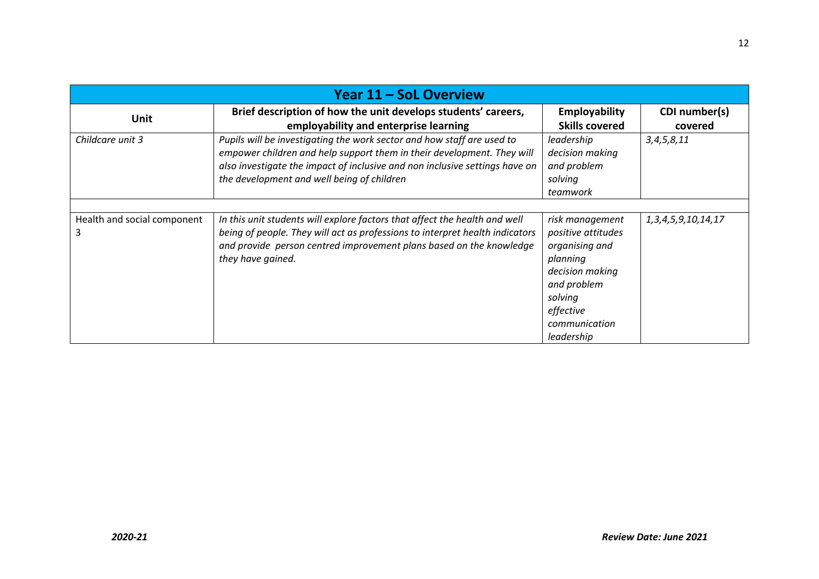| Year 11 - SoL Overview           |                                                                                                                                                                                                                                                                               |                                                                                                                                                              |                           |
|----------------------------------|-------------------------------------------------------------------------------------------------------------------------------------------------------------------------------------------------------------------------------------------------------------------------------|--------------------------------------------------------------------------------------------------------------------------------------------------------------|---------------------------|
| Unit                             | Brief description of how the unit develops students' careers,<br>employability and enterprise learning                                                                                                                                                                        | Employability<br><b>Skills covered</b>                                                                                                                       | CDI number(s)<br>covered  |
| Childcare unit 3                 | Pupils will be investigating the work sector and how staff are used to<br>empower children and help support them in their development. They will<br>also investigate the impact of inclusive and non inclusive settings have on<br>the development and well being of children | leadership<br>decision making<br>and problem<br>solving<br>teamwork                                                                                          | 3, 4, 5, 8, 11            |
| Health and social component<br>3 | In this unit students will explore factors that affect the health and well<br>being of people. They will act as professions to interpret health indicators<br>and provide person centred improvement plans based on the knowledge<br>they have gained.                        | risk management<br>positive attitudes<br>organising and<br>planning<br>decision making<br>and problem<br>solving<br>effective<br>communication<br>leadership | 1, 3, 4, 5, 9, 10, 14, 17 |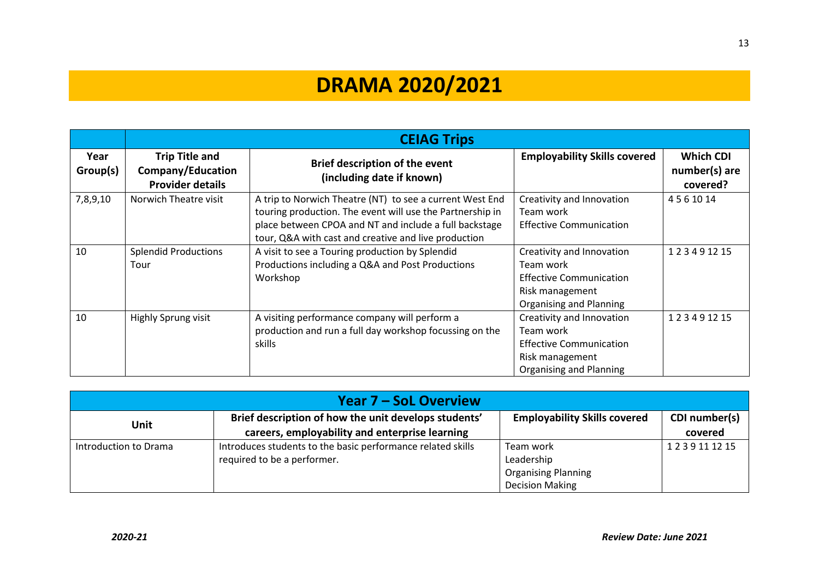# **DRAMA 2020/2021**

|                  |                                                                       | <b>CEIAG Trips</b>                                                                                                                                                                                                                      |                                                                                                                        |                                               |
|------------------|-----------------------------------------------------------------------|-----------------------------------------------------------------------------------------------------------------------------------------------------------------------------------------------------------------------------------------|------------------------------------------------------------------------------------------------------------------------|-----------------------------------------------|
| Year<br>Group(s) | <b>Trip Title and</b><br>Company/Education<br><b>Provider details</b> | <b>Brief description of the event</b><br>(including date if known)                                                                                                                                                                      | <b>Employability Skills covered</b>                                                                                    | <b>Which CDI</b><br>number(s) are<br>covered? |
| 7,8,9,10         | Norwich Theatre visit                                                 | A trip to Norwich Theatre (NT) to see a current West End<br>touring production. The event will use the Partnership in<br>place between CPOA and NT and include a full backstage<br>tour, Q&A with cast and creative and live production | Creativity and Innovation<br>Team work<br><b>Effective Communication</b>                                               | 4561014                                       |
| 10               | <b>Splendid Productions</b><br>Tour                                   | A visit to see a Touring production by Splendid<br>Productions including a Q&A and Post Productions<br>Workshop                                                                                                                         | Creativity and Innovation<br>Team work<br><b>Effective Communication</b><br>Risk management<br>Organising and Planning | 123491215                                     |
| 10               | Highly Sprung visit                                                   | A visiting performance company will perform a<br>production and run a full day workshop focussing on the<br>skills                                                                                                                      | Creativity and Innovation<br>Team work<br><b>Effective Communication</b><br>Risk management<br>Organising and Planning | 123491215                                     |

| <b>Year 7 – SoL Overview</b> |                                                             |                                     |                  |
|------------------------------|-------------------------------------------------------------|-------------------------------------|------------------|
|                              | Brief description of how the unit develops students'        | <b>Employability Skills covered</b> | CDI number(s)    |
| <b>Unit</b>                  | careers, employability and enterprise learning              |                                     | covered          |
| Introduction to Drama        | Introduces students to the basic performance related skills | Team work                           | 1 2 3 9 11 12 15 |
|                              | required to be a performer.                                 | Leadership                          |                  |
|                              |                                                             | <b>Organising Planning</b>          |                  |
|                              |                                                             | <b>Decision Making</b>              |                  |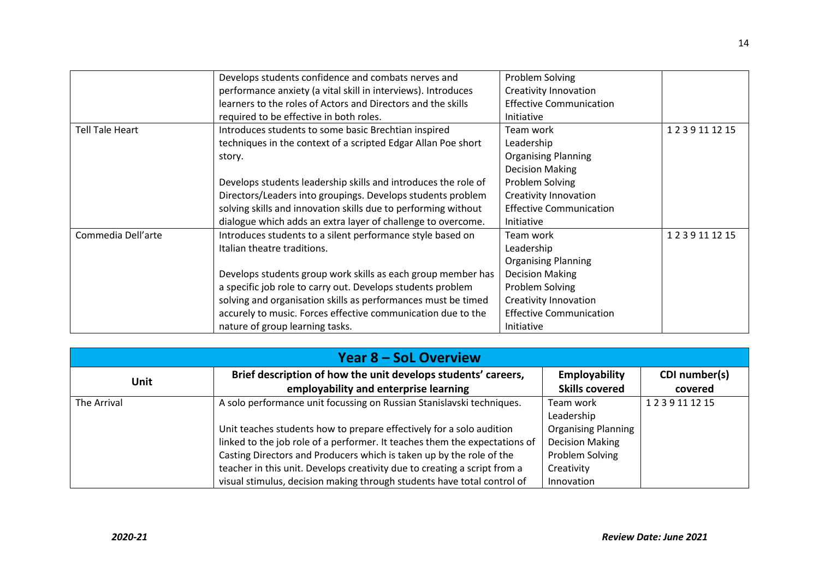|                    | Develops students confidence and combats nerves and            | Problem Solving                |            |
|--------------------|----------------------------------------------------------------|--------------------------------|------------|
|                    |                                                                |                                |            |
|                    | performance anxiety (a vital skill in interviews). Introduces  | <b>Creativity Innovation</b>   |            |
|                    | learners to the roles of Actors and Directors and the skills   | <b>Effective Communication</b> |            |
|                    | required to be effective in both roles.                        | <b>Initiative</b>              |            |
| Tell Tale Heart    | Introduces students to some basic Brechtian inspired           | Team work                      | 1239111215 |
|                    | techniques in the context of a scripted Edgar Allan Poe short  | Leadership                     |            |
|                    | story.                                                         | <b>Organising Planning</b>     |            |
|                    |                                                                | <b>Decision Making</b>         |            |
|                    | Develops students leadership skills and introduces the role of | Problem Solving                |            |
|                    | Directors/Leaders into groupings. Develops students problem    | <b>Creativity Innovation</b>   |            |
|                    | solving skills and innovation skills due to performing without | <b>Effective Communication</b> |            |
|                    | dialogue which adds an extra layer of challenge to overcome.   | <b>Initiative</b>              |            |
| Commedia Dell'arte | Introduces students to a silent performance style based on     | Team work                      | 1239111215 |
|                    | Italian theatre traditions.                                    | Leadership                     |            |
|                    |                                                                | <b>Organising Planning</b>     |            |
|                    | Develops students group work skills as each group member has   | <b>Decision Making</b>         |            |
|                    | a specific job role to carry out. Develops students problem    | Problem Solving                |            |
|                    | solving and organisation skills as performances must be timed  | <b>Creativity Innovation</b>   |            |
|                    | accurely to music. Forces effective communication due to the   | <b>Effective Communication</b> |            |
|                    | nature of group learning tasks.                                | Initiative                     |            |

| Year 8 – SoL Overview |                                                                                                        |                                        |                          |
|-----------------------|--------------------------------------------------------------------------------------------------------|----------------------------------------|--------------------------|
| <b>Unit</b>           | Brief description of how the unit develops students' careers,<br>employability and enterprise learning | Employability<br><b>Skills covered</b> | CDI number(s)<br>covered |
| The Arrival           | A solo performance unit focussing on Russian Stanislavski techniques.                                  | Team work<br>Leadership                | 1239111215               |
|                       | Unit teaches students how to prepare effectively for a solo audition                                   | <b>Organising Planning</b>             |                          |
|                       | linked to the job role of a performer. It teaches them the expectations of                             | <b>Decision Making</b>                 |                          |
|                       | Casting Directors and Producers which is taken up by the role of the                                   | Problem Solving                        |                          |
|                       | teacher in this unit. Develops creativity due to creating a script from a                              | Creativity                             |                          |
|                       | visual stimulus, decision making through students have total control of                                | Innovation                             |                          |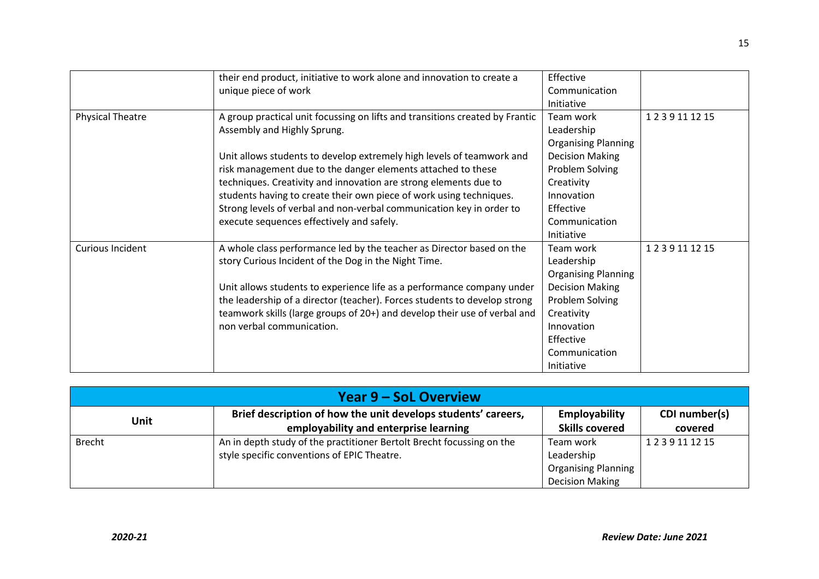|                         | their end product, initiative to work alone and innovation to create a       | Effective                  |            |
|-------------------------|------------------------------------------------------------------------------|----------------------------|------------|
|                         | unique piece of work                                                         | Communication              |            |
|                         |                                                                              |                            |            |
|                         |                                                                              | Initiative                 |            |
| <b>Physical Theatre</b> | A group practical unit focussing on lifts and transitions created by Frantic | Team work                  | 1239111215 |
|                         | Assembly and Highly Sprung.                                                  | Leadership                 |            |
|                         |                                                                              | <b>Organising Planning</b> |            |
|                         | Unit allows students to develop extremely high levels of teamwork and        | <b>Decision Making</b>     |            |
|                         | risk management due to the danger elements attached to these                 | Problem Solving            |            |
|                         | techniques. Creativity and innovation are strong elements due to             | Creativity                 |            |
|                         | students having to create their own piece of work using techniques.          | Innovation                 |            |
|                         | Strong levels of verbal and non-verbal communication key in order to         | Effective                  |            |
|                         | execute sequences effectively and safely.                                    | Communication              |            |
|                         |                                                                              | Initiative                 |            |
| <b>Curious Incident</b> | A whole class performance led by the teacher as Director based on the        | Team work                  | 1239111215 |
|                         | story Curious Incident of the Dog in the Night Time.                         | Leadership                 |            |
|                         |                                                                              | <b>Organising Planning</b> |            |
|                         | Unit allows students to experience life as a performance company under       | <b>Decision Making</b>     |            |
|                         | the leadership of a director (teacher). Forces students to develop strong    | Problem Solving            |            |
|                         | teamwork skills (large groups of 20+) and develop their use of verbal and    | Creativity                 |            |
|                         | non verbal communication.                                                    | Innovation                 |            |
|                         |                                                                              | Effective                  |            |
|                         |                                                                              | Communication              |            |
|                         |                                                                              | Initiative                 |            |

| Year 9 – SoL Overview |                                                                       |                            |               |
|-----------------------|-----------------------------------------------------------------------|----------------------------|---------------|
| Unit                  | Brief description of how the unit develops students' careers,         | <b>Employability</b>       | CDI number(s) |
|                       | employability and enterprise learning                                 | <b>Skills covered</b>      | covered       |
| Brecht                | An in depth study of the practitioner Bertolt Brecht focussing on the | Team work                  | 1239111215    |
|                       | style specific conventions of EPIC Theatre.                           | Leadership                 |               |
|                       |                                                                       | <b>Organising Planning</b> |               |
|                       |                                                                       | <b>Decision Making</b>     |               |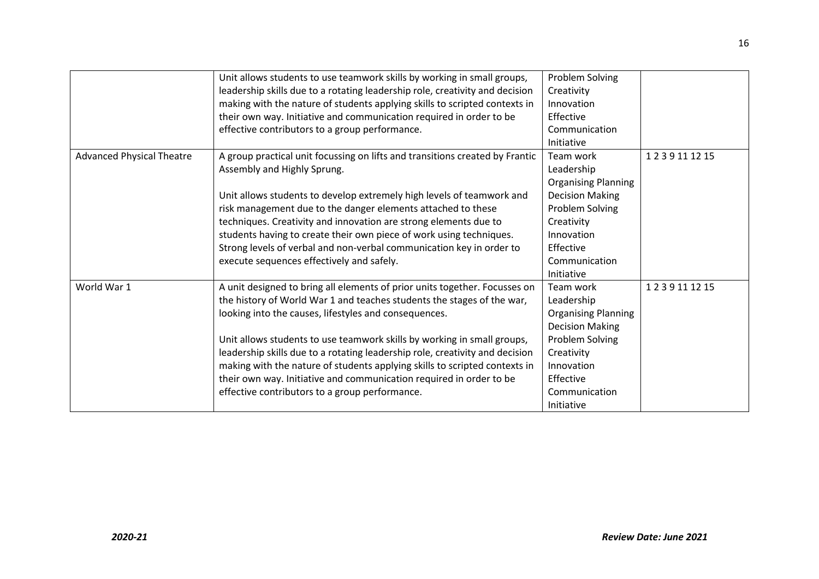|                                  | Unit allows students to use teamwork skills by working in small groups,<br>leadership skills due to a rotating leadership role, creativity and decision | Problem Solving<br>Creativity |            |
|----------------------------------|---------------------------------------------------------------------------------------------------------------------------------------------------------|-------------------------------|------------|
|                                  | making with the nature of students applying skills to scripted contexts in                                                                              | Innovation                    |            |
|                                  | their own way. Initiative and communication required in order to be                                                                                     | Effective                     |            |
|                                  | effective contributors to a group performance.                                                                                                          | Communication                 |            |
|                                  |                                                                                                                                                         | Initiative                    |            |
| <b>Advanced Physical Theatre</b> | A group practical unit focussing on lifts and transitions created by Frantic                                                                            | Team work                     | 1239111215 |
|                                  | Assembly and Highly Sprung.                                                                                                                             | Leadership                    |            |
|                                  |                                                                                                                                                         | <b>Organising Planning</b>    |            |
|                                  | Unit allows students to develop extremely high levels of teamwork and                                                                                   | <b>Decision Making</b>        |            |
|                                  | risk management due to the danger elements attached to these                                                                                            | Problem Solving               |            |
|                                  | techniques. Creativity and innovation are strong elements due to                                                                                        | Creativity                    |            |
|                                  | students having to create their own piece of work using techniques.                                                                                     | Innovation                    |            |
|                                  | Strong levels of verbal and non-verbal communication key in order to                                                                                    | Effective                     |            |
|                                  | execute sequences effectively and safely.                                                                                                               | Communication                 |            |
|                                  |                                                                                                                                                         | Initiative                    |            |
| World War 1                      | A unit designed to bring all elements of prior units together. Focusses on                                                                              | Team work                     | 1239111215 |
|                                  | the history of World War 1 and teaches students the stages of the war,                                                                                  | Leadership                    |            |
|                                  | looking into the causes, lifestyles and consequences.                                                                                                   | <b>Organising Planning</b>    |            |
|                                  |                                                                                                                                                         | <b>Decision Making</b>        |            |
|                                  | Unit allows students to use teamwork skills by working in small groups,                                                                                 | Problem Solving               |            |
|                                  | leadership skills due to a rotating leadership role, creativity and decision                                                                            | Creativity                    |            |
|                                  | making with the nature of students applying skills to scripted contexts in                                                                              | Innovation                    |            |
|                                  | their own way. Initiative and communication required in order to be                                                                                     | Effective                     |            |
|                                  | effective contributors to a group performance.                                                                                                          | Communication                 |            |
|                                  |                                                                                                                                                         | Initiative                    |            |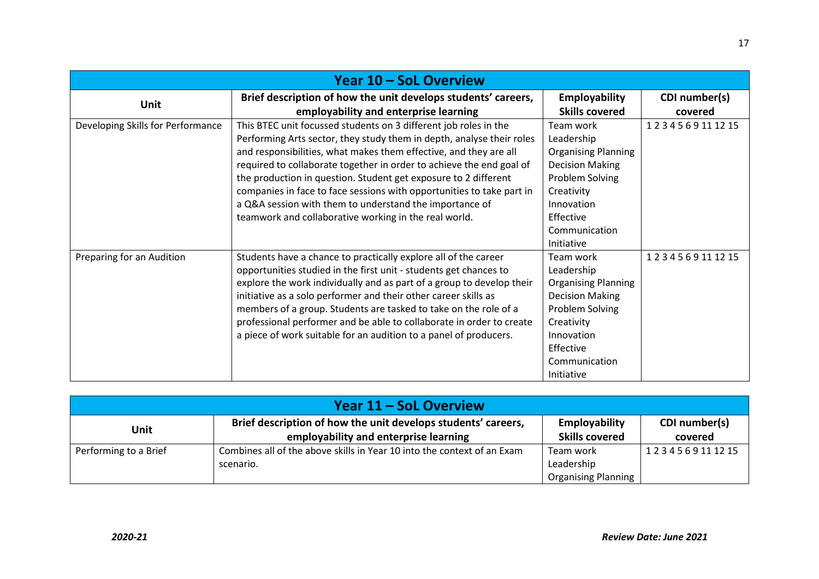| Year 10 - SoL Overview            |                                                                                                                                                                                                                                                                                                                                                                                                                                                                                                                                                        |                                                                                                                                                                            |                          |
|-----------------------------------|--------------------------------------------------------------------------------------------------------------------------------------------------------------------------------------------------------------------------------------------------------------------------------------------------------------------------------------------------------------------------------------------------------------------------------------------------------------------------------------------------------------------------------------------------------|----------------------------------------------------------------------------------------------------------------------------------------------------------------------------|--------------------------|
| <b>Unit</b>                       | Brief description of how the unit develops students' careers,<br>employability and enterprise learning                                                                                                                                                                                                                                                                                                                                                                                                                                                 | <b>Employability</b><br><b>Skills covered</b>                                                                                                                              | CDI number(s)<br>covered |
| Developing Skills for Performance | This BTEC unit focussed students on 3 different job roles in the<br>Performing Arts sector, they study them in depth, analyse their roles<br>and responsibilities, what makes them effective, and they are all<br>required to collaborate together in order to achieve the end goal of<br>the production in question. Student get exposure to 2 different<br>companies in face to face sessions with opportunities to take part in<br>a Q&A session with them to understand the importance of<br>teamwork and collaborative working in the real world. | Team work<br>Leadership<br><b>Organising Planning</b><br><b>Decision Making</b><br>Problem Solving<br>Creativity<br>Innovation<br>Effective<br>Communication<br>Initiative | 1234569111215            |
| Preparing for an Audition         | Students have a chance to practically explore all of the career<br>opportunities studied in the first unit - students get chances to<br>explore the work individually and as part of a group to develop their<br>initiative as a solo performer and their other career skills as<br>members of a group. Students are tasked to take on the role of a<br>professional performer and be able to collaborate in order to create<br>a piece of work suitable for an audition to a panel of producers.                                                      | Team work<br>Leadership<br><b>Organising Planning</b><br><b>Decision Making</b><br>Problem Solving<br>Creativity<br>Innovation<br>Effective<br>Communication<br>Initiative | 1234569111215            |

| Year 11 – SoL Overview |                                                                         |                       |               |
|------------------------|-------------------------------------------------------------------------|-----------------------|---------------|
| Unit                   | Brief description of how the unit develops students' careers,           | Employability         | CDI number(s) |
|                        | employability and enterprise learning                                   | <b>Skills covered</b> | covered       |
| Performing to a Brief  | Combines all of the above skills in Year 10 into the context of an Exam | Team work             | 1234569111215 |
|                        | scenario.                                                               | Leadership            |               |
|                        |                                                                         | Organising Planning   |               |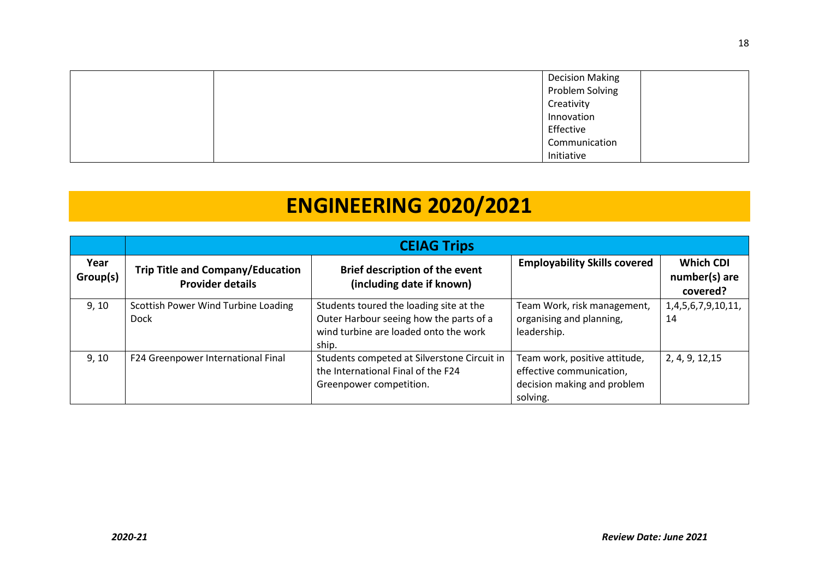|  | <b>Decision Making</b> |  |
|--|------------------------|--|
|  | Problem Solving        |  |
|  | Creativity             |  |
|  | Innovation             |  |
|  | Effective              |  |
|  | Communication          |  |
|  | Initiative             |  |

# **ENGINEERING 2020/2021**

|                  | <b>CEIAG Trips</b>                                                 |                                                                                                                                      |                                                                                                      |                                               |  |
|------------------|--------------------------------------------------------------------|--------------------------------------------------------------------------------------------------------------------------------------|------------------------------------------------------------------------------------------------------|-----------------------------------------------|--|
| Year<br>Group(s) | <b>Trip Title and Company/Education</b><br><b>Provider details</b> | <b>Brief description of the event</b><br>(including date if known)                                                                   | <b>Employability Skills covered</b>                                                                  | <b>Which CDI</b><br>number(s) are<br>covered? |  |
| 9, 10            | Scottish Power Wind Turbine Loading<br>Dock                        | Students toured the loading site at the<br>Outer Harbour seeing how the parts of a<br>wind turbine are loaded onto the work<br>ship. | Team Work, risk management,<br>organising and planning,<br>leadership.                               | 1,4,5,6,7,9,10,11,<br>14                      |  |
| 9, 10            | F24 Greenpower International Final                                 | Students competed at Silverstone Circuit in<br>the International Final of the F24<br>Greenpower competition.                         | Team work, positive attitude,<br>effective communication,<br>decision making and problem<br>solving. | 2, 4, 9, 12, 15                               |  |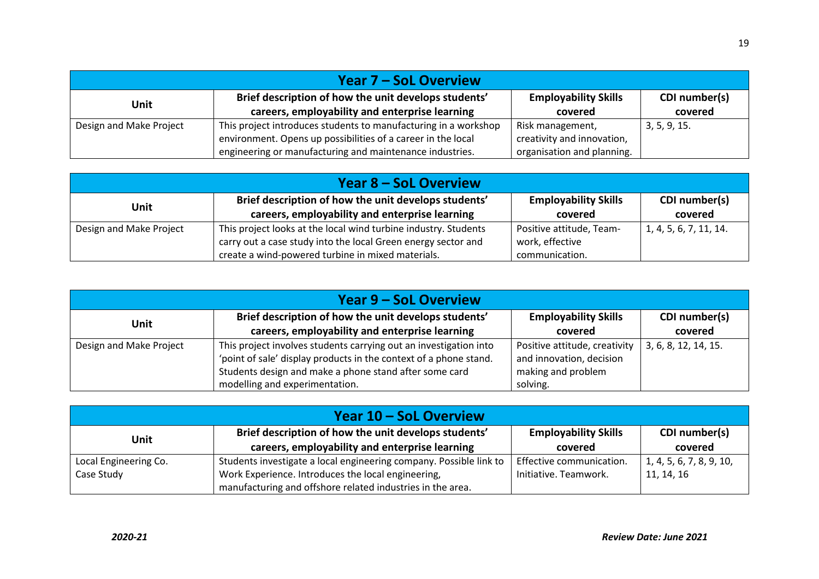| Year 7 – SoL Overview   |                                                                 |                             |               |  |  |
|-------------------------|-----------------------------------------------------------------|-----------------------------|---------------|--|--|
| Unit                    | Brief description of how the unit develops students'            | <b>Employability Skills</b> | CDI number(s) |  |  |
|                         | careers, employability and enterprise learning                  | covered                     | covered       |  |  |
| Design and Make Project | This project introduces students to manufacturing in a workshop | Risk management,            | 3, 5, 9, 15.  |  |  |
|                         | environment. Opens up possibilities of a career in the local    | creativity and innovation,  |               |  |  |
|                         | engineering or manufacturing and maintenance industries.        | organisation and planning.  |               |  |  |

| <b>Year 8 – SoL Overview</b> |                                                                 |                             |                        |  |  |
|------------------------------|-----------------------------------------------------------------|-----------------------------|------------------------|--|--|
| <b>Unit</b>                  | Brief description of how the unit develops students'            | <b>Employability Skills</b> | CDI number(s)          |  |  |
|                              | careers, employability and enterprise learning                  | covered                     | covered                |  |  |
| Design and Make Project      | This project looks at the local wind turbine industry. Students | Positive attitude, Team-    | 1, 4, 5, 6, 7, 11, 14. |  |  |
|                              | carry out a case study into the local Green energy sector and   | work, effective             |                        |  |  |
|                              | create a wind-powered turbine in mixed materials.               | communication.              |                        |  |  |

| <b>Year 9 – SoL Overview</b> |                                                                                                                                                                                                                                    |                                                                                             |                          |  |  |
|------------------------------|------------------------------------------------------------------------------------------------------------------------------------------------------------------------------------------------------------------------------------|---------------------------------------------------------------------------------------------|--------------------------|--|--|
| <b>Unit</b>                  | Brief description of how the unit develops students'<br>careers, employability and enterprise learning                                                                                                                             | <b>Employability Skills</b><br>covered                                                      | CDI number(s)<br>covered |  |  |
| Design and Make Project      | This project involves students carrying out an investigation into<br>'point of sale' display products in the context of a phone stand.<br>Students design and make a phone stand after some card<br>modelling and experimentation. | Positive attitude, creativity<br>and innovation, decision<br>making and problem<br>solving. | 3, 6, 8, 12, 14, 15.     |  |  |

| Year 10 – SoL Overview |                                                                    |                             |                          |  |  |
|------------------------|--------------------------------------------------------------------|-----------------------------|--------------------------|--|--|
| Unit                   | Brief description of how the unit develops students'               | <b>Employability Skills</b> | CDI number(s)            |  |  |
|                        | careers, employability and enterprise learning                     | covered                     | covered                  |  |  |
| Local Engineering Co.  | Students investigate a local engineering company. Possible link to | Effective communication.    | 1, 4, 5, 6, 7, 8, 9, 10, |  |  |
| Case Study             | Work Experience. Introduces the local engineering,                 | Initiative. Teamwork.       | 11, 14, 16               |  |  |
|                        | manufacturing and offshore related industries in the area.         |                             |                          |  |  |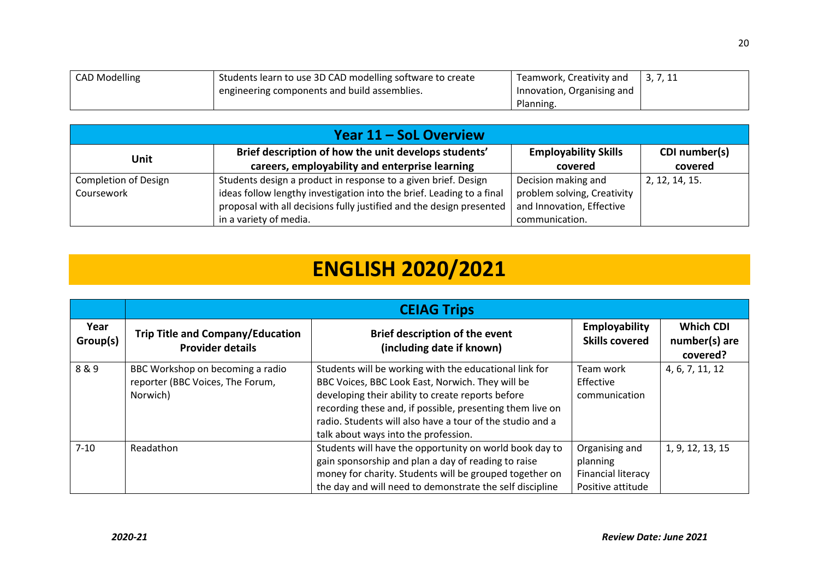| <b>CAD Modelling</b> | Students learn to use 3D CAD modelling software to create | Teamwork, Creativity and   | 3, 7, 11 |
|----------------------|-----------------------------------------------------------|----------------------------|----------|
|                      | I engineering components and build assemblies.            | Innovation, Organising and |          |
|                      |                                                           | Planning.                  |          |

| Year 11 – SoL Overview      |                                                                       |                             |                |  |  |
|-----------------------------|-----------------------------------------------------------------------|-----------------------------|----------------|--|--|
| Unit                        | Brief description of how the unit develops students'                  | <b>Employability Skills</b> | CDI number(s)  |  |  |
|                             | careers, employability and enterprise learning                        | covered                     | covered        |  |  |
| <b>Completion of Design</b> | Students design a product in response to a given brief. Design        | Decision making and         | 2, 12, 14, 15. |  |  |
| Coursework                  | ideas follow lengthy investigation into the brief. Leading to a final | problem solving, Creativity |                |  |  |
|                             | proposal with all decisions fully justified and the design presented  | and Innovation, Effective   |                |  |  |
|                             | in a variety of media.                                                | communication.              |                |  |  |

# **ENGLISH 2020/2021**

|                  | <b>CEIAG Trips</b>                                                               |                                                                                                                                                                                                                                                                                                                                   |                                                                              |                                               |  |
|------------------|----------------------------------------------------------------------------------|-----------------------------------------------------------------------------------------------------------------------------------------------------------------------------------------------------------------------------------------------------------------------------------------------------------------------------------|------------------------------------------------------------------------------|-----------------------------------------------|--|
| Year<br>Group(s) | <b>Trip Title and Company/Education</b><br><b>Provider details</b>               | <b>Brief description of the event</b><br>(including date if known)                                                                                                                                                                                                                                                                | <b>Employability</b><br><b>Skills covered</b>                                | <b>Which CDI</b><br>number(s) are<br>covered? |  |
| 8&9              | BBC Workshop on becoming a radio<br>reporter (BBC Voices, The Forum,<br>Norwich) | Students will be working with the educational link for<br>BBC Voices, BBC Look East, Norwich. They will be<br>developing their ability to create reports before<br>recording these and, if possible, presenting them live on<br>radio. Students will also have a tour of the studio and a<br>talk about ways into the profession. | Team work<br>Effective<br>communication                                      | 4, 6, 7, 11, 12                               |  |
| $7 - 10$         | Readathon                                                                        | Students will have the opportunity on world book day to<br>gain sponsorship and plan a day of reading to raise<br>money for charity. Students will be grouped together on<br>the day and will need to demonstrate the self discipline                                                                                             | Organising and<br>planning<br><b>Financial literacy</b><br>Positive attitude | 1, 9, 12, 13, 15                              |  |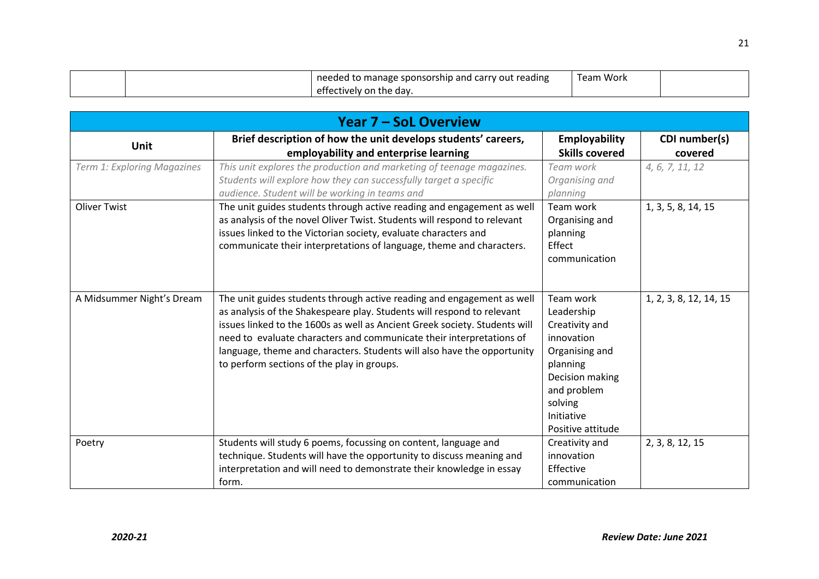|  | needed to manage sponsorship and carry out reading | Team Work |  |
|--|----------------------------------------------------|-----------|--|
|  | fectively on the day.                              |           |  |

|                             | <b>Year 7 – SoL Overview</b>                                                                                                                                                                                                                                                                                                                                                                                                    |                                                                                                                                                                       |                          |  |  |
|-----------------------------|---------------------------------------------------------------------------------------------------------------------------------------------------------------------------------------------------------------------------------------------------------------------------------------------------------------------------------------------------------------------------------------------------------------------------------|-----------------------------------------------------------------------------------------------------------------------------------------------------------------------|--------------------------|--|--|
| <b>Unit</b>                 | Brief description of how the unit develops students' careers,<br>employability and enterprise learning                                                                                                                                                                                                                                                                                                                          | Employability<br><b>Skills covered</b>                                                                                                                                | CDI number(s)<br>covered |  |  |
| Term 1: Exploring Magazines | This unit explores the production and marketing of teenage magazines.<br>Students will explore how they can successfully target a specific<br>audience. Student will be working in teams and                                                                                                                                                                                                                                    | Team work<br>Organising and<br>planning                                                                                                                               | 4, 6, 7, 11, 12          |  |  |
| <b>Oliver Twist</b>         | The unit guides students through active reading and engagement as well<br>as analysis of the novel Oliver Twist. Students will respond to relevant<br>issues linked to the Victorian society, evaluate characters and<br>communicate their interpretations of language, theme and characters.                                                                                                                                   | Team work<br>Organising and<br>planning<br>Effect<br>communication                                                                                                    | 1, 3, 5, 8, 14, 15       |  |  |
| A Midsummer Night's Dream   | The unit guides students through active reading and engagement as well<br>as analysis of the Shakespeare play. Students will respond to relevant<br>issues linked to the 1600s as well as Ancient Greek society. Students will<br>need to evaluate characters and communicate their interpretations of<br>language, theme and characters. Students will also have the opportunity<br>to perform sections of the play in groups. | Team work<br>Leadership<br>Creativity and<br>innovation<br>Organising and<br>planning<br>Decision making<br>and problem<br>solving<br>Initiative<br>Positive attitude | 1, 2, 3, 8, 12, 14, 15   |  |  |
| Poetry                      | Students will study 6 poems, focussing on content, language and<br>technique. Students will have the opportunity to discuss meaning and<br>interpretation and will need to demonstrate their knowledge in essay                                                                                                                                                                                                                 | Creativity and<br>innovation<br>Effective                                                                                                                             | 2, 3, 8, 12, 15          |  |  |
|                             | form.                                                                                                                                                                                                                                                                                                                                                                                                                           | communication                                                                                                                                                         |                          |  |  |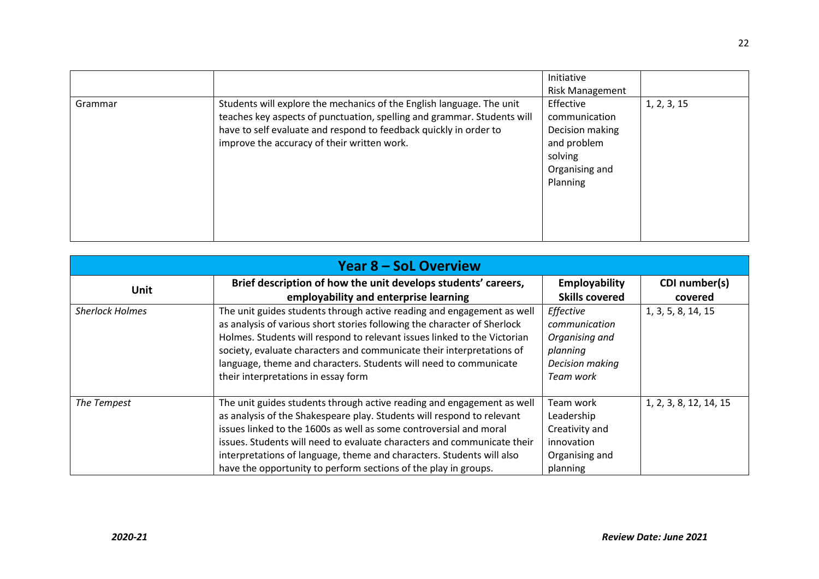|         |                                                                                                                                                                                                                                                                      | Initiative<br><b>Risk Management</b>                                                                  |             |
|---------|----------------------------------------------------------------------------------------------------------------------------------------------------------------------------------------------------------------------------------------------------------------------|-------------------------------------------------------------------------------------------------------|-------------|
| Grammar | Students will explore the mechanics of the English language. The unit<br>teaches key aspects of punctuation, spelling and grammar. Students will<br>have to self evaluate and respond to feedback quickly in order to<br>improve the accuracy of their written work. | Effective<br>communication<br>Decision making<br>and problem<br>solving<br>Organising and<br>Planning | 1, 2, 3, 15 |

| <b>Year 8 - SoL Overview</b> |                                                                                                                                                                                                                                                                                                                                                                                                                                               |                                                                                          |                          |  |  |
|------------------------------|-----------------------------------------------------------------------------------------------------------------------------------------------------------------------------------------------------------------------------------------------------------------------------------------------------------------------------------------------------------------------------------------------------------------------------------------------|------------------------------------------------------------------------------------------|--------------------------|--|--|
| <b>Unit</b>                  | Brief description of how the unit develops students' careers,<br>employability and enterprise learning                                                                                                                                                                                                                                                                                                                                        | Employability<br><b>Skills covered</b>                                                   | CDI number(s)<br>covered |  |  |
| <b>Sherlock Holmes</b>       | The unit guides students through active reading and engagement as well<br>as analysis of various short stories following the character of Sherlock<br>Holmes. Students will respond to relevant issues linked to the Victorian<br>society, evaluate characters and communicate their interpretations of<br>language, theme and characters. Students will need to communicate<br>their interpretations in essay form                           | Effective<br>communication<br>Organising and<br>planning<br>Decision making<br>Team work | 1, 3, 5, 8, 14, 15       |  |  |
| The Tempest                  | The unit guides students through active reading and engagement as well<br>as analysis of the Shakespeare play. Students will respond to relevant<br>issues linked to the 1600s as well as some controversial and moral<br>issues. Students will need to evaluate characters and communicate their<br>interpretations of language, theme and characters. Students will also<br>have the opportunity to perform sections of the play in groups. | Team work<br>Leadership<br>Creativity and<br>innovation<br>Organising and<br>planning    | 1, 2, 3, 8, 12, 14, 15   |  |  |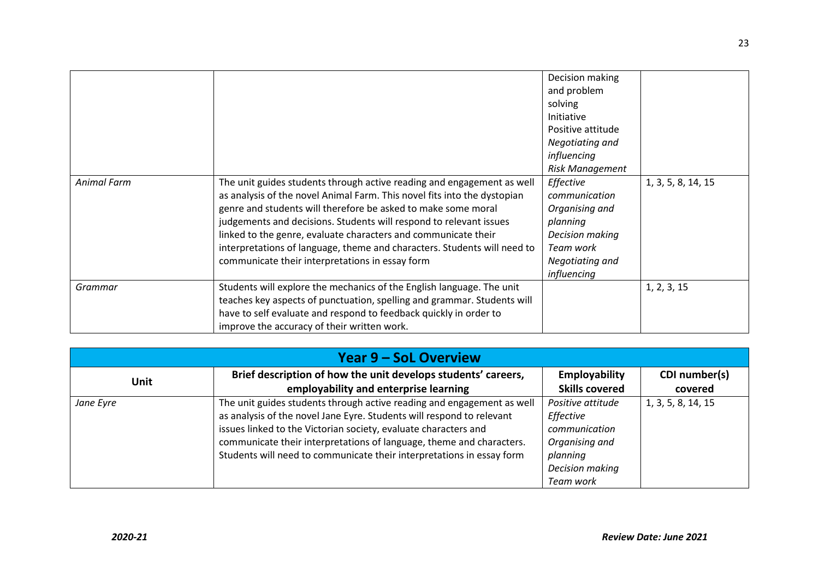|             |                                                                          | Decision making        |                    |
|-------------|--------------------------------------------------------------------------|------------------------|--------------------|
|             |                                                                          | and problem            |                    |
|             |                                                                          | solving                |                    |
|             |                                                                          | Initiative             |                    |
|             |                                                                          | Positive attitude      |                    |
|             |                                                                          | Negotiating and        |                    |
|             |                                                                          | influencing            |                    |
|             |                                                                          | <b>Risk Management</b> |                    |
| Animal Farm | The unit guides students through active reading and engagement as well   | Effective              | 1, 3, 5, 8, 14, 15 |
|             | as analysis of the novel Animal Farm. This novel fits into the dystopian | communication          |                    |
|             | genre and students will therefore be asked to make some moral            | Organising and         |                    |
|             | judgements and decisions. Students will respond to relevant issues       | planning               |                    |
|             | linked to the genre, evaluate characters and communicate their           | Decision making        |                    |
|             | interpretations of language, theme and characters. Students will need to | Team work              |                    |
|             | communicate their interpretations in essay form                          | Negotiating and        |                    |
|             |                                                                          | influencing            |                    |
| Grammar     | Students will explore the mechanics of the English language. The unit    |                        | 1, 2, 3, 15        |
|             | teaches key aspects of punctuation, spelling and grammar. Students will  |                        |                    |
|             | have to self evaluate and respond to feedback quickly in order to        |                        |                    |
|             | improve the accuracy of their written work.                              |                        |                    |

| <b>Year 9 – SoL Overview</b> |                                                                                                                                                                                                                                                                                                                                                                     |                                                                                                               |                          |
|------------------------------|---------------------------------------------------------------------------------------------------------------------------------------------------------------------------------------------------------------------------------------------------------------------------------------------------------------------------------------------------------------------|---------------------------------------------------------------------------------------------------------------|--------------------------|
| <b>Unit</b>                  | Brief description of how the unit develops students' careers,<br>employability and enterprise learning                                                                                                                                                                                                                                                              | Employability<br><b>Skills covered</b>                                                                        | CDI number(s)<br>covered |
| Jane Eyre                    | The unit guides students through active reading and engagement as well<br>as analysis of the novel Jane Eyre. Students will respond to relevant<br>issues linked to the Victorian society, evaluate characters and<br>communicate their interpretations of language, theme and characters.<br>Students will need to communicate their interpretations in essay form | Positive attitude<br>Effective<br>communication<br>Organising and<br>planning<br>Decision making<br>Team work | 1, 3, 5, 8, 14, 15       |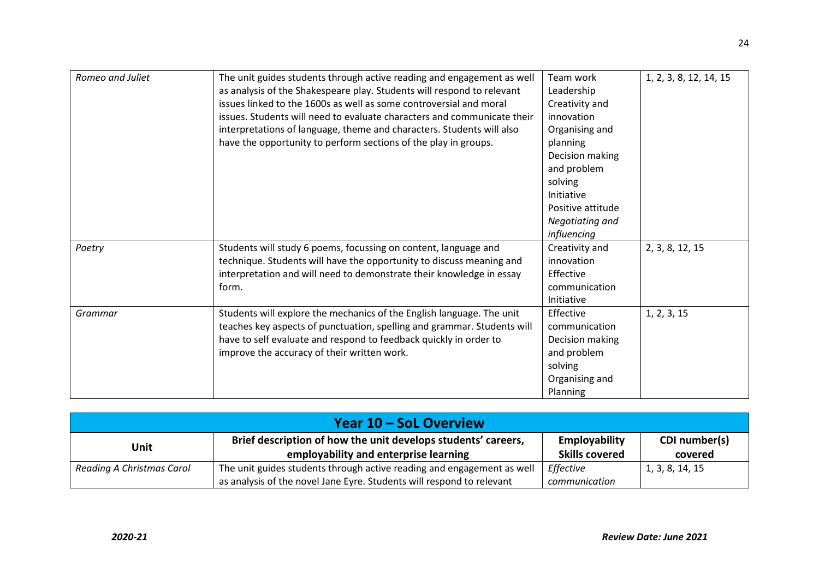| Romeo and Juliet | The unit guides students through active reading and engagement as well<br>as analysis of the Shakespeare play. Students will respond to relevant<br>issues linked to the 1600s as well as some controversial and moral<br>issues. Students will need to evaluate characters and communicate their<br>interpretations of language, theme and characters. Students will also<br>have the opportunity to perform sections of the play in groups. | Team work<br>Leadership<br>Creativity and<br>innovation<br>Organising and<br>planning<br>Decision making<br>and problem<br>solving<br>Initiative<br>Positive attitude<br>Negotiating and<br>influencing | 1, 2, 3, 8, 12, 14, 15 |
|------------------|-----------------------------------------------------------------------------------------------------------------------------------------------------------------------------------------------------------------------------------------------------------------------------------------------------------------------------------------------------------------------------------------------------------------------------------------------|---------------------------------------------------------------------------------------------------------------------------------------------------------------------------------------------------------|------------------------|
| Poetry           | Students will study 6 poems, focussing on content, language and<br>technique. Students will have the opportunity to discuss meaning and<br>interpretation and will need to demonstrate their knowledge in essay<br>form.                                                                                                                                                                                                                      | Creativity and<br>innovation<br>Effective<br>communication<br>Initiative                                                                                                                                | 2, 3, 8, 12, 15        |
| Grammar          | Students will explore the mechanics of the English language. The unit<br>teaches key aspects of punctuation, spelling and grammar. Students will<br>have to self evaluate and respond to feedback quickly in order to<br>improve the accuracy of their written work.                                                                                                                                                                          | Effective<br>communication<br>Decision making<br>and problem<br>solving<br>Organising and<br>Planning                                                                                                   | 1, 2, 3, 15            |

| Year 10 – SoL Overview    |                                                                                                                                                 |                                        |                          |
|---------------------------|-------------------------------------------------------------------------------------------------------------------------------------------------|----------------------------------------|--------------------------|
| Unit                      | Brief description of how the unit develops students' careers,<br>employability and enterprise learning                                          | Employability<br><b>Skills covered</b> | CDI number(s)<br>covered |
| Reading A Christmas Carol | The unit guides students through active reading and engagement as well<br>as analysis of the novel Jane Eyre. Students will respond to relevant | Effective<br>communication             | 1, 3, 8, 14, 15          |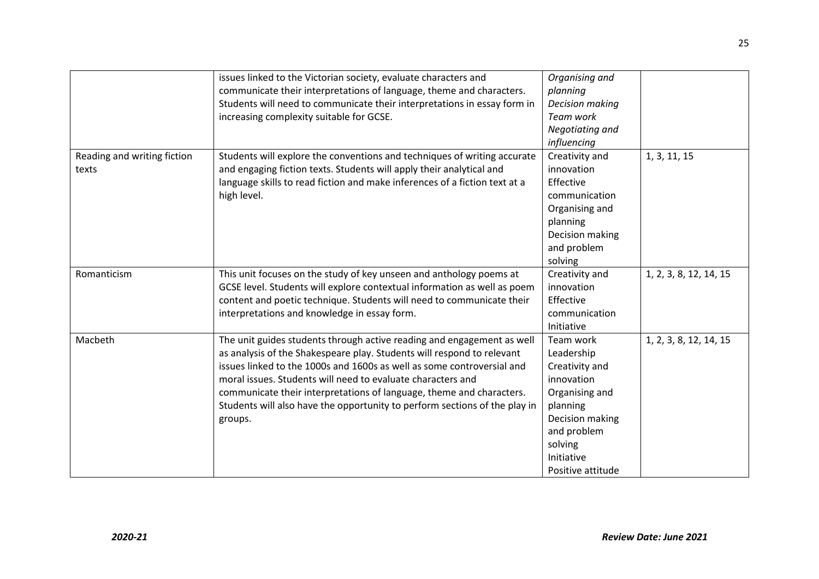|                                      | issues linked to the Victorian society, evaluate characters and<br>communicate their interpretations of language, theme and characters.<br>Students will need to communicate their interpretations in essay form in<br>increasing complexity suitable for GCSE.                                                                                                                                                                                            | Organising and<br>planning<br><b>Decision making</b><br>Team work<br>Negotiating and<br>influencing                                                                   |                        |
|--------------------------------------|------------------------------------------------------------------------------------------------------------------------------------------------------------------------------------------------------------------------------------------------------------------------------------------------------------------------------------------------------------------------------------------------------------------------------------------------------------|-----------------------------------------------------------------------------------------------------------------------------------------------------------------------|------------------------|
| Reading and writing fiction<br>texts | Students will explore the conventions and techniques of writing accurate<br>and engaging fiction texts. Students will apply their analytical and<br>language skills to read fiction and make inferences of a fiction text at a<br>high level.                                                                                                                                                                                                              | Creativity and<br>innovation<br>Effective<br>communication<br>Organising and<br>planning<br>Decision making<br>and problem<br>solving                                 | 1, 3, 11, 15           |
| Romanticism                          | This unit focuses on the study of key unseen and anthology poems at<br>GCSE level. Students will explore contextual information as well as poem<br>content and poetic technique. Students will need to communicate their<br>interpretations and knowledge in essay form.                                                                                                                                                                                   | Creativity and<br>innovation<br>Effective<br>communication<br>Initiative                                                                                              | 1, 2, 3, 8, 12, 14, 15 |
| Macbeth                              | The unit guides students through active reading and engagement as well<br>as analysis of the Shakespeare play. Students will respond to relevant<br>issues linked to the 1000s and 1600s as well as some controversial and<br>moral issues. Students will need to evaluate characters and<br>communicate their interpretations of language, theme and characters.<br>Students will also have the opportunity to perform sections of the play in<br>groups. | Team work<br>Leadership<br>Creativity and<br>innovation<br>Organising and<br>planning<br>Decision making<br>and problem<br>solving<br>Initiative<br>Positive attitude | 1, 2, 3, 8, 12, 14, 15 |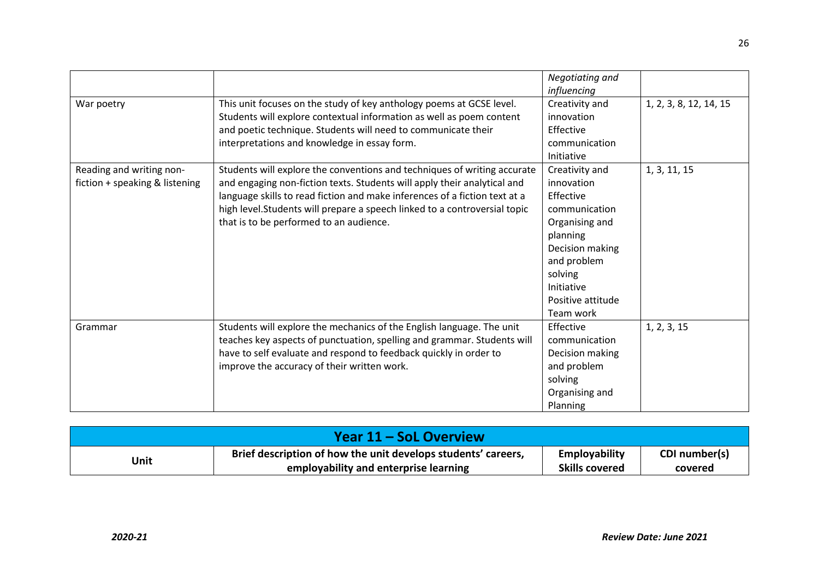|                                                            |                                                                                                                                                                                                                                                                                                                                                             | Negotiating and<br>influencing                                                                                                                                                        |                        |
|------------------------------------------------------------|-------------------------------------------------------------------------------------------------------------------------------------------------------------------------------------------------------------------------------------------------------------------------------------------------------------------------------------------------------------|---------------------------------------------------------------------------------------------------------------------------------------------------------------------------------------|------------------------|
| War poetry                                                 | This unit focuses on the study of key anthology poems at GCSE level.<br>Students will explore contextual information as well as poem content<br>and poetic technique. Students will need to communicate their<br>interpretations and knowledge in essay form.                                                                                               | Creativity and<br>innovation<br>Effective<br>communication<br>Initiative                                                                                                              | 1, 2, 3, 8, 12, 14, 15 |
| Reading and writing non-<br>fiction + speaking & listening | Students will explore the conventions and techniques of writing accurate<br>and engaging non-fiction texts. Students will apply their analytical and<br>language skills to read fiction and make inferences of a fiction text at a<br>high level. Students will prepare a speech linked to a controversial topic<br>that is to be performed to an audience. | Creativity and<br>innovation<br>Effective<br>communication<br>Organising and<br>planning<br>Decision making<br>and problem<br>solving<br>Initiative<br>Positive attitude<br>Team work | 1, 3, 11, 15           |
| Grammar                                                    | Students will explore the mechanics of the English language. The unit<br>teaches key aspects of punctuation, spelling and grammar. Students will<br>have to self evaluate and respond to feedback quickly in order to<br>improve the accuracy of their written work.                                                                                        | Effective<br>communication<br>Decision making<br>and problem<br>solving<br>Organising and<br>Planning                                                                                 | 1, 2, 3, 15            |

| Year 11 – SoL Overview |                                                               |                       |               |
|------------------------|---------------------------------------------------------------|-----------------------|---------------|
| Unit                   | Brief description of how the unit develops students' careers, | Employability         | CDI number(s) |
|                        | employability and enterprise learning                         | <b>Skills covered</b> | covered       |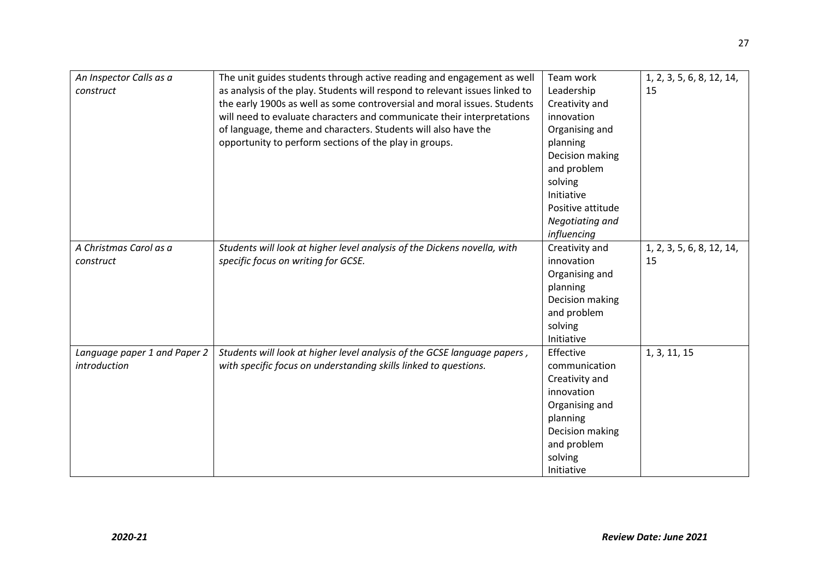| An Inspector Calls as a<br>construct | The unit guides students through active reading and engagement as well<br>as analysis of the play. Students will respond to relevant issues linked to<br>the early 1900s as well as some controversial and moral issues. Students<br>will need to evaluate characters and communicate their interpretations<br>of language, theme and characters. Students will also have the<br>opportunity to perform sections of the play in groups. | Team work<br>Leadership<br>Creativity and<br>innovation<br>Organising and<br>planning<br>Decision making<br>and problem<br>solving<br>Initiative<br>Positive attitude<br>Negotiating and<br>influencing | 1, 2, 3, 5, 6, 8, 12, 14,<br>15 |
|--------------------------------------|-----------------------------------------------------------------------------------------------------------------------------------------------------------------------------------------------------------------------------------------------------------------------------------------------------------------------------------------------------------------------------------------------------------------------------------------|---------------------------------------------------------------------------------------------------------------------------------------------------------------------------------------------------------|---------------------------------|
| A Christmas Carol as a               | Students will look at higher level analysis of the Dickens novella, with                                                                                                                                                                                                                                                                                                                                                                | Creativity and                                                                                                                                                                                          | 1, 2, 3, 5, 6, 8, 12, 14,       |
| construct                            | specific focus on writing for GCSE.                                                                                                                                                                                                                                                                                                                                                                                                     | innovation                                                                                                                                                                                              | 15                              |
|                                      |                                                                                                                                                                                                                                                                                                                                                                                                                                         | Organising and                                                                                                                                                                                          |                                 |
|                                      |                                                                                                                                                                                                                                                                                                                                                                                                                                         | planning                                                                                                                                                                                                |                                 |
|                                      |                                                                                                                                                                                                                                                                                                                                                                                                                                         | Decision making                                                                                                                                                                                         |                                 |
|                                      |                                                                                                                                                                                                                                                                                                                                                                                                                                         | and problem                                                                                                                                                                                             |                                 |
|                                      |                                                                                                                                                                                                                                                                                                                                                                                                                                         | solving                                                                                                                                                                                                 |                                 |
|                                      |                                                                                                                                                                                                                                                                                                                                                                                                                                         | Initiative                                                                                                                                                                                              |                                 |
| Language paper 1 and Paper 2         | Students will look at higher level analysis of the GCSE language papers,                                                                                                                                                                                                                                                                                                                                                                | Effective                                                                                                                                                                                               | 1, 3, 11, 15                    |
| introduction                         | with specific focus on understanding skills linked to questions.                                                                                                                                                                                                                                                                                                                                                                        | communication                                                                                                                                                                                           |                                 |
|                                      |                                                                                                                                                                                                                                                                                                                                                                                                                                         | Creativity and                                                                                                                                                                                          |                                 |
|                                      |                                                                                                                                                                                                                                                                                                                                                                                                                                         | innovation                                                                                                                                                                                              |                                 |
|                                      |                                                                                                                                                                                                                                                                                                                                                                                                                                         | Organising and                                                                                                                                                                                          |                                 |
|                                      |                                                                                                                                                                                                                                                                                                                                                                                                                                         | planning                                                                                                                                                                                                |                                 |
|                                      |                                                                                                                                                                                                                                                                                                                                                                                                                                         | Decision making                                                                                                                                                                                         |                                 |
|                                      |                                                                                                                                                                                                                                                                                                                                                                                                                                         | and problem                                                                                                                                                                                             |                                 |
|                                      |                                                                                                                                                                                                                                                                                                                                                                                                                                         | solving                                                                                                                                                                                                 |                                 |
|                                      |                                                                                                                                                                                                                                                                                                                                                                                                                                         | Initiative                                                                                                                                                                                              |                                 |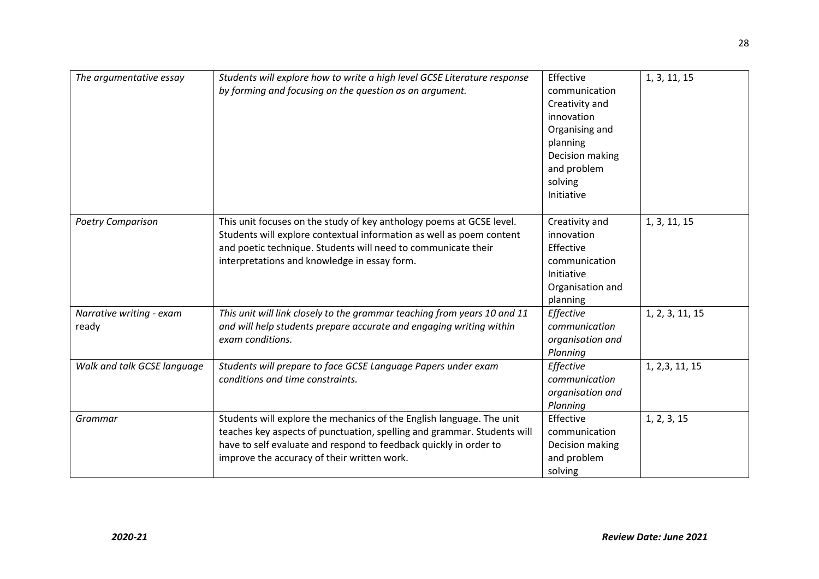| The argumentative essay           | Students will explore how to write a high level GCSE Literature response<br>by forming and focusing on the question as an argument.                                                                                                                                  | Effective<br>communication<br>Creativity and<br>innovation<br>Organising and<br>planning<br>Decision making<br>and problem<br>solving<br>Initiative | 1, 3, 11, 15    |
|-----------------------------------|----------------------------------------------------------------------------------------------------------------------------------------------------------------------------------------------------------------------------------------------------------------------|-----------------------------------------------------------------------------------------------------------------------------------------------------|-----------------|
| <b>Poetry Comparison</b>          | This unit focuses on the study of key anthology poems at GCSE level.<br>Students will explore contextual information as well as poem content<br>and poetic technique. Students will need to communicate their<br>interpretations and knowledge in essay form.        | Creativity and<br>innovation<br>Effective<br>communication<br>Initiative<br>Organisation and<br>planning                                            | 1, 3, 11, 15    |
| Narrative writing - exam<br>ready | This unit will link closely to the grammar teaching from years 10 and 11<br>and will help students prepare accurate and engaging writing within<br>exam conditions.                                                                                                  | Effective<br>communication<br>organisation and<br>Planning                                                                                          | 1, 2, 3, 11, 15 |
| Walk and talk GCSE language       | Students will prepare to face GCSE Language Papers under exam<br>conditions and time constraints.                                                                                                                                                                    | Effective<br>communication<br>organisation and<br>Planning                                                                                          | 1, 2, 3, 11, 15 |
| Grammar                           | Students will explore the mechanics of the English language. The unit<br>teaches key aspects of punctuation, spelling and grammar. Students will<br>have to self evaluate and respond to feedback quickly in order to<br>improve the accuracy of their written work. | Effective<br>communication<br>Decision making<br>and problem<br>solving                                                                             | 1, 2, 3, 15     |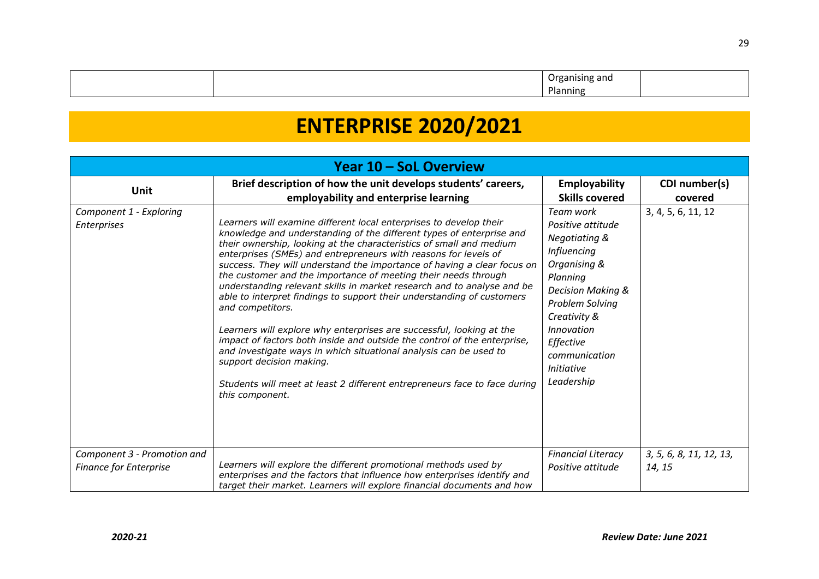|  | 9HR  |  |
|--|------|--|
|  | າເກຍ |  |

# **ENTERPRISE 2020/2021**

| Year 10 - SoL Overview                                       |                                                                                                                                                                                                                                                                                                                                                                                                                                                                                                                                                                                                                                                                                                                                                                                                                                                                                                                                                                |                                                                                                                                                                                                                                                     |                                   |
|--------------------------------------------------------------|----------------------------------------------------------------------------------------------------------------------------------------------------------------------------------------------------------------------------------------------------------------------------------------------------------------------------------------------------------------------------------------------------------------------------------------------------------------------------------------------------------------------------------------------------------------------------------------------------------------------------------------------------------------------------------------------------------------------------------------------------------------------------------------------------------------------------------------------------------------------------------------------------------------------------------------------------------------|-----------------------------------------------------------------------------------------------------------------------------------------------------------------------------------------------------------------------------------------------------|-----------------------------------|
| <b>Unit</b>                                                  | Brief description of how the unit develops students' careers,                                                                                                                                                                                                                                                                                                                                                                                                                                                                                                                                                                                                                                                                                                                                                                                                                                                                                                  | Employability                                                                                                                                                                                                                                       | CDI number(s)                     |
|                                                              | employability and enterprise learning                                                                                                                                                                                                                                                                                                                                                                                                                                                                                                                                                                                                                                                                                                                                                                                                                                                                                                                          | <b>Skills covered</b>                                                                                                                                                                                                                               | covered                           |
| Component 1 - Exploring<br>Enterprises                       | Learners will examine different local enterprises to develop their<br>knowledge and understanding of the different types of enterprise and<br>their ownership, looking at the characteristics of small and medium<br>enterprises (SMEs) and entrepreneurs with reasons for levels of<br>success. They will understand the importance of having a clear focus on<br>the customer and the importance of meeting their needs through<br>understanding relevant skills in market research and to analyse and be<br>able to interpret findings to support their understanding of customers<br>and competitors.<br>Learners will explore why enterprises are successful, looking at the<br>impact of factors both inside and outside the control of the enterprise,<br>and investigate ways in which situational analysis can be used to<br>support decision making.<br>Students will meet at least 2 different entrepreneurs face to face during<br>this component. | Team work<br>Positive attitude<br>Negotiating &<br>Influencing<br>Organising &<br>Planning<br><b>Decision Making &amp;</b><br>Problem Solving<br>Creativity &<br><i>Innovation</i><br>Effective<br>communication<br><i>Initiative</i><br>Leadership | 3, 4, 5, 6, 11, 12                |
| Component 3 - Promotion and<br><b>Finance for Enterprise</b> | Learners will explore the different promotional methods used by<br>enterprises and the factors that influence how enterprises identify and<br>target their market. Learners will explore financial documents and how                                                                                                                                                                                                                                                                                                                                                                                                                                                                                                                                                                                                                                                                                                                                           | <b>Financial Literacy</b><br>Positive attitude                                                                                                                                                                                                      | 3, 5, 6, 8, 11, 12, 13,<br>14, 15 |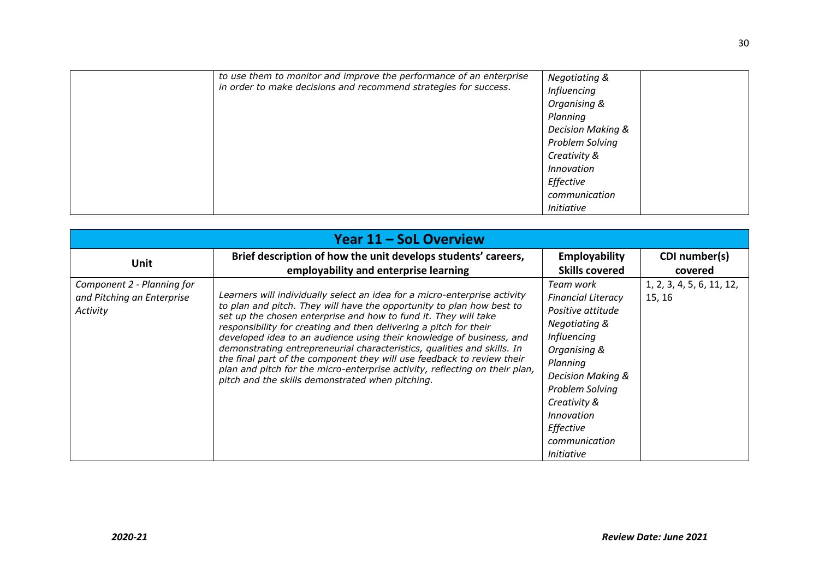|  | to use them to monitor and improve the performance of an enterprise<br>in order to make decisions and recommend strategies for success. | <b>Negotiating &amp;</b><br>Influencing<br>Organising &<br>Planning<br><b>Decision Making &amp;</b><br>Problem Solving<br>Creativity &<br><b>Innovation</b><br>Effective<br>communication<br><b>Initiative</b> |
|--|-----------------------------------------------------------------------------------------------------------------------------------------|----------------------------------------------------------------------------------------------------------------------------------------------------------------------------------------------------------------|
|--|-----------------------------------------------------------------------------------------------------------------------------------------|----------------------------------------------------------------------------------------------------------------------------------------------------------------------------------------------------------------|

| Year 11 – SoL Overview                                               |                                                                                                                                                                                                                                                                                                                                                                                                                                                                                                                                                                                                                                                            |                                                                                                                                                                                                                                                             |                                     |  |
|----------------------------------------------------------------------|------------------------------------------------------------------------------------------------------------------------------------------------------------------------------------------------------------------------------------------------------------------------------------------------------------------------------------------------------------------------------------------------------------------------------------------------------------------------------------------------------------------------------------------------------------------------------------------------------------------------------------------------------------|-------------------------------------------------------------------------------------------------------------------------------------------------------------------------------------------------------------------------------------------------------------|-------------------------------------|--|
| Unit                                                                 | Brief description of how the unit develops students' careers,                                                                                                                                                                                                                                                                                                                                                                                                                                                                                                                                                                                              | <b>Employability</b>                                                                                                                                                                                                                                        | CDI number(s)                       |  |
|                                                                      | employability and enterprise learning                                                                                                                                                                                                                                                                                                                                                                                                                                                                                                                                                                                                                      | <b>Skills covered</b>                                                                                                                                                                                                                                       | covered                             |  |
| Component 2 - Planning for<br>and Pitching an Enterprise<br>Activity | Learners will individually select an idea for a micro-enterprise activity<br>to plan and pitch. They will have the opportunity to plan how best to<br>set up the chosen enterprise and how to fund it. They will take<br>responsibility for creating and then delivering a pitch for their<br>developed idea to an audience using their knowledge of business, and<br>demonstrating entrepreneurial characteristics, qualities and skills. In<br>the final part of the component they will use feedback to review their<br>plan and pitch for the micro-enterprise activity, reflecting on their plan,<br>pitch and the skills demonstrated when pitching. | Team work<br><b>Financial Literacy</b><br>Positive attitude<br><b>Negotiating &amp;</b><br>Influencing<br>Organising &<br>Planning<br>Decision Making &<br>Problem Solving<br>Creativity &<br>Innovation<br>Effective<br>communication<br><i>Initiative</i> | 1, 2, 3, 4, 5, 6, 11, 12,<br>15, 16 |  |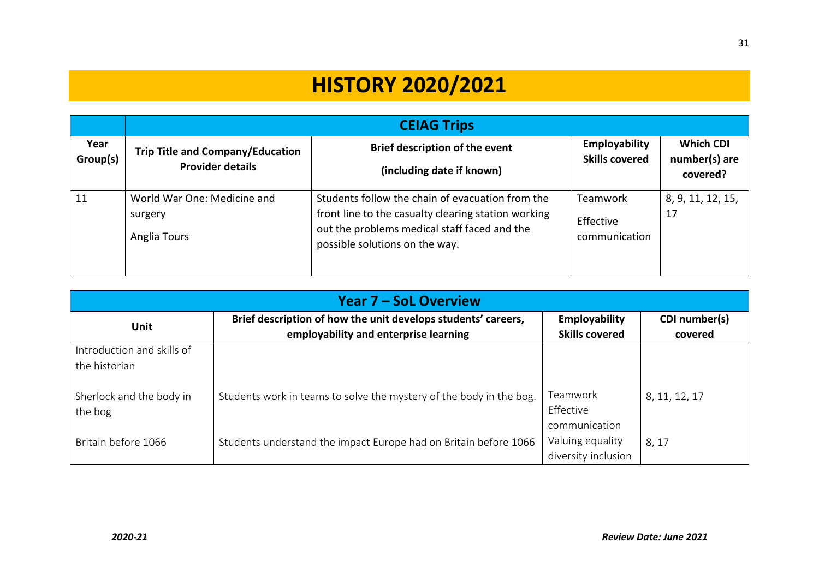# **HISTORY 2020/2021**

|                  | <b>CEIAG Trips</b>                                                 |                                                                                                                                                                                           |                                               |                                               |
|------------------|--------------------------------------------------------------------|-------------------------------------------------------------------------------------------------------------------------------------------------------------------------------------------|-----------------------------------------------|-----------------------------------------------|
| Year<br>Group(s) | <b>Trip Title and Company/Education</b><br><b>Provider details</b> | <b>Brief description of the event</b><br>(including date if known)                                                                                                                        | Employability<br><b>Skills covered</b>        | <b>Which CDI</b><br>number(s) are<br>covered? |
| 11               | World War One: Medicine and<br>surgery<br>Anglia Tours             | Students follow the chain of evacuation from the<br>front line to the casualty clearing station working<br>out the problems medical staff faced and the<br>possible solutions on the way. | <b>Teamwork</b><br>Effective<br>communication | 8, 9, 11, 12, 15,<br>17                       |

| <b>Year 7 – SoL Overview</b>                |                                                                                                        |                                               |                          |  |
|---------------------------------------------|--------------------------------------------------------------------------------------------------------|-----------------------------------------------|--------------------------|--|
| Unit                                        | Brief description of how the unit develops students' careers,<br>employability and enterprise learning | <b>Employability</b><br><b>Skills covered</b> | CDI number(s)<br>covered |  |
| Introduction and skills of<br>the historian |                                                                                                        |                                               |                          |  |
| Sherlock and the body in<br>the bog         | Students work in teams to solve the mystery of the body in the bog.                                    | Teamwork<br>Effective<br>communication        | 8, 11, 12, 17            |  |
| Britain before 1066                         | Students understand the impact Europe had on Britain before 1066                                       | Valuing equality<br>diversity inclusion       | 8, 17                    |  |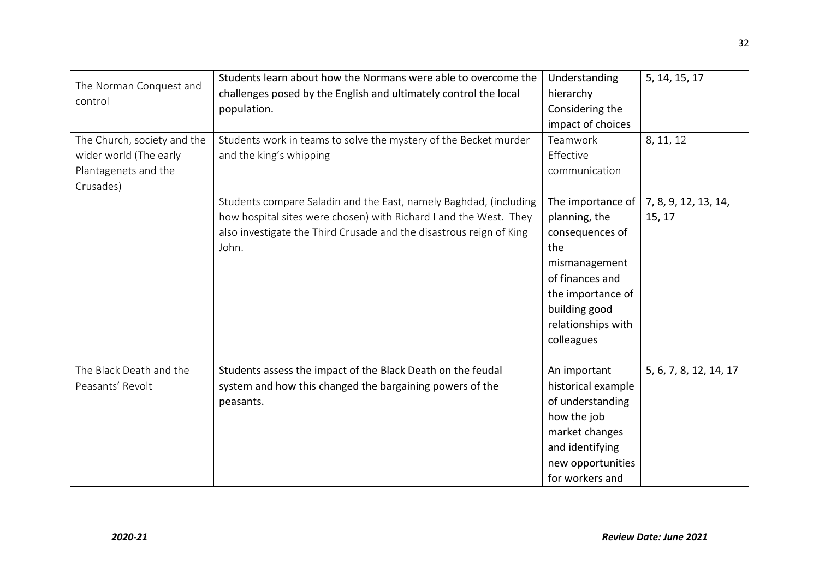|                             | Students learn about how the Normans were able to overcome the      | Understanding      | 5, 14, 15, 17          |
|-----------------------------|---------------------------------------------------------------------|--------------------|------------------------|
| The Norman Conquest and     | challenges posed by the English and ultimately control the local    | hierarchy          |                        |
| control                     | population.                                                         | Considering the    |                        |
|                             |                                                                     | impact of choices  |                        |
| The Church, society and the | Students work in teams to solve the mystery of the Becket murder    | Teamwork           | 8, 11, 12              |
| wider world (The early      | and the king's whipping                                             | Effective          |                        |
| Plantagenets and the        |                                                                     | communication      |                        |
| Crusades)                   |                                                                     |                    |                        |
|                             | Students compare Saladin and the East, namely Baghdad, (including   | The importance of  | 7, 8, 9, 12, 13, 14,   |
|                             | how hospital sites were chosen) with Richard I and the West. They   | planning, the      | 15, 17                 |
|                             | also investigate the Third Crusade and the disastrous reign of King | consequences of    |                        |
|                             | John.                                                               | the                |                        |
|                             |                                                                     | mismanagement      |                        |
|                             |                                                                     | of finances and    |                        |
|                             |                                                                     | the importance of  |                        |
|                             |                                                                     | building good      |                        |
|                             |                                                                     | relationships with |                        |
|                             |                                                                     | colleagues         |                        |
|                             |                                                                     |                    |                        |
| The Black Death and the     | Students assess the impact of the Black Death on the feudal         | An important       | 5, 6, 7, 8, 12, 14, 17 |
| Peasants' Revolt            | system and how this changed the bargaining powers of the            | historical example |                        |
|                             | peasants.                                                           | of understanding   |                        |
|                             |                                                                     | how the job        |                        |
|                             |                                                                     | market changes     |                        |
|                             |                                                                     | and identifying    |                        |
|                             |                                                                     | new opportunities  |                        |
|                             |                                                                     | for workers and    |                        |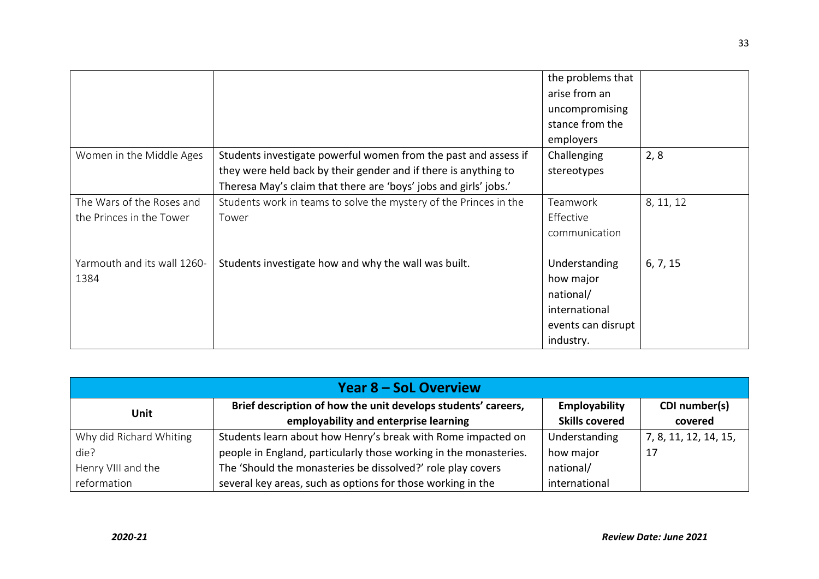|                             |                                                                   | the problems that               |           |
|-----------------------------|-------------------------------------------------------------------|---------------------------------|-----------|
|                             |                                                                   | arise from an<br>uncompromising |           |
|                             |                                                                   | stance from the                 |           |
|                             |                                                                   | employers                       |           |
| Women in the Middle Ages    | Students investigate powerful women from the past and assess if   | Challenging                     | 2, 8      |
|                             | they were held back by their gender and if there is anything to   | stereotypes                     |           |
|                             | Theresa May's claim that there are 'boys' jobs and girls' jobs.'  |                                 |           |
| The Wars of the Roses and   | Students work in teams to solve the mystery of the Princes in the | Teamwork                        | 8, 11, 12 |
| the Princes in the Tower    | Tower                                                             | Effective                       |           |
|                             |                                                                   | communication                   |           |
| Yarmouth and its wall 1260- | Students investigate how and why the wall was built.              | Understanding                   | 6, 7, 15  |
| 1384                        |                                                                   | how major                       |           |
|                             |                                                                   | national/                       |           |
|                             |                                                                   | international                   |           |
|                             |                                                                   | events can disrupt              |           |
|                             |                                                                   | industry.                       |           |

| <b>Year 8 – SoL Overview</b> |                                                                   |                       |                       |  |
|------------------------------|-------------------------------------------------------------------|-----------------------|-----------------------|--|
|                              | Brief description of how the unit develops students' careers,     | Employability         | CDI number(s)         |  |
| <b>Unit</b>                  | employability and enterprise learning                             | <b>Skills covered</b> | covered               |  |
| Why did Richard Whiting      | Students learn about how Henry's break with Rome impacted on      | Understanding         | 7, 8, 11, 12, 14, 15, |  |
| die?                         | people in England, particularly those working in the monasteries. | how major             | 17                    |  |
| Henry VIII and the           | The 'Should the monasteries be dissolved?' role play covers       | national/             |                       |  |
| reformation                  | several key areas, such as options for those working in the       | international         |                       |  |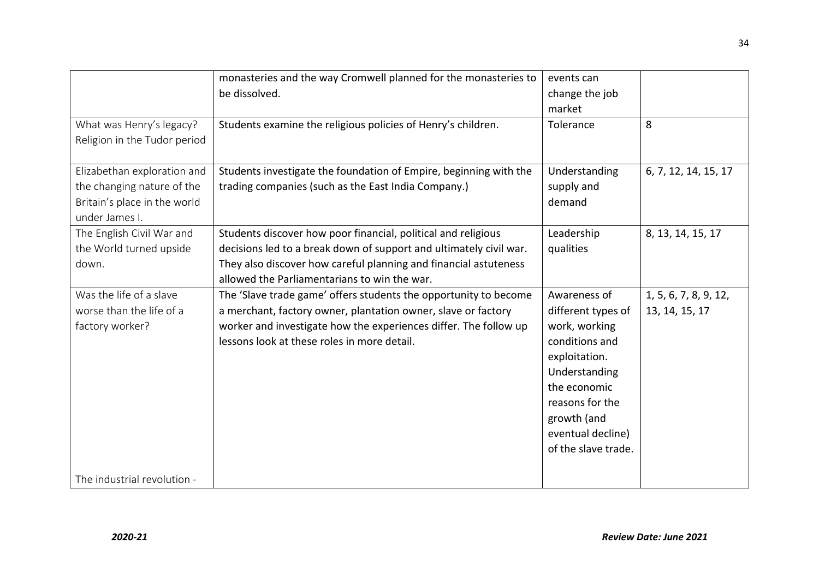|                              | monasteries and the way Cromwell planned for the monasteries to    | events can          |                       |
|------------------------------|--------------------------------------------------------------------|---------------------|-----------------------|
|                              | be dissolved.                                                      | change the job      |                       |
|                              |                                                                    | market              |                       |
| What was Henry's legacy?     | Students examine the religious policies of Henry's children.       | Tolerance           | 8                     |
| Religion in the Tudor period |                                                                    |                     |                       |
|                              |                                                                    |                     |                       |
| Elizabethan exploration and  | Students investigate the foundation of Empire, beginning with the  | Understanding       | 6, 7, 12, 14, 15, 17  |
| the changing nature of the   | trading companies (such as the East India Company.)                | supply and          |                       |
| Britain's place in the world |                                                                    | demand              |                       |
| under James I.               |                                                                    |                     |                       |
| The English Civil War and    | Students discover how poor financial, political and religious      | Leadership          | 8, 13, 14, 15, 17     |
| the World turned upside      | decisions led to a break down of support and ultimately civil war. | qualities           |                       |
| down.                        | They also discover how careful planning and financial astuteness   |                     |                       |
|                              | allowed the Parliamentarians to win the war.                       |                     |                       |
| Was the life of a slave      | The 'Slave trade game' offers students the opportunity to become   | Awareness of        | 1, 5, 6, 7, 8, 9, 12, |
| worse than the life of a     | a merchant, factory owner, plantation owner, slave or factory      | different types of  | 13, 14, 15, 17        |
| factory worker?              | worker and investigate how the experiences differ. The follow up   | work, working       |                       |
|                              | lessons look at these roles in more detail.                        | conditions and      |                       |
|                              |                                                                    | exploitation.       |                       |
|                              |                                                                    | Understanding       |                       |
|                              |                                                                    | the economic        |                       |
|                              |                                                                    | reasons for the     |                       |
|                              |                                                                    | growth (and         |                       |
|                              |                                                                    | eventual decline)   |                       |
|                              |                                                                    | of the slave trade. |                       |
|                              |                                                                    |                     |                       |
| The industrial revolution -  |                                                                    |                     |                       |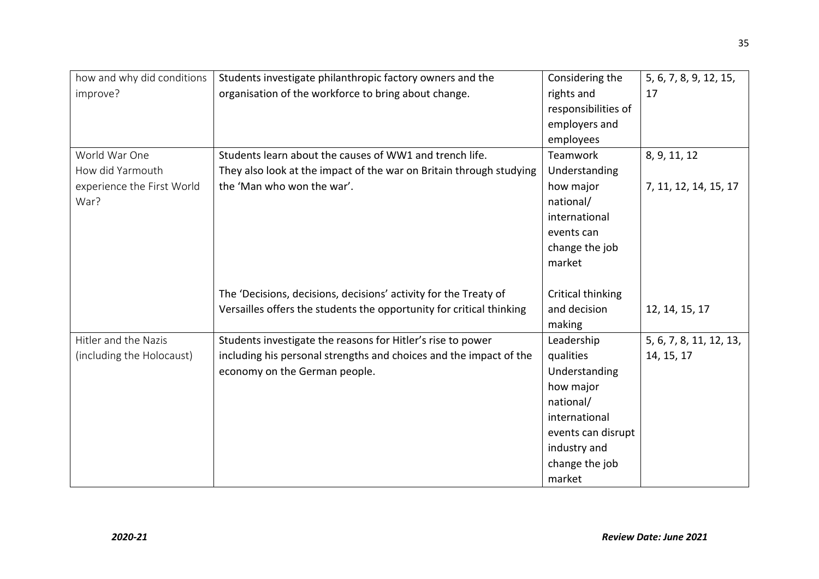| how and why did conditions | Students investigate philanthropic factory owners and the            | Considering the     | 5, 6, 7, 8, 9, 12, 15,  |
|----------------------------|----------------------------------------------------------------------|---------------------|-------------------------|
| improve?                   | organisation of the workforce to bring about change.                 | rights and          | 17                      |
|                            |                                                                      | responsibilities of |                         |
|                            |                                                                      | employers and       |                         |
|                            |                                                                      | employees           |                         |
| World War One              | Students learn about the causes of WW1 and trench life.              | Teamwork            | 8, 9, 11, 12            |
| How did Yarmouth           | They also look at the impact of the war on Britain through studying  | Understanding       |                         |
| experience the First World | the 'Man who won the war'.                                           | how major           | 7, 11, 12, 14, 15, 17   |
| War?                       |                                                                      | national/           |                         |
|                            |                                                                      | international       |                         |
|                            |                                                                      | events can          |                         |
|                            |                                                                      | change the job      |                         |
|                            |                                                                      | market              |                         |
|                            |                                                                      |                     |                         |
|                            | The 'Decisions, decisions, decisions' activity for the Treaty of     | Critical thinking   |                         |
|                            | Versailles offers the students the opportunity for critical thinking | and decision        | 12, 14, 15, 17          |
|                            |                                                                      | making              |                         |
| Hitler and the Nazis       | Students investigate the reasons for Hitler's rise to power          | Leadership          | 5, 6, 7, 8, 11, 12, 13, |
| (including the Holocaust)  | including his personal strengths and choices and the impact of the   | qualities           | 14, 15, 17              |
|                            | economy on the German people.                                        | Understanding       |                         |
|                            |                                                                      | how major           |                         |
|                            |                                                                      | national/           |                         |
|                            |                                                                      | international       |                         |
|                            |                                                                      | events can disrupt  |                         |
|                            |                                                                      | industry and        |                         |
|                            |                                                                      | change the job      |                         |
|                            |                                                                      | market              |                         |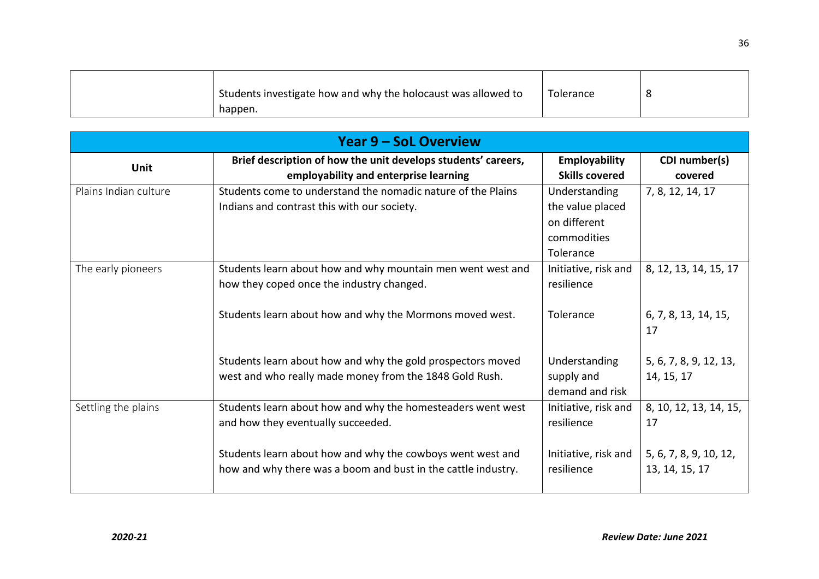| Students investigate how and why the holocaust was allowed to | Tolerance |  |
|---------------------------------------------------------------|-----------|--|
| happen.                                                       |           |  |

| <b>Year 9 – SoL Overview</b> |                                                                                                                                                                                                                                  |                                                                               |                                                                          |
|------------------------------|----------------------------------------------------------------------------------------------------------------------------------------------------------------------------------------------------------------------------------|-------------------------------------------------------------------------------|--------------------------------------------------------------------------|
| Unit                         | Brief description of how the unit develops students' careers,<br>employability and enterprise learning                                                                                                                           | <b>Employability</b><br><b>Skills covered</b>                                 | CDI number(s)<br>covered                                                 |
| Plains Indian culture        | Students come to understand the nomadic nature of the Plains<br>Indians and contrast this with our society.                                                                                                                      | Understanding<br>the value placed<br>on different<br>commodities<br>Tolerance | 7, 8, 12, 14, 17                                                         |
| The early pioneers           | Students learn about how and why mountain men went west and<br>how they coped once the industry changed.<br>Students learn about how and why the Mormons moved west.                                                             | Initiative, risk and<br>resilience<br>Tolerance                               | 8, 12, 13, 14, 15, 17<br>6, 7, 8, 13, 14, 15,                            |
|                              | Students learn about how and why the gold prospectors moved<br>west and who really made money from the 1848 Gold Rush.                                                                                                           | Understanding<br>supply and<br>demand and risk                                | 17<br>5, 6, 7, 8, 9, 12, 13,<br>14, 15, 17                               |
| Settling the plains          | Students learn about how and why the homesteaders went west<br>and how they eventually succeeded.<br>Students learn about how and why the cowboys went west and<br>how and why there was a boom and bust in the cattle industry. | Initiative, risk and<br>resilience<br>Initiative, risk and<br>resilience      | 8, 10, 12, 13, 14, 15,<br>17<br>5, 6, 7, 8, 9, 10, 12,<br>13, 14, 15, 17 |
|                              |                                                                                                                                                                                                                                  |                                                                               |                                                                          |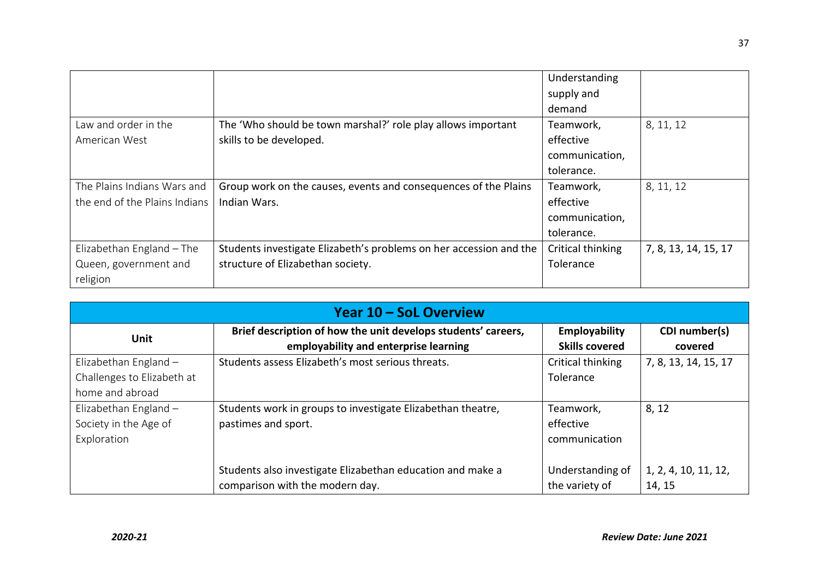|                               |                                                                    | Understanding     |                      |
|-------------------------------|--------------------------------------------------------------------|-------------------|----------------------|
|                               |                                                                    | supply and        |                      |
|                               |                                                                    | demand            |                      |
| Law and order in the          | The 'Who should be town marshal?' role play allows important       | Teamwork,         | 8, 11, 12            |
| American West                 | skills to be developed.                                            | effective         |                      |
|                               |                                                                    | communication,    |                      |
|                               |                                                                    | tolerance.        |                      |
| The Plains Indians Wars and   | Group work on the causes, events and consequences of the Plains    | Teamwork,         | 8, 11, 12            |
| the end of the Plains Indians | Indian Wars.                                                       | effective         |                      |
|                               |                                                                    | communication,    |                      |
|                               |                                                                    | tolerance.        |                      |
| Elizabethan England - The     | Students investigate Elizabeth's problems on her accession and the | Critical thinking | 7, 8, 13, 14, 15, 17 |
| Queen, government and         | structure of Elizabethan society.                                  | Tolerance         |                      |
| religion                      |                                                                    |                   |                      |

| Year 10 – SoL Overview                                                   |                                                                                                        |                                         |                                |
|--------------------------------------------------------------------------|--------------------------------------------------------------------------------------------------------|-----------------------------------------|--------------------------------|
| <b>Unit</b>                                                              | Brief description of how the unit develops students' careers,<br>employability and enterprise learning | Employability<br><b>Skills covered</b>  | CDI number(s)<br>covered       |
| Elizabethan England $-$<br>Challenges to Elizabeth at<br>home and abroad | Students assess Elizabeth's most serious threats.                                                      | Critical thinking<br>Tolerance          | 7, 8, 13, 14, 15, 17           |
| Elizabethan England $-$<br>Society in the Age of<br>Exploration          | Students work in groups to investigate Elizabethan theatre,<br>pastimes and sport.                     | Teamwork,<br>effective<br>communication | 8, 12                          |
|                                                                          | Students also investigate Elizabethan education and make a<br>comparison with the modern day.          | Understanding of<br>the variety of      | 1, 2, 4, 10, 11, 12,<br>14, 15 |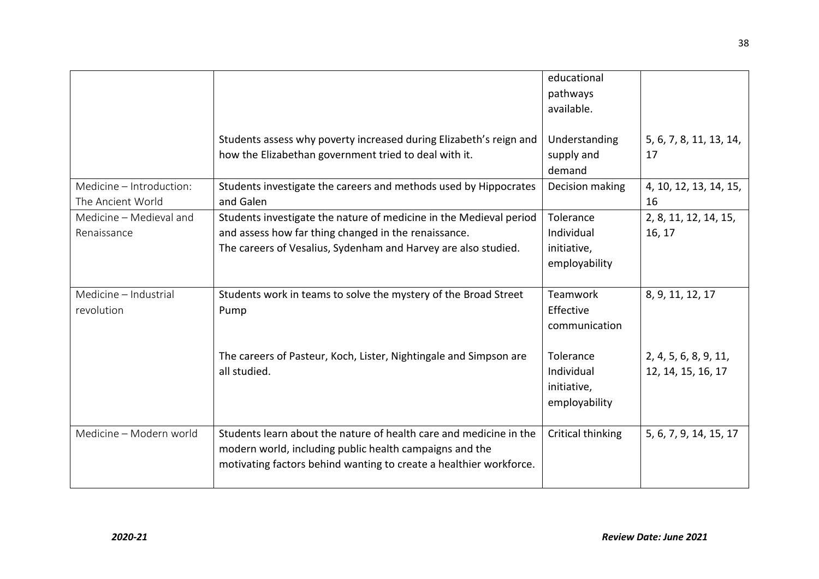|                          |                                                                    | educational       |                         |
|--------------------------|--------------------------------------------------------------------|-------------------|-------------------------|
|                          |                                                                    | pathways          |                         |
|                          |                                                                    | available.        |                         |
|                          |                                                                    |                   |                         |
|                          | Students assess why poverty increased during Elizabeth's reign and | Understanding     | 5, 6, 7, 8, 11, 13, 14, |
|                          | how the Elizabethan government tried to deal with it.              | supply and        | 17                      |
|                          |                                                                    | demand            |                         |
| Medicine - Introduction: | Students investigate the careers and methods used by Hippocrates   | Decision making   | 4, 10, 12, 13, 14, 15,  |
| The Ancient World        | and Galen                                                          |                   | 16                      |
| Medicine - Medieval and  | Students investigate the nature of medicine in the Medieval period | Tolerance         | 2, 8, 11, 12, 14, 15,   |
| Renaissance              | and assess how far thing changed in the renaissance.               | Individual        | 16, 17                  |
|                          | The careers of Vesalius, Sydenham and Harvey are also studied.     | initiative,       |                         |
|                          |                                                                    | employability     |                         |
|                          |                                                                    |                   |                         |
| Medicine - Industrial    | Students work in teams to solve the mystery of the Broad Street    | <b>Teamwork</b>   | 8, 9, 11, 12, 17        |
| revolution               | Pump                                                               | Effective         |                         |
|                          |                                                                    | communication     |                         |
|                          |                                                                    |                   |                         |
|                          | The careers of Pasteur, Koch, Lister, Nightingale and Simpson are  | Tolerance         | 2, 4, 5, 6, 8, 9, 11,   |
|                          | all studied.                                                       | Individual        | 12, 14, 15, 16, 17      |
|                          |                                                                    | initiative,       |                         |
|                          |                                                                    | employability     |                         |
|                          |                                                                    |                   |                         |
| Medicine - Modern world  | Students learn about the nature of health care and medicine in the | Critical thinking | 5, 6, 7, 9, 14, 15, 17  |
|                          | modern world, including public health campaigns and the            |                   |                         |
|                          | motivating factors behind wanting to create a healthier workforce. |                   |                         |
|                          |                                                                    |                   |                         |
|                          |                                                                    |                   |                         |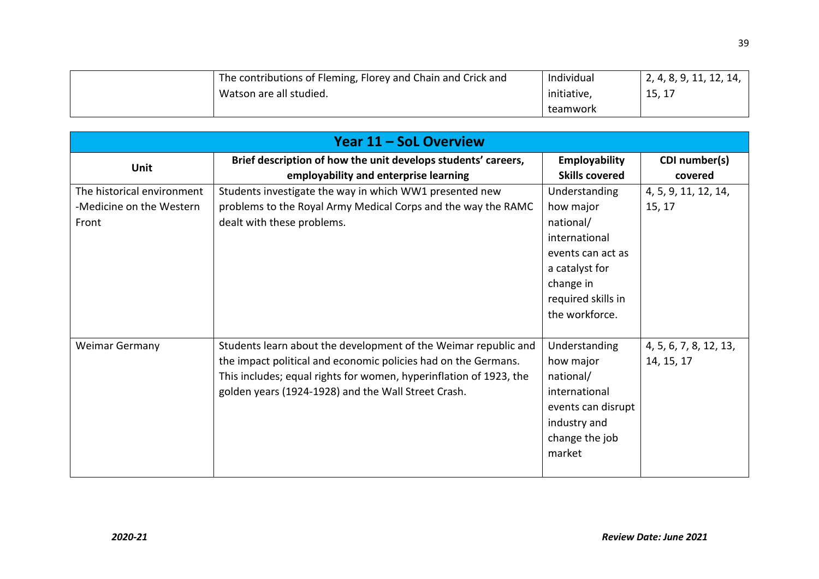| <sup>1</sup> The contributions of Fleming, Florey and Chain and Crick and | Individual  | 2, 4, 8, 9, 11, 12, 14, |
|---------------------------------------------------------------------------|-------------|-------------------------|
| Watson are all studied.                                                   | initiative, | 15, 17                  |
|                                                                           | teamwork    |                         |

| <b>Year 11 - SoL Overview</b>                                   |                                                                                                                                                                                                                                                                |                                                                                                                                                      |                                      |
|-----------------------------------------------------------------|----------------------------------------------------------------------------------------------------------------------------------------------------------------------------------------------------------------------------------------------------------------|------------------------------------------------------------------------------------------------------------------------------------------------------|--------------------------------------|
| <b>Unit</b>                                                     | Brief description of how the unit develops students' careers,<br>employability and enterprise learning                                                                                                                                                         | <b>Employability</b><br><b>Skills covered</b>                                                                                                        | CDI number(s)<br>covered             |
| The historical environment<br>-Medicine on the Western<br>Front | Students investigate the way in which WW1 presented new<br>problems to the Royal Army Medical Corps and the way the RAMC<br>dealt with these problems.                                                                                                         | Understanding<br>how major<br>national/<br>international<br>events can act as<br>a catalyst for<br>change in<br>required skills in<br>the workforce. | 4, 5, 9, 11, 12, 14,<br>15, 17       |
| <b>Weimar Germany</b>                                           | Students learn about the development of the Weimar republic and<br>the impact political and economic policies had on the Germans.<br>This includes; equal rights for women, hyperinflation of 1923, the<br>golden years (1924-1928) and the Wall Street Crash. | Understanding<br>how major<br>national/<br>international<br>events can disrupt<br>industry and<br>change the job<br>market                           | 4, 5, 6, 7, 8, 12, 13,<br>14, 15, 17 |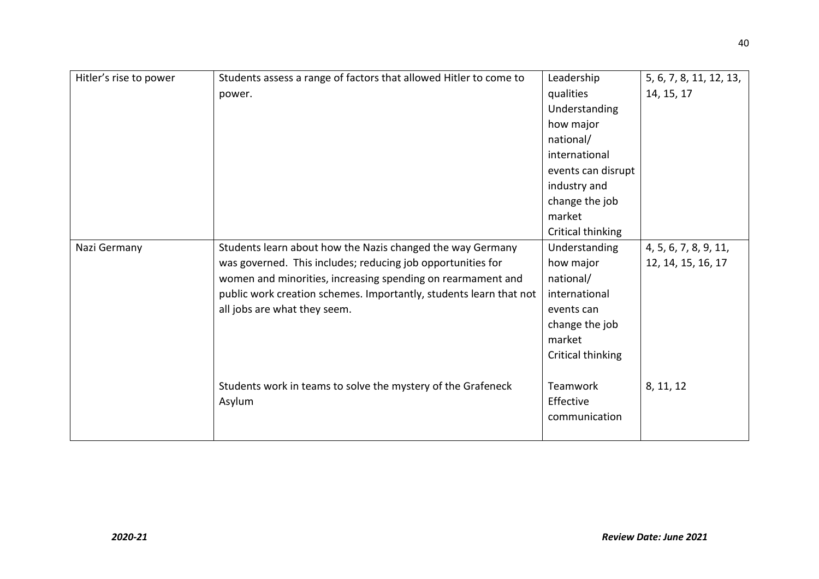| Hitler's rise to power | Students assess a range of factors that allowed Hitler to come to  | Leadership         | 5, 6, 7, 8, 11, 12, 13, |
|------------------------|--------------------------------------------------------------------|--------------------|-------------------------|
|                        | power.                                                             | qualities          | 14, 15, 17              |
|                        |                                                                    | Understanding      |                         |
|                        |                                                                    | how major          |                         |
|                        |                                                                    | national/          |                         |
|                        |                                                                    | international      |                         |
|                        |                                                                    | events can disrupt |                         |
|                        |                                                                    | industry and       |                         |
|                        |                                                                    | change the job     |                         |
|                        |                                                                    | market             |                         |
|                        |                                                                    | Critical thinking  |                         |
| Nazi Germany           | Students learn about how the Nazis changed the way Germany         | Understanding      | 4, 5, 6, 7, 8, 9, 11,   |
|                        | was governed. This includes; reducing job opportunities for        | how major          | 12, 14, 15, 16, 17      |
|                        | women and minorities, increasing spending on rearmament and        | national/          |                         |
|                        | public work creation schemes. Importantly, students learn that not | international      |                         |
|                        | all jobs are what they seem.                                       | events can         |                         |
|                        |                                                                    | change the job     |                         |
|                        |                                                                    | market             |                         |
|                        |                                                                    | Critical thinking  |                         |
|                        |                                                                    |                    |                         |
|                        | Students work in teams to solve the mystery of the Grafeneck       | Teamwork           | 8, 11, 12               |
|                        | Asylum                                                             | Effective          |                         |
|                        |                                                                    | communication      |                         |
|                        |                                                                    |                    |                         |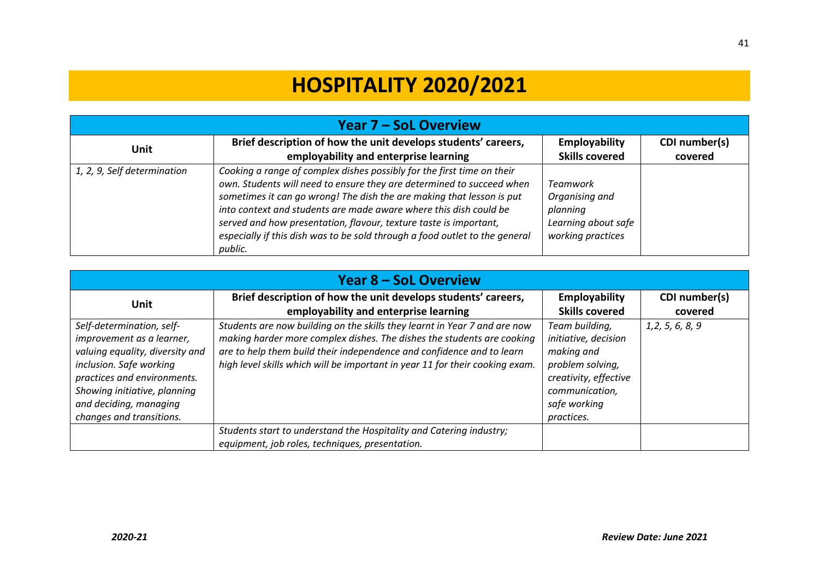# **HOSPITALITY 2020/2021**

| <b>Year 7 – SoL Overview</b> |                                                                                                                                                                                                                                                                                                                                                                                                                                                              |                                                                                           |                          |
|------------------------------|--------------------------------------------------------------------------------------------------------------------------------------------------------------------------------------------------------------------------------------------------------------------------------------------------------------------------------------------------------------------------------------------------------------------------------------------------------------|-------------------------------------------------------------------------------------------|--------------------------|
| <b>Unit</b>                  | Brief description of how the unit develops students' careers,<br>employability and enterprise learning                                                                                                                                                                                                                                                                                                                                                       | Employability<br><b>Skills covered</b>                                                    | CDI number(s)<br>covered |
| 1, 2, 9, Self determination  | Cooking a range of complex dishes possibly for the first time on their<br>own. Students will need to ensure they are determined to succeed when<br>sometimes it can go wrong! The dish the are making that lesson is put<br>into context and students are made aware where this dish could be<br>served and how presentation, flavour, texture taste is important,<br>especially if this dish was to be sold through a food outlet to the general<br>public. | <b>Teamwork</b><br>Organising and<br>planning<br>Learning about safe<br>working practices |                          |

| <b>Year 8 – SoL Overview</b>                                                                                                                                                                                                              |                                                                                                                                                                                                                                                                                                              |                                                                                                                                                   |                          |
|-------------------------------------------------------------------------------------------------------------------------------------------------------------------------------------------------------------------------------------------|--------------------------------------------------------------------------------------------------------------------------------------------------------------------------------------------------------------------------------------------------------------------------------------------------------------|---------------------------------------------------------------------------------------------------------------------------------------------------|--------------------------|
| Unit                                                                                                                                                                                                                                      | Brief description of how the unit develops students' careers,<br>employability and enterprise learning                                                                                                                                                                                                       | Employability<br><b>Skills covered</b>                                                                                                            | CDI number(s)<br>covered |
| Self-determination, self-<br>improvement as a learner,<br>valuing equality, diversity and<br>inclusion. Safe working<br>practices and environments.<br>Showing initiative, planning<br>and deciding, managing<br>changes and transitions. | Students are now building on the skills they learnt in Year 7 and are now<br>making harder more complex dishes. The dishes the students are cooking<br>are to help them build their independence and confidence and to learn<br>high level skills which will be important in year 11 for their cooking exam. | Team building,<br>initiative, decision<br>making and<br>problem solving,<br>creativity, effective<br>communication,<br>safe working<br>practices. | 1, 2, 5, 6, 8, 9         |
|                                                                                                                                                                                                                                           | Students start to understand the Hospitality and Catering industry;<br>equipment, job roles, techniques, presentation.                                                                                                                                                                                       |                                                                                                                                                   |                          |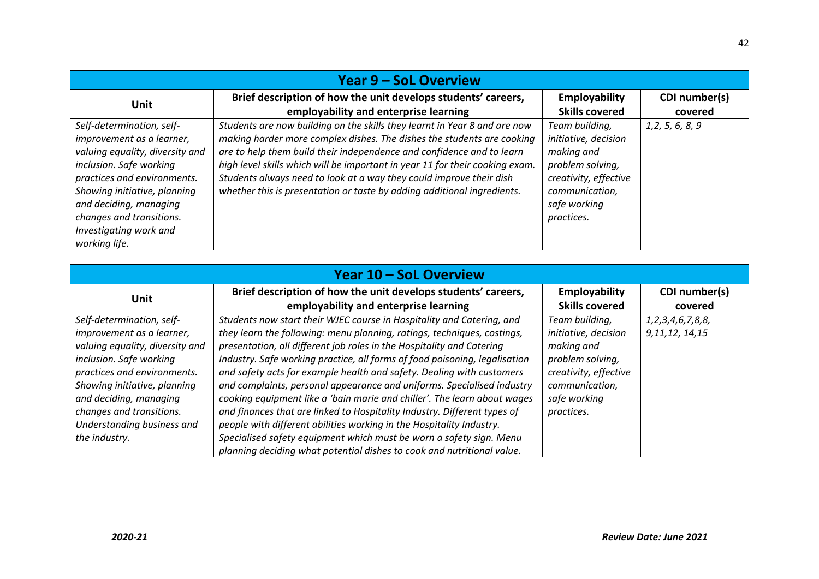| <b>Year 9 – SoL Overview</b>                                                                                                                                                                                                                                                         |                                                                                                                                                                                                                                                                                                                                                                                                                                                                |                                                                                                                                                   |                          |
|--------------------------------------------------------------------------------------------------------------------------------------------------------------------------------------------------------------------------------------------------------------------------------------|----------------------------------------------------------------------------------------------------------------------------------------------------------------------------------------------------------------------------------------------------------------------------------------------------------------------------------------------------------------------------------------------------------------------------------------------------------------|---------------------------------------------------------------------------------------------------------------------------------------------------|--------------------------|
| Unit                                                                                                                                                                                                                                                                                 | Brief description of how the unit develops students' careers,<br>employability and enterprise learning                                                                                                                                                                                                                                                                                                                                                         | <b>Employability</b><br><b>Skills covered</b>                                                                                                     | CDI number(s)<br>covered |
| Self-determination, self-<br>improvement as a learner,<br>valuing equality, diversity and<br>inclusion. Safe working<br>practices and environments.<br>Showing initiative, planning<br>and deciding, managing<br>changes and transitions.<br>Investigating work and<br>working life. | Students are now building on the skills they learnt in Year 8 and are now<br>making harder more complex dishes. The dishes the students are cooking<br>are to help them build their independence and confidence and to learn<br>high level skills which will be important in year 11 for their cooking exam.<br>Students always need to look at a way they could improve their dish<br>whether this is presentation or taste by adding additional ingredients. | Team building,<br>initiative, decision<br>making and<br>problem solving,<br>creativity, effective<br>communication,<br>safe working<br>practices. | 1, 2, 5, 6, 8, 9         |

| <b>Year 10 - SoL Overview</b>   |                                                                            |                       |                         |
|---------------------------------|----------------------------------------------------------------------------|-----------------------|-------------------------|
| <b>Unit</b>                     | Brief description of how the unit develops students' careers,              | Employability         | CDI number(s)           |
|                                 | employability and enterprise learning                                      | <b>Skills covered</b> | covered                 |
| Self-determination, self-       | Students now start their WJEC course in Hospitality and Catering, and      | Team building,        | 1, 2, 3, 4, 6, 7, 8, 8, |
| improvement as a learner,       | they learn the following: menu planning, ratings, techniques, costings,    | initiative, decision  | 9, 11, 12, 14, 15       |
| valuing equality, diversity and | presentation, all different job roles in the Hospitality and Catering      | making and            |                         |
| inclusion. Safe working         | Industry. Safe working practice, all forms of food poisoning, legalisation | problem solving,      |                         |
| practices and environments.     | and safety acts for example health and safety. Dealing with customers      | creativity, effective |                         |
| Showing initiative, planning    | and complaints, personal appearance and uniforms. Specialised industry     | communication,        |                         |
| and deciding, managing          | cooking equipment like a 'bain marie and chiller'. The learn about wages   | safe working          |                         |
| changes and transitions.        | and finances that are linked to Hospitality Industry. Different types of   | practices.            |                         |
| Understanding business and      | people with different abilities working in the Hospitality Industry.       |                       |                         |
| the industry.                   | Specialised safety equipment which must be worn a safety sign. Menu        |                       |                         |
|                                 | planning deciding what potential dishes to cook and nutritional value.     |                       |                         |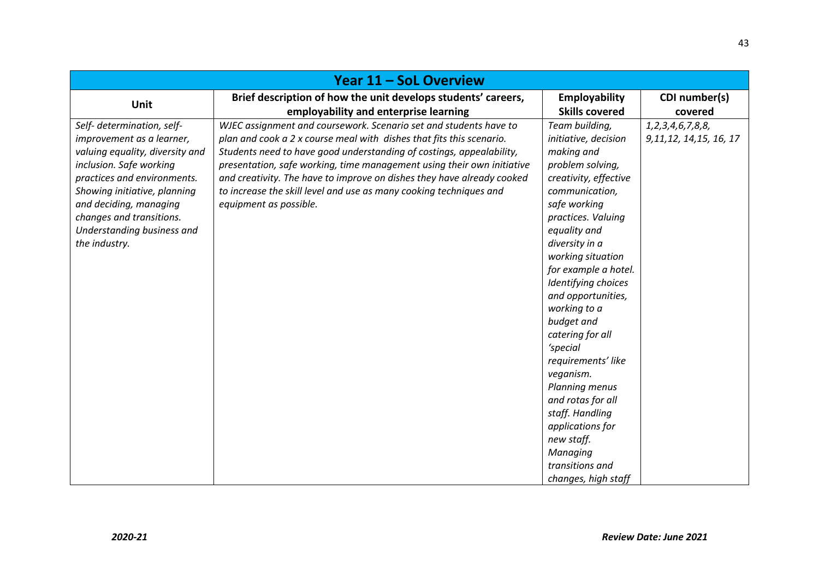| Year 11 – SoL Overview                      |                                                                        |                                    |                           |
|---------------------------------------------|------------------------------------------------------------------------|------------------------------------|---------------------------|
| <b>Unit</b>                                 | Brief description of how the unit develops students' careers,          | Employability                      | CDI number(s)             |
|                                             | employability and enterprise learning                                  | <b>Skills covered</b>              | covered                   |
| Self- determination, self-                  | WJEC assignment and coursework. Scenario set and students have to      | Team building,                     | 1, 2, 3, 4, 6, 7, 8, 8,   |
| improvement as a learner,                   | plan and cook a 2 x course meal with dishes that fits this scenario.   | initiative, decision               | 9, 11, 12, 14, 15, 16, 17 |
| valuing equality, diversity and             | Students need to have good understanding of costings, appealability,   | making and                         |                           |
| inclusion. Safe working                     | presentation, safe working, time management using their own initiative | problem solving,                   |                           |
| practices and environments.                 | and creativity. The have to improve on dishes they have already cooked | creativity, effective              |                           |
| Showing initiative, planning                | to increase the skill level and use as many cooking techniques and     | communication,                     |                           |
| and deciding, managing                      | equipment as possible.                                                 | safe working                       |                           |
| changes and transitions.                    |                                                                        | practices. Valuing<br>equality and |                           |
| Understanding business and<br>the industry. |                                                                        | diversity in a                     |                           |
|                                             |                                                                        | working situation                  |                           |
|                                             |                                                                        | for example a hotel.               |                           |
|                                             |                                                                        | Identifying choices                |                           |
|                                             |                                                                        | and opportunities,                 |                           |
|                                             |                                                                        | working to a                       |                           |
|                                             |                                                                        | budget and                         |                           |
|                                             |                                                                        | catering for all                   |                           |
|                                             |                                                                        | 'special                           |                           |
|                                             |                                                                        | requirements' like                 |                           |
|                                             |                                                                        | veganism.                          |                           |
|                                             |                                                                        | Planning menus                     |                           |
|                                             |                                                                        | and rotas for all                  |                           |
|                                             |                                                                        | staff. Handling                    |                           |
|                                             |                                                                        | applications for                   |                           |
|                                             |                                                                        | new staff.                         |                           |
|                                             |                                                                        | Managing                           |                           |
|                                             |                                                                        | transitions and                    |                           |
|                                             |                                                                        | changes, high staff                |                           |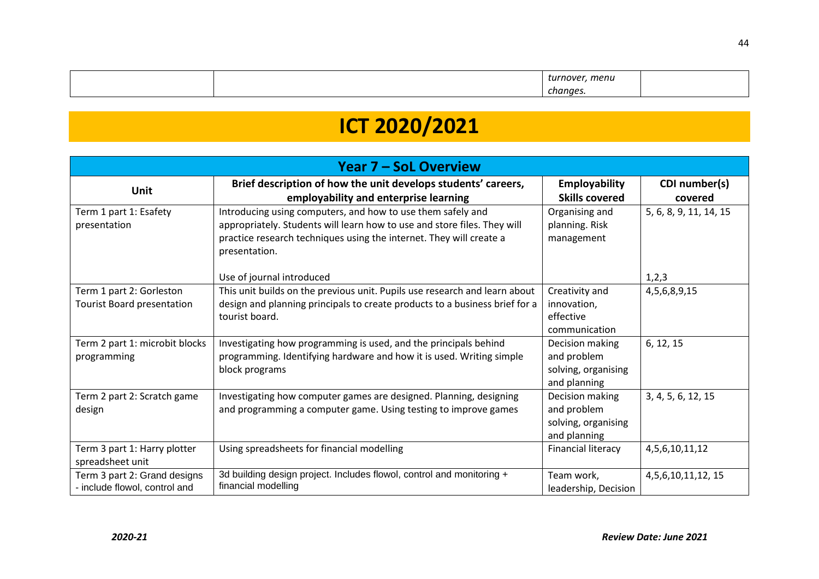|  | тепи<br>71/P<br>τиι |  |
|--|---------------------|--|
|  | chanaes             |  |

# **ICT 2020/2021**

| <b>Year 7 - SoL Overview</b>                                  |                                                                                                                                                                                                                                 |                                                                       |                          |
|---------------------------------------------------------------|---------------------------------------------------------------------------------------------------------------------------------------------------------------------------------------------------------------------------------|-----------------------------------------------------------------------|--------------------------|
| <b>Unit</b>                                                   | Brief description of how the unit develops students' careers,<br>employability and enterprise learning                                                                                                                          | <b>Employability</b><br><b>Skills covered</b>                         | CDI number(s)<br>covered |
| Term 1 part 1: Esafety<br>presentation                        | Introducing using computers, and how to use them safely and<br>appropriately. Students will learn how to use and store files. They will<br>practice research techniques using the internet. They will create a<br>presentation. | Organising and<br>planning. Risk<br>management                        | 5, 6, 8, 9, 11, 14, 15   |
|                                                               | Use of journal introduced                                                                                                                                                                                                       |                                                                       | 1,2,3                    |
| Term 1 part 2: Gorleston<br><b>Tourist Board presentation</b> | This unit builds on the previous unit. Pupils use research and learn about<br>design and planning principals to create products to a business brief for a<br>tourist board.                                                     | Creativity and<br>innovation,<br>effective<br>communication           | 4, 5, 6, 8, 9, 15        |
| Term 2 part 1: microbit blocks<br>programming                 | Investigating how programming is used, and the principals behind<br>programming. Identifying hardware and how it is used. Writing simple<br>block programs                                                                      | Decision making<br>and problem<br>solving, organising<br>and planning | 6, 12, 15                |
| Term 2 part 2: Scratch game<br>design                         | Investigating how computer games are designed. Planning, designing<br>and programming a computer game. Using testing to improve games                                                                                           | Decision making<br>and problem<br>solving, organising<br>and planning | 3, 4, 5, 6, 12, 15       |
| Term 3 part 1: Harry plotter<br>spreadsheet unit              | Using spreadsheets for financial modelling                                                                                                                                                                                      | <b>Financial literacy</b>                                             | 4, 5, 6, 10, 11, 12      |
| Term 3 part 2: Grand designs<br>- include flowol, control and | 3d building design project. Includes flowol, control and monitoring +<br>financial modelling                                                                                                                                    | Team work,<br>leadership, Decision                                    | 4, 5, 6, 10, 11, 12, 15  |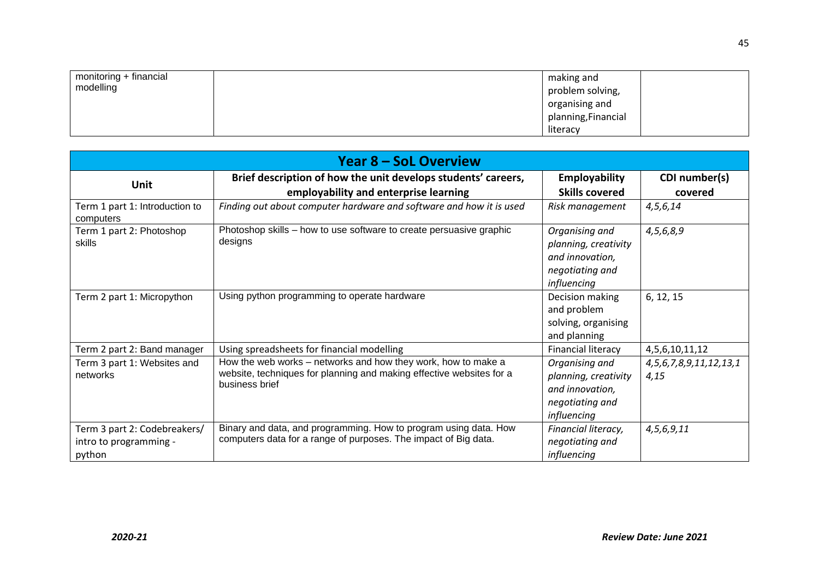| monitoring + financial<br>modelling | making and<br>problem solving,<br>organising and<br>planning, Financial |  |
|-------------------------------------|-------------------------------------------------------------------------|--|
|                                     | literacy                                                                |  |

| <b>Year 8 – SoL Overview</b>                                     |                                                                                                                                                         |                                                                                             |                                         |
|------------------------------------------------------------------|---------------------------------------------------------------------------------------------------------------------------------------------------------|---------------------------------------------------------------------------------------------|-----------------------------------------|
| Unit                                                             | Brief description of how the unit develops students' careers,<br>employability and enterprise learning                                                  | Employability<br><b>Skills covered</b>                                                      | CDI number(s)<br>covered                |
| Term 1 part 1: Introduction to<br>computers                      | Finding out about computer hardware and software and how it is used                                                                                     | Risk management                                                                             | 4, 5, 6, 14                             |
| Term 1 part 2: Photoshop<br>skills                               | Photoshop skills - how to use software to create persuasive graphic<br>designs                                                                          | Organising and<br>planning, creativity<br>and innovation,<br>negotiating and<br>influencing | 4,5,6,8,9                               |
| Term 2 part 1: Micropython                                       | Using python programming to operate hardware                                                                                                            | Decision making<br>and problem<br>solving, organising<br>and planning                       | 6, 12, 15                               |
| Term 2 part 2: Band manager                                      | Using spreadsheets for financial modelling                                                                                                              | <b>Financial literacy</b>                                                                   | 4, 5, 6, 10, 11, 12                     |
| Term 3 part 1: Websites and<br>networks                          | How the web works - networks and how they work, how to make a<br>website, techniques for planning and making effective websites for a<br>business brief | Organising and<br>planning, creativity<br>and innovation,<br>negotiating and<br>influencing | 4, 5, 6, 7, 8, 9, 11, 12, 13, 1<br>4,15 |
| Term 3 part 2: Codebreakers/<br>intro to programming -<br>python | Binary and data, and programming. How to program using data. How<br>computers data for a range of purposes. The impact of Big data.                     | Financial literacy,<br>negotiating and<br>influencing                                       | 4,5,6,9,11                              |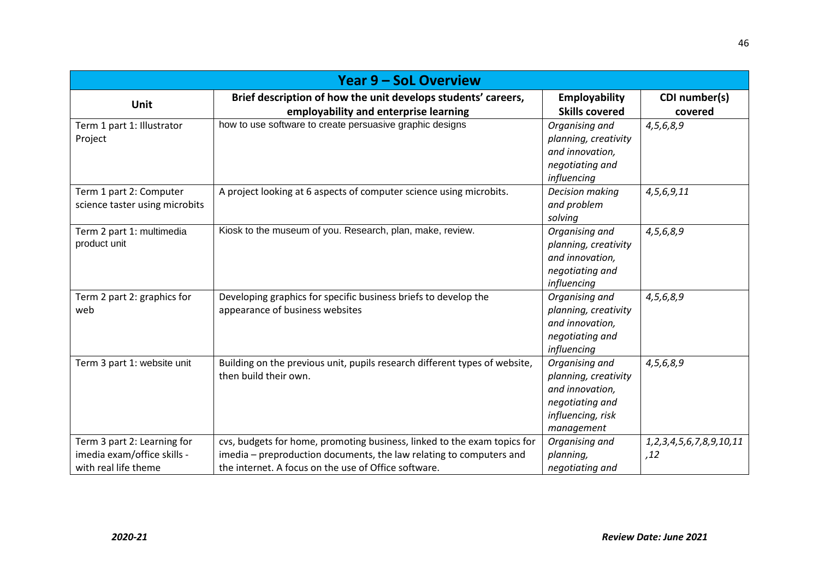| <b>Year 9 - SoL Overview</b>                                                       |                                                                                                                                                                                                         |                                                                                                                 |                                          |
|------------------------------------------------------------------------------------|---------------------------------------------------------------------------------------------------------------------------------------------------------------------------------------------------------|-----------------------------------------------------------------------------------------------------------------|------------------------------------------|
| <b>Unit</b>                                                                        | Brief description of how the unit develops students' careers,                                                                                                                                           | Employability                                                                                                   | CDI number(s)                            |
| Term 1 part 1: Illustrator<br>Project                                              | employability and enterprise learning<br>how to use software to create persuasive graphic designs                                                                                                       | <b>Skills covered</b><br>Organising and<br>planning, creativity<br>and innovation,<br>negotiating and           | covered<br>4,5,6,8,9                     |
| Term 1 part 2: Computer<br>science taster using microbits                          | A project looking at 6 aspects of computer science using microbits.                                                                                                                                     | influencing<br>Decision making<br>and problem<br>solving                                                        | 4,5,6,9,11                               |
| Term 2 part 1: multimedia<br>product unit                                          | Kiosk to the museum of you. Research, plan, make, review.                                                                                                                                               | Organising and<br>planning, creativity<br>and innovation,<br>negotiating and<br>influencing                     | 4,5,6,8,9                                |
| Term 2 part 2: graphics for<br>web                                                 | Developing graphics for specific business briefs to develop the<br>appearance of business websites                                                                                                      | Organising and<br>planning, creativity<br>and innovation,<br>negotiating and<br>influencing                     | 4,5,6,8,9                                |
| Term 3 part 1: website unit                                                        | Building on the previous unit, pupils research different types of website,<br>then build their own.                                                                                                     | Organising and<br>planning, creativity<br>and innovation,<br>negotiating and<br>influencing, risk<br>management | 4,5,6,8,9                                |
| Term 3 part 2: Learning for<br>imedia exam/office skills -<br>with real life theme | cvs, budgets for home, promoting business, linked to the exam topics for<br>imedia - preproduction documents, the law relating to computers and<br>the internet. A focus on the use of Office software. | Organising and<br>planning,<br>negotiating and                                                                  | 1, 2, 3, 4, 5, 6, 7, 8, 9, 10, 11<br>,12 |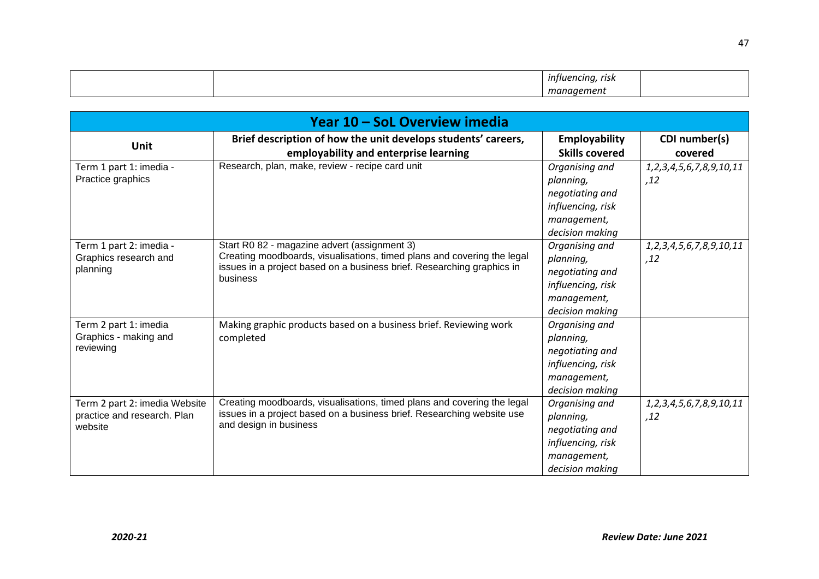|  | rısk<br>ста<br>,,,,, |  |
|--|----------------------|--|
|  |                      |  |

| Year 10 - SoL Overview imedia          |                                                                                                                                                   |                       |                                   |
|----------------------------------------|---------------------------------------------------------------------------------------------------------------------------------------------------|-----------------------|-----------------------------------|
| <b>Unit</b>                            | Brief description of how the unit develops students' careers,                                                                                     | Employability         | CDI number(s)                     |
|                                        | employability and enterprise learning                                                                                                             | <b>Skills covered</b> | covered                           |
| Term 1 part 1: imedia -                | Research, plan, make, review - recipe card unit                                                                                                   | Organising and        | 1, 2, 3, 4, 5, 6, 7, 8, 9, 10, 11 |
| Practice graphics                      |                                                                                                                                                   | planning,             | ,12                               |
|                                        |                                                                                                                                                   | negotiating and       |                                   |
|                                        |                                                                                                                                                   | influencing, risk     |                                   |
|                                        |                                                                                                                                                   | management,           |                                   |
|                                        |                                                                                                                                                   | decision making       |                                   |
| Term 1 part 2: imedia -                | Start R0 82 - magazine advert (assignment 3)                                                                                                      | Organising and        | 1, 2, 3, 4, 5, 6, 7, 8, 9, 10, 11 |
| Graphics research and                  | Creating moodboards, visualisations, timed plans and covering the legal<br>issues in a project based on a business brief. Researching graphics in | planning,             | ,12                               |
| planning                               | business                                                                                                                                          | negotiating and       |                                   |
|                                        |                                                                                                                                                   | influencing, risk     |                                   |
|                                        |                                                                                                                                                   | management,           |                                   |
|                                        |                                                                                                                                                   | decision making       |                                   |
| Term 2 part 1: imedia                  | Making graphic products based on a business brief. Reviewing work                                                                                 | Organising and        |                                   |
| Graphics - making and                  | completed                                                                                                                                         | planning,             |                                   |
| reviewing                              |                                                                                                                                                   | negotiating and       |                                   |
|                                        |                                                                                                                                                   | influencing, risk     |                                   |
|                                        |                                                                                                                                                   | management,           |                                   |
|                                        |                                                                                                                                                   | decision making       |                                   |
| Term 2 part 2: imedia Website          | Creating moodboards, visualisations, timed plans and covering the legal                                                                           | Organising and        | 1, 2, 3, 4, 5, 6, 7, 8, 9, 10, 11 |
| practice and research. Plan<br>website | issues in a project based on a business brief. Researching website use<br>and design in business                                                  | planning,             | ,12                               |
|                                        |                                                                                                                                                   | negotiating and       |                                   |
|                                        |                                                                                                                                                   | influencing, risk     |                                   |
|                                        |                                                                                                                                                   | management,           |                                   |
|                                        |                                                                                                                                                   | decision making       |                                   |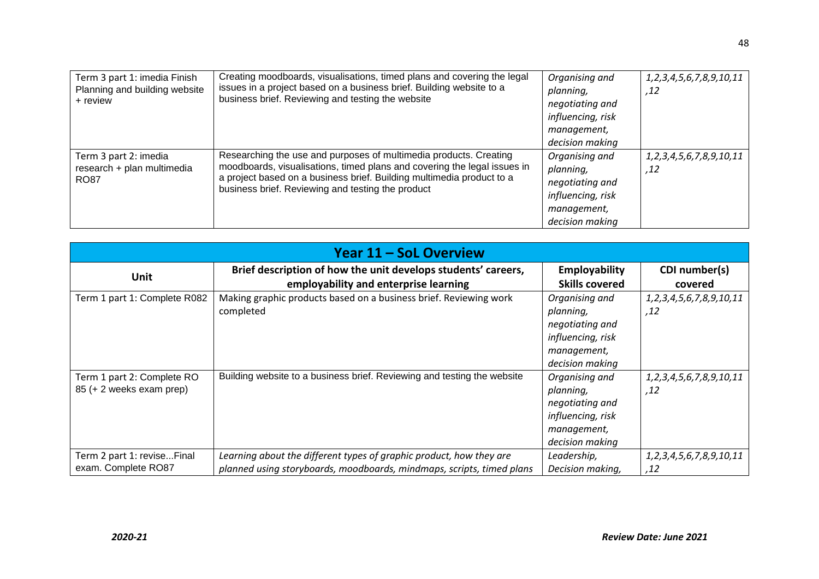| Term 3 part 1: imedia Finish<br>Planning and building website<br>+ review | Creating moodboards, visualisations, timed plans and covering the legal<br>issues in a project based on a business brief. Building website to a<br>business brief. Reviewing and testing the website                                                                        | Organising and<br>planning,<br>negotiating and<br>influencing, risk<br>management,<br>decision making | 1, 2, 3, 4, 5, 6, 7, 8, 9, 10, 11<br>.12 |
|---------------------------------------------------------------------------|-----------------------------------------------------------------------------------------------------------------------------------------------------------------------------------------------------------------------------------------------------------------------------|-------------------------------------------------------------------------------------------------------|------------------------------------------|
| Term 3 part 2: imedia<br>research + plan multimedia<br><b>RO87</b>        | Researching the use and purposes of multimedia products. Creating<br>moodboards, visualisations, timed plans and covering the legal issues in<br>a project based on a business brief. Building multimedia product to a<br>business brief. Reviewing and testing the product | Organising and<br>planning,<br>negotiating and<br>influencing, risk<br>management,<br>decision making | 1, 2, 3, 4, 5, 6, 7, 8, 9, 10, 11<br>,12 |

| <b>Year 11 - SoL Overview</b> |                                                                         |                       |                                   |
|-------------------------------|-------------------------------------------------------------------------|-----------------------|-----------------------------------|
| Unit                          | Brief description of how the unit develops students' careers,           | Employability         | CDI number(s)                     |
|                               | employability and enterprise learning                                   | <b>Skills covered</b> | covered                           |
| Term 1 part 1: Complete R082  | Making graphic products based on a business brief. Reviewing work       | Organising and        | 1, 2, 3, 4, 5, 6, 7, 8, 9, 10, 11 |
|                               | completed                                                               | planning,             | 12,                               |
|                               |                                                                         | negotiating and       |                                   |
|                               |                                                                         | influencing, risk     |                                   |
|                               |                                                                         | management,           |                                   |
|                               |                                                                         | decision making       |                                   |
| Term 1 part 2: Complete RO    | Building website to a business brief. Reviewing and testing the website | Organising and        | 1, 2, 3, 4, 5, 6, 7, 8, 9, 10, 11 |
| 85 (+ 2 weeks exam prep)      |                                                                         | planning,             | 12,                               |
|                               |                                                                         | negotiating and       |                                   |
|                               |                                                                         | influencing, risk     |                                   |
|                               |                                                                         | management,           |                                   |
|                               |                                                                         | decision making       |                                   |
| Term 2 part 1: reviseFinal    | Learning about the different types of graphic product, how they are     | Leadership,           | 1, 2, 3, 4, 5, 6, 7, 8, 9, 10, 11 |
| exam. Complete RO87           | planned using storyboards, moodboards, mindmaps, scripts, timed plans   | Decision making,      | .12                               |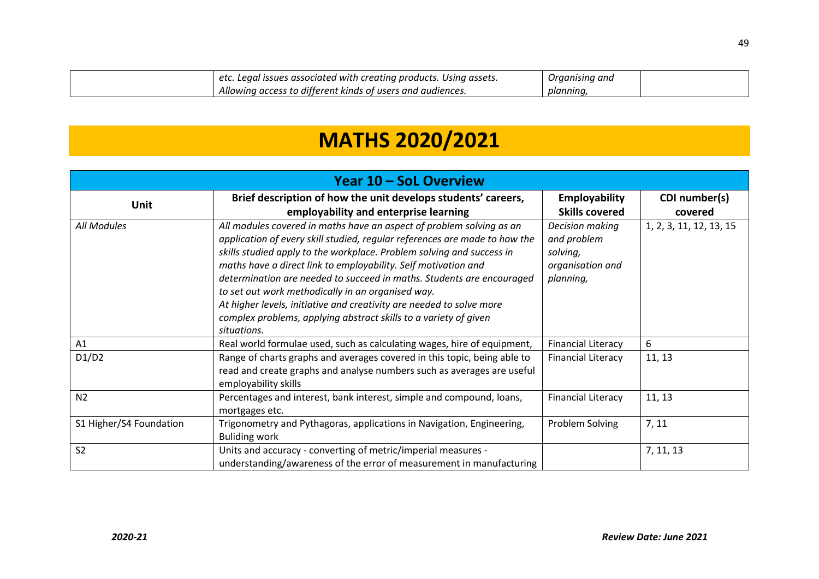| etc. Legal issues associated with creating products. Using assets. | Organising and |  |
|--------------------------------------------------------------------|----------------|--|
| Allowing access to different kinds of users and audiences.         | plannına       |  |

# **MATHS 2020/2021**

| Year 10 - SoL Overview  |                                                                            |                           |                         |
|-------------------------|----------------------------------------------------------------------------|---------------------------|-------------------------|
| <b>Unit</b>             | Brief description of how the unit develops students' careers,              | <b>Employability</b>      | CDI number(s)           |
|                         | employability and enterprise learning                                      | <b>Skills covered</b>     | covered                 |
| All Modules             | All modules covered in maths have an aspect of problem solving as an       | Decision making           | 1, 2, 3, 11, 12, 13, 15 |
|                         | application of every skill studied, regular references are made to how the | and problem               |                         |
|                         | skills studied apply to the workplace. Problem solving and success in      | solving,                  |                         |
|                         | maths have a direct link to employability. Self motivation and             | organisation and          |                         |
|                         | determination are needed to succeed in maths. Students are encouraged      | planning,                 |                         |
|                         | to set out work methodically in an organised way.                          |                           |                         |
|                         | At higher levels, initiative and creativity are needed to solve more       |                           |                         |
|                         | complex problems, applying abstract skills to a variety of given           |                           |                         |
|                         | situations.                                                                |                           |                         |
| A1                      | Real world formulae used, such as calculating wages, hire of equipment,    | <b>Financial Literacy</b> | 6                       |
| D1/D2                   | Range of charts graphs and averages covered in this topic, being able to   | <b>Financial Literacy</b> | 11, 13                  |
|                         | read and create graphs and analyse numbers such as averages are useful     |                           |                         |
|                         | employability skills                                                       |                           |                         |
| N <sub>2</sub>          | Percentages and interest, bank interest, simple and compound, loans,       | <b>Financial Literacy</b> | 11, 13                  |
|                         | mortgages etc.                                                             |                           |                         |
| S1 Higher/S4 Foundation | Trigonometry and Pythagoras, applications in Navigation, Engineering,      | Problem Solving           | 7, 11                   |
|                         | <b>Buliding work</b>                                                       |                           |                         |
| S <sub>2</sub>          | Units and accuracy - converting of metric/imperial measures -              |                           | 7, 11, 13               |
|                         | understanding/awareness of the error of measurement in manufacturing       |                           |                         |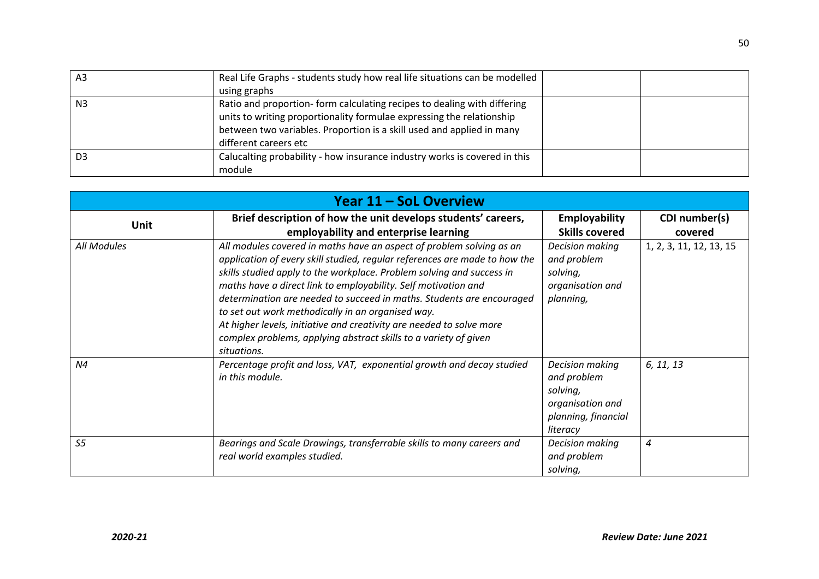| A3             | Real Life Graphs - students study how real life situations can be modelled |  |
|----------------|----------------------------------------------------------------------------|--|
|                | using graphs                                                               |  |
| N <sub>3</sub> | Ratio and proportion- form calculating recipes to dealing with differing   |  |
|                | units to writing proportionality formulae expressing the relationship      |  |
|                | between two variables. Proportion is a skill used and applied in many      |  |
|                | different careers etc                                                      |  |
| D <sub>3</sub> | Calucalting probability - how insurance industry works is covered in this  |  |
|                | module                                                                     |  |

| Year 11 - SoL Overview |                                                                                                                                                                                                                                                                                                                                                                                                                                                                                                                                                                                        |                                                                                                   |                          |
|------------------------|----------------------------------------------------------------------------------------------------------------------------------------------------------------------------------------------------------------------------------------------------------------------------------------------------------------------------------------------------------------------------------------------------------------------------------------------------------------------------------------------------------------------------------------------------------------------------------------|---------------------------------------------------------------------------------------------------|--------------------------|
| <b>Unit</b>            | Brief description of how the unit develops students' careers,<br>employability and enterprise learning                                                                                                                                                                                                                                                                                                                                                                                                                                                                                 | <b>Employability</b><br><b>Skills covered</b>                                                     | CDI number(s)<br>covered |
| All Modules            | All modules covered in maths have an aspect of problem solving as an<br>application of every skill studied, regular references are made to how the<br>skills studied apply to the workplace. Problem solving and success in<br>maths have a direct link to employability. Self motivation and<br>determination are needed to succeed in maths. Students are encouraged<br>to set out work methodically in an organised way.<br>At higher levels, initiative and creativity are needed to solve more<br>complex problems, applying abstract skills to a variety of given<br>situations. | Decision making<br>and problem<br>solving,<br>organisation and<br>planning,                       | 1, 2, 3, 11, 12, 13, 15  |
| N4                     | Percentage profit and loss, VAT, exponential growth and decay studied<br>in this module.                                                                                                                                                                                                                                                                                                                                                                                                                                                                                               | Decision making<br>and problem<br>solving,<br>organisation and<br>planning, financial<br>literacy | 6, 11, 13                |
| S <sub>5</sub>         | Bearings and Scale Drawings, transferrable skills to many careers and<br>real world examples studied.                                                                                                                                                                                                                                                                                                                                                                                                                                                                                  | Decision making<br>and problem<br>solving,                                                        | 4                        |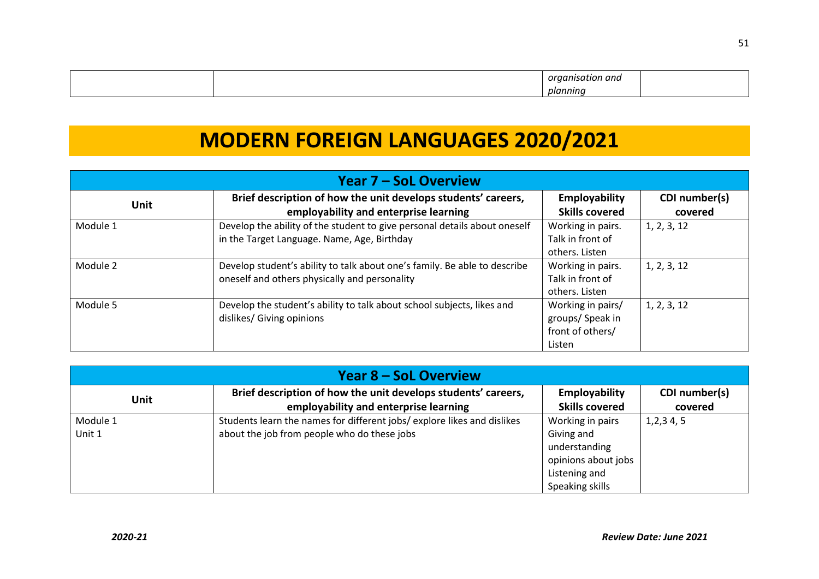|  | . <i>organis</i><br>---<br>ı ana<br>٠,<br>,,<br>,,,, |  |
|--|------------------------------------------------------|--|
|  | nlannını<br>,,,,,,                                   |  |

### **MODERN FOREIGN LANGUAGES 2020/2021**

| <b>Year 7 – SoL Overview</b> |                                                                           |                       |               |
|------------------------------|---------------------------------------------------------------------------|-----------------------|---------------|
| <b>Unit</b>                  | Brief description of how the unit develops students' careers,             | Employability         | CDI number(s) |
|                              | employability and enterprise learning                                     | <b>Skills covered</b> | covered       |
| Module 1                     | Develop the ability of the student to give personal details about oneself | Working in pairs.     | 1, 2, 3, 12   |
|                              | in the Target Language. Name, Age, Birthday                               | Talk in front of      |               |
|                              |                                                                           | others. Listen        |               |
| Module 2                     | Develop student's ability to talk about one's family. Be able to describe | Working in pairs.     | 1, 2, 3, 12   |
|                              | oneself and others physically and personality                             | Talk in front of      |               |
|                              |                                                                           | others. Listen        |               |
| Module 5                     | Develop the student's ability to talk about school subjects, likes and    | Working in pairs/     | 1, 2, 3, 12   |
|                              | dislikes/ Giving opinions                                                 | groups/ Speak in      |               |
|                              |                                                                           | front of others/      |               |
|                              |                                                                           | Listen                |               |

| <b>Year 8 – SoL Overview</b> |                                                                                                                       |                                                                                                            |                          |
|------------------------------|-----------------------------------------------------------------------------------------------------------------------|------------------------------------------------------------------------------------------------------------|--------------------------|
| <b>Unit</b>                  | Brief description of how the unit develops students' careers,<br>employability and enterprise learning                | <b>Employability</b><br><b>Skills covered</b>                                                              | CDI number(s)<br>covered |
| Module 1<br>Unit 1           | Students learn the names for different jobs/explore likes and dislikes<br>about the job from people who do these jobs | Working in pairs<br>Giving and<br>understanding<br>opinions about jobs<br>Listening and<br>Speaking skills | 1,2,3,4,5                |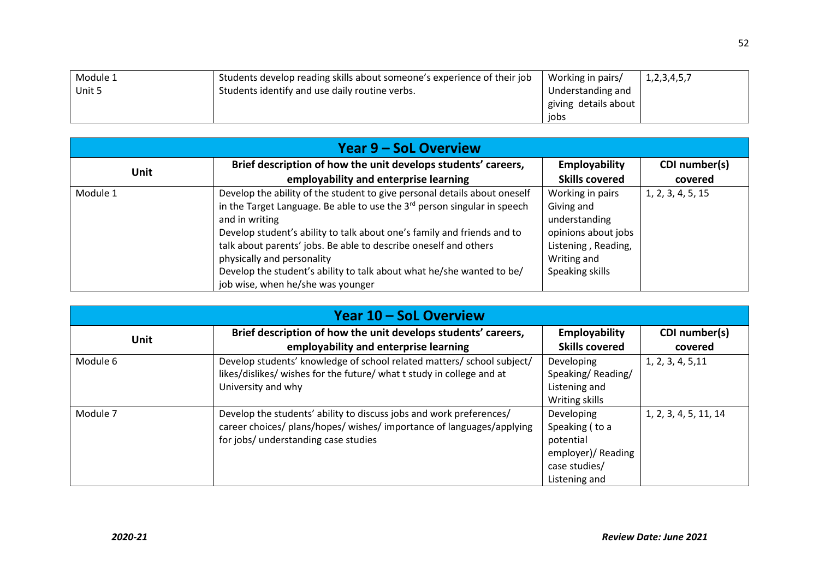| Module 1 | Students develop reading skills about someone's experience of their job | Working in pairs/    | 1, 2, 3, 4, 5, 7 |
|----------|-------------------------------------------------------------------------|----------------------|------------------|
| Unit 5   | Students identify and use daily routine verbs.                          | Understanding and    |                  |
|          |                                                                         | giving details about |                  |
|          |                                                                         | iobs                 |                  |

| <b>Year 9 – SoL Overview</b> |                                                                                      |                       |                   |
|------------------------------|--------------------------------------------------------------------------------------|-----------------------|-------------------|
|                              | Brief description of how the unit develops students' careers,                        | <b>Employability</b>  | CDI number(s)     |
| <b>Unit</b>                  | employability and enterprise learning                                                | <b>Skills covered</b> | covered           |
| Module 1                     | Develop the ability of the student to give personal details about oneself            | Working in pairs      | 1, 2, 3, 4, 5, 15 |
|                              | in the Target Language. Be able to use the 3 <sup>rd</sup> person singular in speech | Giving and            |                   |
|                              | and in writing                                                                       | understanding         |                   |
|                              | Develop student's ability to talk about one's family and friends and to              | opinions about jobs   |                   |
|                              | talk about parents' jobs. Be able to describe oneself and others                     | Listening, Reading,   |                   |
|                              | physically and personality                                                           | Writing and           |                   |
|                              | Develop the student's ability to talk about what he/she wanted to be/                | Speaking skills       |                   |
|                              | job wise, when he/she was younger                                                    |                       |                   |

| Year 10 – SoL Overview |                                                                        |                       |                       |
|------------------------|------------------------------------------------------------------------|-----------------------|-----------------------|
| Unit                   | Brief description of how the unit develops students' careers,          | Employability         | CDI number(s)         |
|                        | employability and enterprise learning                                  | <b>Skills covered</b> | covered               |
| Module 6               | Develop students' knowledge of school related matters/ school subject/ | Developing            | 1, 2, 3, 4, 5, 11     |
|                        | likes/dislikes/ wishes for the future/ what t study in college and at  | Speaking/Reading/     |                       |
|                        | University and why                                                     | Listening and         |                       |
|                        |                                                                        | Writing skills        |                       |
| Module 7               | Develop the students' ability to discuss jobs and work preferences/    | Developing            | 1, 2, 3, 4, 5, 11, 14 |
|                        | career choices/ plans/hopes/ wishes/ importance of languages/applying  | Speaking (to a        |                       |
|                        | for jobs/ understanding case studies                                   | potential             |                       |
|                        |                                                                        | employer)/ Reading    |                       |
|                        |                                                                        | case studies/         |                       |
|                        |                                                                        | Listening and         |                       |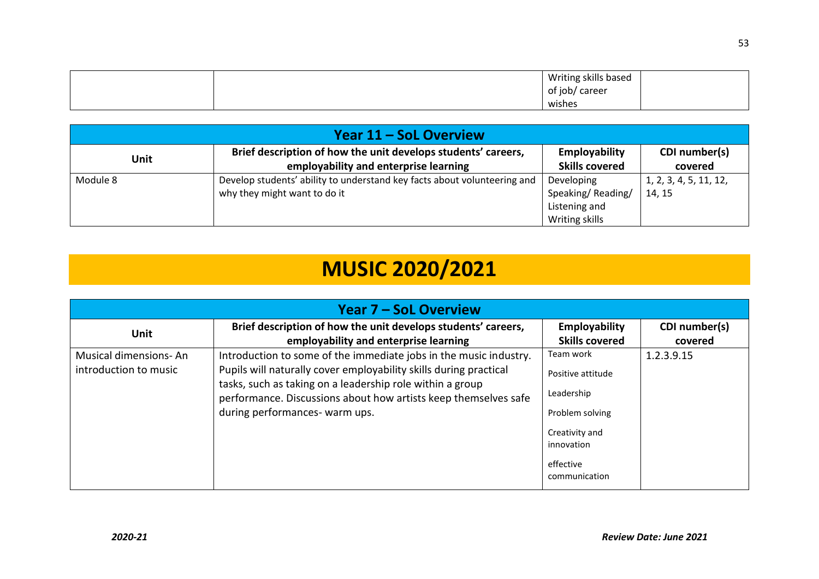|  | Writing skills based |  |
|--|----------------------|--|
|  | / career<br>of job/  |  |
|  | wishes               |  |

| Year 11 – SoL Overview |                                                                          |                       |                        |
|------------------------|--------------------------------------------------------------------------|-----------------------|------------------------|
| Unit                   | Brief description of how the unit develops students' careers,            | <b>Employability</b>  | CDI number(s)          |
|                        | employability and enterprise learning                                    | <b>Skills covered</b> | covered                |
| Module 8               | Develop students' ability to understand key facts about volunteering and | Developing            | 1, 2, 3, 4, 5, 11, 12, |
|                        | why they might want to do it                                             | Speaking/Reading/     | 14, 15                 |
|                        |                                                                          | Listening and         |                        |
|                        |                                                                          | Writing skills        |                        |

# **MUSIC 2020/2021**

| <b>Year 7 – SoL Overview</b>                   |                                                                                                                                                                                                                                                                                                          |                                                                                                                               |                          |
|------------------------------------------------|----------------------------------------------------------------------------------------------------------------------------------------------------------------------------------------------------------------------------------------------------------------------------------------------------------|-------------------------------------------------------------------------------------------------------------------------------|--------------------------|
| <b>Unit</b>                                    | Brief description of how the unit develops students' careers,<br>employability and enterprise learning                                                                                                                                                                                                   | Employability<br><b>Skills covered</b>                                                                                        | CDI number(s)<br>covered |
| Musical dimensions-An<br>introduction to music | Introduction to some of the immediate jobs in the music industry.<br>Pupils will naturally cover employability skills during practical<br>tasks, such as taking on a leadership role within a group<br>performance. Discussions about how artists keep themselves safe<br>during performances- warm ups. | Team work<br>Positive attitude<br>Leadership<br>Problem solving<br>Creativity and<br>innovation<br>effective<br>communication | 1.2.3.9.15               |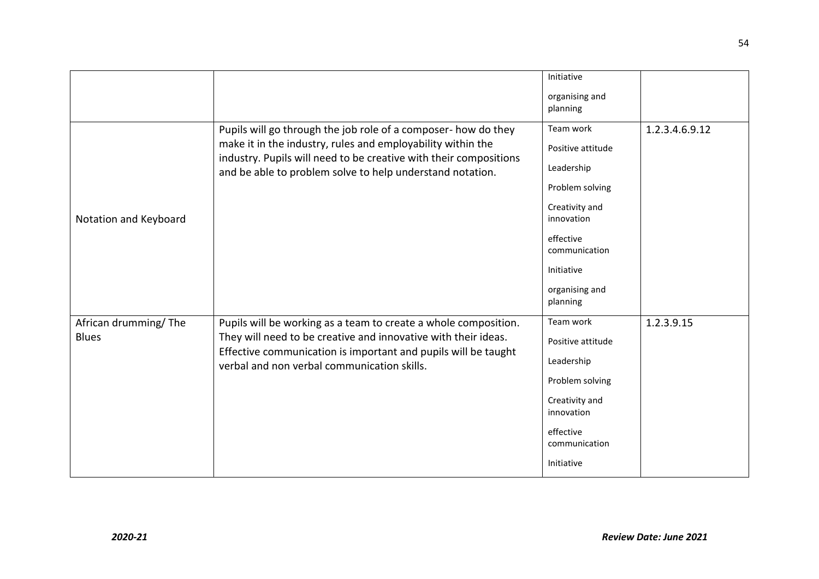|                                      |                                                                                                                                                                                                                                                                 | Initiative                                                                                                                                                                |                |
|--------------------------------------|-----------------------------------------------------------------------------------------------------------------------------------------------------------------------------------------------------------------------------------------------------------------|---------------------------------------------------------------------------------------------------------------------------------------------------------------------------|----------------|
|                                      |                                                                                                                                                                                                                                                                 | organising and<br>planning                                                                                                                                                |                |
| Notation and Keyboard                | Pupils will go through the job role of a composer- how do they<br>make it in the industry, rules and employability within the<br>industry. Pupils will need to be creative with their compositions<br>and be able to problem solve to help understand notation. | Team work<br>Positive attitude<br>Leadership<br>Problem solving<br>Creativity and<br>innovation<br>effective<br>communication<br>Initiative<br>organising and<br>planning | 1.2.3.4.6.9.12 |
| African drumming/The<br><b>Blues</b> | Pupils will be working as a team to create a whole composition.<br>They will need to be creative and innovative with their ideas.<br>Effective communication is important and pupils will be taught<br>verbal and non verbal communication skills.              | Team work<br>Positive attitude<br>Leadership<br>Problem solving<br>Creativity and<br>innovation<br>effective<br>communication<br>Initiative                               | 1.2.3.9.15     |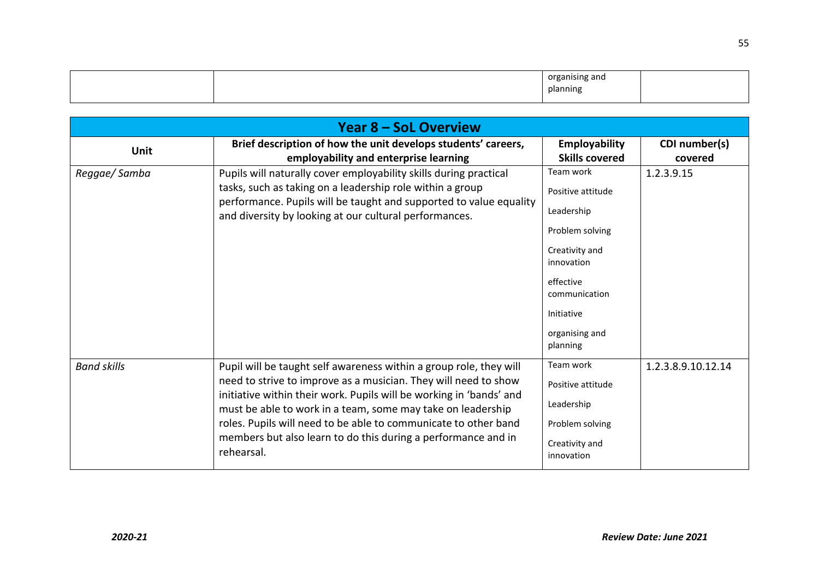|  | . .<br>organic<br>ing and<br>planning |  |
|--|---------------------------------------|--|

|                    | <b>Year 8 - SoL Overview</b>                                                                                                                                                                                                                                                                                                                                                                                                  |                                                                                                                                                                           |                          |
|--------------------|-------------------------------------------------------------------------------------------------------------------------------------------------------------------------------------------------------------------------------------------------------------------------------------------------------------------------------------------------------------------------------------------------------------------------------|---------------------------------------------------------------------------------------------------------------------------------------------------------------------------|--------------------------|
| <b>Unit</b>        | Brief description of how the unit develops students' careers,<br>employability and enterprise learning                                                                                                                                                                                                                                                                                                                        | Employability<br><b>Skills covered</b>                                                                                                                                    | CDI number(s)<br>covered |
| Reggae/Samba       | Pupils will naturally cover employability skills during practical<br>tasks, such as taking on a leadership role within a group<br>performance. Pupils will be taught and supported to value equality<br>and diversity by looking at our cultural performances.                                                                                                                                                                | Team work<br>Positive attitude<br>Leadership<br>Problem solving<br>Creativity and<br>innovation<br>effective<br>communication<br>Initiative<br>organising and<br>planning | 1.2.3.9.15               |
| <b>Band skills</b> | Pupil will be taught self awareness within a group role, they will<br>need to strive to improve as a musician. They will need to show<br>initiative within their work. Pupils will be working in 'bands' and<br>must be able to work in a team, some may take on leadership<br>roles. Pupils will need to be able to communicate to other band<br>members but also learn to do this during a performance and in<br>rehearsal. | Team work<br>Positive attitude<br>Leadership<br>Problem solving<br>Creativity and<br>innovation                                                                           | 1.2.3.8.9.10.12.14       |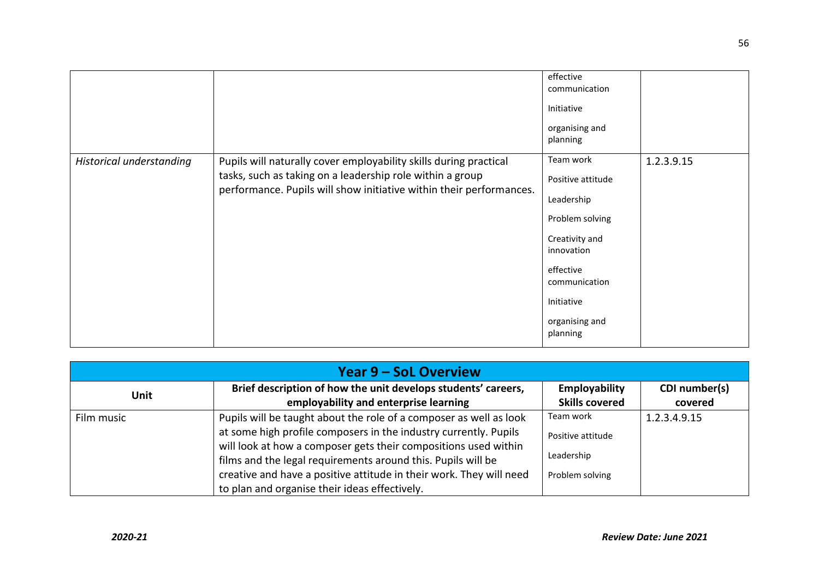|                          |                                                                                                                                                                                                       | effective<br>communication<br>Initiative<br>organising and<br>planning                                                                                                    |            |
|--------------------------|-------------------------------------------------------------------------------------------------------------------------------------------------------------------------------------------------------|---------------------------------------------------------------------------------------------------------------------------------------------------------------------------|------------|
| Historical understanding | Pupils will naturally cover employability skills during practical<br>tasks, such as taking on a leadership role within a group<br>performance. Pupils will show initiative within their performances. | Team work<br>Positive attitude<br>Leadership<br>Problem solving<br>Creativity and<br>innovation<br>effective<br>communication<br>Initiative<br>organising and<br>planning | 1.2.3.9.15 |

| <b>Year 9 – SoL Overview</b> |                                                                     |                       |               |
|------------------------------|---------------------------------------------------------------------|-----------------------|---------------|
| <b>Unit</b>                  | Brief description of how the unit develops students' careers,       | Employability         | CDI number(s) |
|                              | employability and enterprise learning                               | <b>Skills covered</b> | covered       |
| Film music                   | Pupils will be taught about the role of a composer as well as look  | Team work             | 1.2.3.4.9.15  |
|                              | at some high profile composers in the industry currently. Pupils    | Positive attitude     |               |
|                              | will look at how a composer gets their compositions used within     |                       |               |
|                              | films and the legal requirements around this. Pupils will be        | Leadership            |               |
|                              | creative and have a positive attitude in their work. They will need | Problem solving       |               |
|                              | to plan and organise their ideas effectively.                       |                       |               |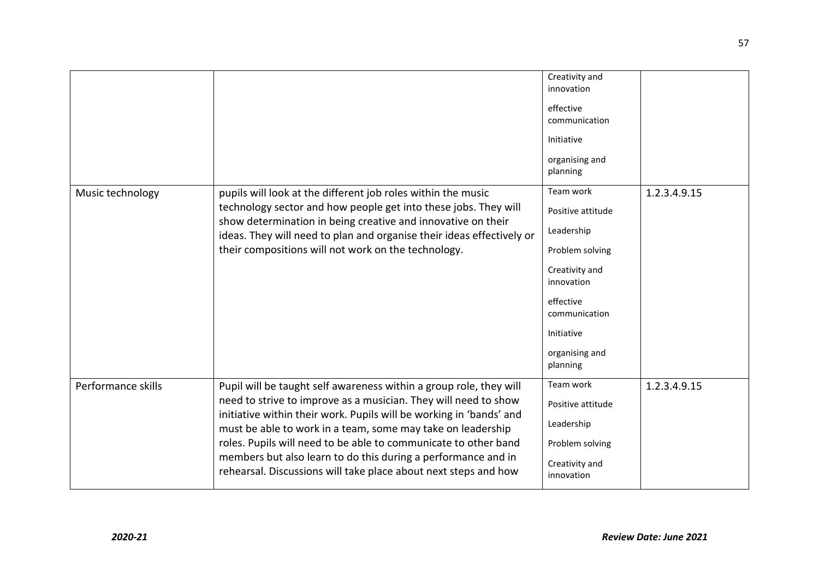|                    |                                                                                                                                                                                                                                                                                                                                                                                                                                                                                    | Creativity and<br>innovation<br>effective<br>communication<br>Initiative<br>organising and<br>planning                                                                    |              |
|--------------------|------------------------------------------------------------------------------------------------------------------------------------------------------------------------------------------------------------------------------------------------------------------------------------------------------------------------------------------------------------------------------------------------------------------------------------------------------------------------------------|---------------------------------------------------------------------------------------------------------------------------------------------------------------------------|--------------|
| Music technology   | pupils will look at the different job roles within the music<br>technology sector and how people get into these jobs. They will<br>show determination in being creative and innovative on their<br>ideas. They will need to plan and organise their ideas effectively or<br>their compositions will not work on the technology.                                                                                                                                                    | Team work<br>Positive attitude<br>Leadership<br>Problem solving<br>Creativity and<br>innovation<br>effective<br>communication<br>Initiative<br>organising and<br>planning | 1.2.3.4.9.15 |
| Performance skills | Pupil will be taught self awareness within a group role, they will<br>need to strive to improve as a musician. They will need to show<br>initiative within their work. Pupils will be working in 'bands' and<br>must be able to work in a team, some may take on leadership<br>roles. Pupils will need to be able to communicate to other band<br>members but also learn to do this during a performance and in<br>rehearsal. Discussions will take place about next steps and how | Team work<br>Positive attitude<br>Leadership<br>Problem solving<br>Creativity and<br>innovation                                                                           | 1.2.3.4.9.15 |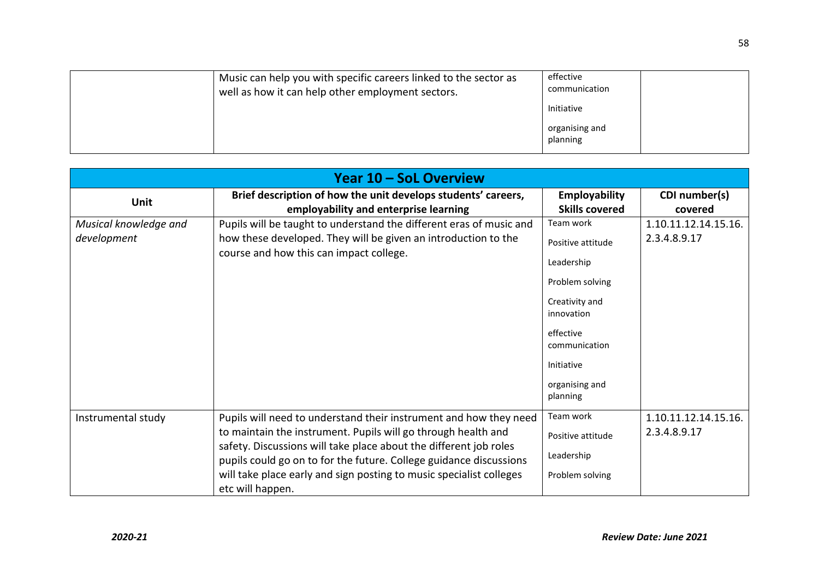| Music can help you with specific careers linked to the sector as<br>well as how it can help other employment sectors. | effective<br>communication |
|-----------------------------------------------------------------------------------------------------------------------|----------------------------|
|                                                                                                                       | Initiative                 |
|                                                                                                                       | organising and<br>planning |

| <b>Year 10 - SoL Overview</b>        |                                                                                                                                                                                                                                                                                                                                                                          |                                                                                                                                                                           |                                      |
|--------------------------------------|--------------------------------------------------------------------------------------------------------------------------------------------------------------------------------------------------------------------------------------------------------------------------------------------------------------------------------------------------------------------------|---------------------------------------------------------------------------------------------------------------------------------------------------------------------------|--------------------------------------|
| Unit                                 | Brief description of how the unit develops students' careers,<br>employability and enterprise learning                                                                                                                                                                                                                                                                   | Employability<br><b>Skills covered</b>                                                                                                                                    | CDI number(s)<br>covered             |
| Musical knowledge and<br>development | Pupils will be taught to understand the different eras of music and<br>how these developed. They will be given an introduction to the<br>course and how this can impact college.                                                                                                                                                                                         | Team work<br>Positive attitude<br>Leadership<br>Problem solving<br>Creativity and<br>innovation<br>effective<br>communication<br>Initiative<br>organising and<br>planning | 1.10.11.12.14.15.16.<br>2.3.4.8.9.17 |
| Instrumental study                   | Pupils will need to understand their instrument and how they need<br>to maintain the instrument. Pupils will go through health and<br>safety. Discussions will take place about the different job roles<br>pupils could go on to for the future. College guidance discussions<br>will take place early and sign posting to music specialist colleges<br>etc will happen. | Team work<br>Positive attitude<br>Leadership<br>Problem solving                                                                                                           | 1.10.11.12.14.15.16.<br>2.3.4.8.9.17 |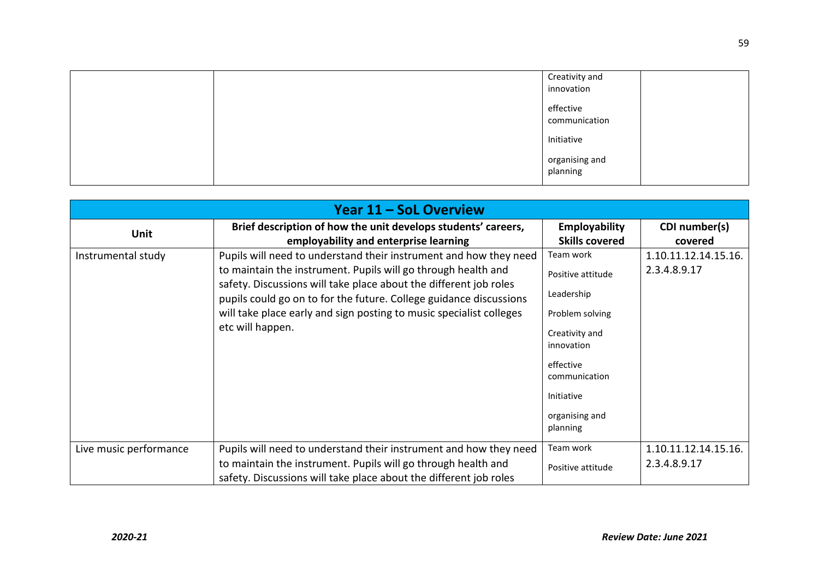|  | Creativity and<br>innovation |  |
|--|------------------------------|--|
|  | effective<br>communication   |  |
|  | Initiative                   |  |
|  | organising and<br>planning   |  |

| Year 11 – SoL Overview |                                                                                                                                                                                                                                                                                                                                                                          |                                                                                                                                                                           |                                      |
|------------------------|--------------------------------------------------------------------------------------------------------------------------------------------------------------------------------------------------------------------------------------------------------------------------------------------------------------------------------------------------------------------------|---------------------------------------------------------------------------------------------------------------------------------------------------------------------------|--------------------------------------|
| Unit                   | Brief description of how the unit develops students' careers,<br>employability and enterprise learning                                                                                                                                                                                                                                                                   | Employability<br><b>Skills covered</b>                                                                                                                                    | CDI number(s)<br>covered             |
| Instrumental study     | Pupils will need to understand their instrument and how they need<br>to maintain the instrument. Pupils will go through health and<br>safety. Discussions will take place about the different job roles<br>pupils could go on to for the future. College guidance discussions<br>will take place early and sign posting to music specialist colleges<br>etc will happen. | Team work<br>Positive attitude<br>Leadership<br>Problem solving<br>Creativity and<br>innovation<br>effective<br>communication<br>Initiative<br>organising and<br>planning | 1.10.11.12.14.15.16.<br>2.3.4.8.9.17 |
| Live music performance | Pupils will need to understand their instrument and how they need<br>to maintain the instrument. Pupils will go through health and<br>safety. Discussions will take place about the different job roles                                                                                                                                                                  | Team work<br>Positive attitude                                                                                                                                            | 1.10.11.12.14.15.16.<br>2.3.4.8.9.17 |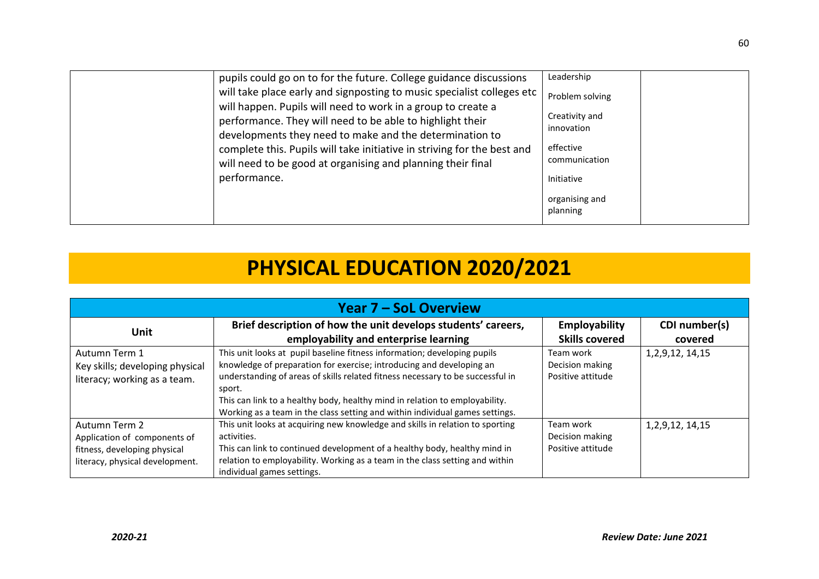| pupils could go on to for the future. College guidance discussions<br>will take place early and signposting to music specialist colleges etc<br>will happen. Pupils will need to work in a group to create a<br>performance. They will need to be able to highlight their<br>developments they need to make and the determination to<br>complete this. Pupils will take initiative in striving for the best and<br>will need to be good at organising and planning their final<br>performance. | Leadership<br>Problem solving<br>Creativity and<br>innovation<br>effective<br>communication<br>Initiative<br>organising and<br>planning |
|------------------------------------------------------------------------------------------------------------------------------------------------------------------------------------------------------------------------------------------------------------------------------------------------------------------------------------------------------------------------------------------------------------------------------------------------------------------------------------------------|-----------------------------------------------------------------------------------------------------------------------------------------|
|------------------------------------------------------------------------------------------------------------------------------------------------------------------------------------------------------------------------------------------------------------------------------------------------------------------------------------------------------------------------------------------------------------------------------------------------------------------------------------------------|-----------------------------------------------------------------------------------------------------------------------------------------|

### **PHYSICAL EDUCATION 2020/2021**

| <b>Year 7 – SoL Overview</b>                                                                                     |                                                                                                                                                                                                                                                                                                                                                                                                             |                                                   |                          |
|------------------------------------------------------------------------------------------------------------------|-------------------------------------------------------------------------------------------------------------------------------------------------------------------------------------------------------------------------------------------------------------------------------------------------------------------------------------------------------------------------------------------------------------|---------------------------------------------------|--------------------------|
| <b>Unit</b>                                                                                                      | Brief description of how the unit develops students' careers,<br>employability and enterprise learning                                                                                                                                                                                                                                                                                                      | <b>Employability</b><br><b>Skills covered</b>     | CDI number(s)<br>covered |
| Autumn Term 1<br>Key skills; developing physical<br>literacy; working as a team.                                 | This unit looks at pupil baseline fitness information; developing pupils<br>knowledge of preparation for exercise; introducing and developing an<br>understanding of areas of skills related fitness necessary to be successful in<br>sport.<br>This can link to a healthy body, healthy mind in relation to employability.<br>Working as a team in the class setting and within individual games settings. | Team work<br>Decision making<br>Positive attitude | 1, 2, 9, 12, 14, 15      |
| Autumn Term 2<br>Application of components of<br>fitness, developing physical<br>literacy, physical development. | This unit looks at acquiring new knowledge and skills in relation to sporting<br>activities.<br>This can link to continued development of a healthy body, healthy mind in<br>relation to employability. Working as a team in the class setting and within<br>individual games settings.                                                                                                                     | Team work<br>Decision making<br>Positive attitude | 1, 2, 9, 12, 14, 15      |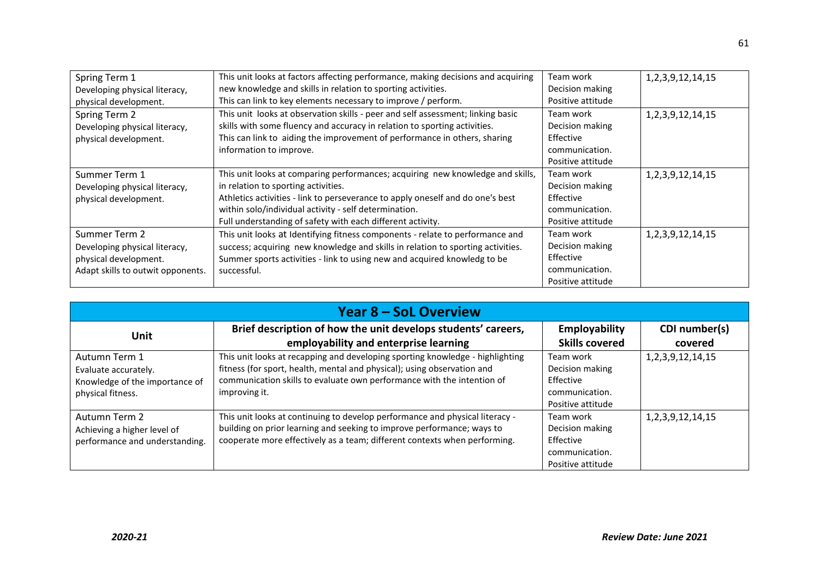| Spring Term 1                     | This unit looks at factors affecting performance, making decisions and acquiring | Team work         | 1, 2, 3, 9, 12, 14, 15 |
|-----------------------------------|----------------------------------------------------------------------------------|-------------------|------------------------|
| Developing physical literacy,     | new knowledge and skills in relation to sporting activities.                     | Decision making   |                        |
| physical development.             | This can link to key elements necessary to improve / perform.                    | Positive attitude |                        |
| Spring Term 2                     | This unit looks at observation skills - peer and self assessment; linking basic  | Team work         | 1, 2, 3, 9, 12, 14, 15 |
| Developing physical literacy,     | skills with some fluency and accuracy in relation to sporting activities.        | Decision making   |                        |
| physical development.             | This can link to aiding the improvement of performance in others, sharing        | Effective         |                        |
|                                   | information to improve.                                                          | communication.    |                        |
|                                   |                                                                                  | Positive attitude |                        |
| Summer Term 1                     | This unit looks at comparing performances; acquiring new knowledge and skills,   | Team work         | 1, 2, 3, 9, 12, 14, 15 |
| Developing physical literacy,     | in relation to sporting activities.                                              | Decision making   |                        |
| physical development.             | Athletics activities - link to perseverance to apply oneself and do one's best   | Effective         |                        |
|                                   | within solo/individual activity - self determination.                            | communication.    |                        |
|                                   | Full understanding of safety with each different activity.                       | Positive attitude |                        |
| Summer Term 2                     | This unit looks at Identifying fitness components - relate to performance and    | Team work         | 1, 2, 3, 9, 12, 14, 15 |
| Developing physical literacy,     | success; acquiring new knowledge and skills in relation to sporting activities.  | Decision making   |                        |
| physical development.             | Summer sports activities - link to using new and acquired knowledg to be         | Effective         |                        |
| Adapt skills to outwit opponents. | successful.                                                                      | communication.    |                        |
|                                   |                                                                                  | Positive attitude |                        |

| <b>Year 8 – SoL Overview</b>   |                                                                               |                       |                        |
|--------------------------------|-------------------------------------------------------------------------------|-----------------------|------------------------|
|                                | Brief description of how the unit develops students' careers,                 | Employability         | CDI number(s)          |
| <b>Unit</b>                    | employability and enterprise learning                                         | <b>Skills covered</b> | covered                |
| Autumn Term 1                  | This unit looks at recapping and developing sporting knowledge - highlighting | Team work             | 1, 2, 3, 9, 12, 14, 15 |
| Evaluate accurately.           | fitness (for sport, health, mental and physical); using observation and       | Decision making       |                        |
| Knowledge of the importance of | communication skills to evaluate own performance with the intention of        | Effective             |                        |
| physical fitness.              | improving it.                                                                 | communication.        |                        |
|                                |                                                                               | Positive attitude     |                        |
| Autumn Term 2                  | This unit looks at continuing to develop performance and physical literacy -  | Team work             | 1, 2, 3, 9, 12, 14, 15 |
| Achieving a higher level of    | building on prior learning and seeking to improve performance; ways to        | Decision making       |                        |
| performance and understanding. | cooperate more effectively as a team; different contexts when performing.     | Effective             |                        |
|                                |                                                                               | communication.        |                        |
|                                |                                                                               | Positive attitude     |                        |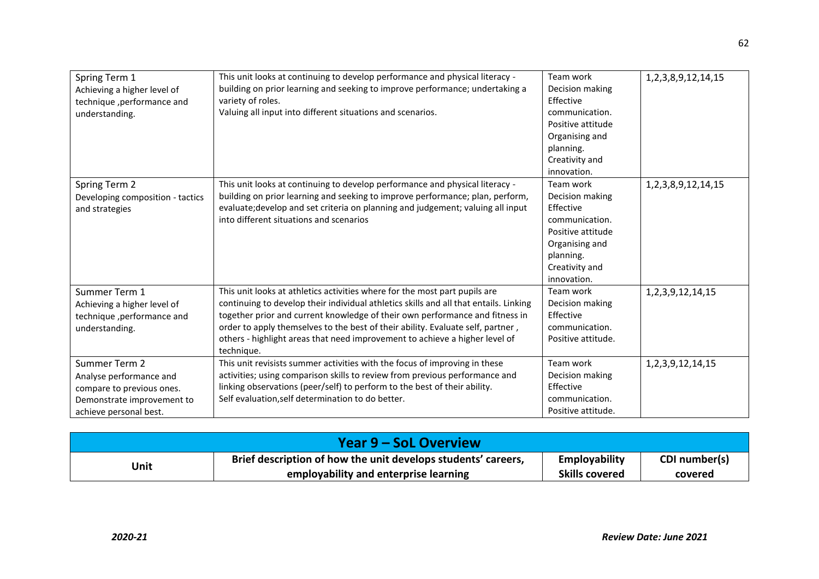| Spring Term 1<br>Achieving a higher level of<br>technique, performance and<br>understanding.                                  | This unit looks at continuing to develop performance and physical literacy -<br>building on prior learning and seeking to improve performance; undertaking a<br>variety of roles.<br>Valuing all input into different situations and scenarios.                                                                                                                                                                                     | Team work<br>Decision making<br>Effective<br>communication.<br>Positive attitude<br>Organising and<br>planning.<br>Creativity and<br>innovation. | 1, 2, 3, 8, 9, 12, 14, 15 |
|-------------------------------------------------------------------------------------------------------------------------------|-------------------------------------------------------------------------------------------------------------------------------------------------------------------------------------------------------------------------------------------------------------------------------------------------------------------------------------------------------------------------------------------------------------------------------------|--------------------------------------------------------------------------------------------------------------------------------------------------|---------------------------|
| Spring Term 2<br>Developing composition - tactics<br>and strategies                                                           | This unit looks at continuing to develop performance and physical literacy -<br>building on prior learning and seeking to improve performance; plan, perform,<br>evaluate; develop and set criteria on planning and judgement; valuing all input<br>into different situations and scenarios                                                                                                                                         | Team work<br>Decision making<br>Effective<br>communication.<br>Positive attitude<br>Organising and<br>planning.<br>Creativity and<br>innovation. | 1, 2, 3, 8, 9, 12, 14, 15 |
| Summer Term 1<br>Achieving a higher level of<br>technique, performance and<br>understanding.                                  | This unit looks at athletics activities where for the most part pupils are<br>continuing to develop their individual athletics skills and all that entails. Linking<br>together prior and current knowledge of their own performance and fitness in<br>order to apply themselves to the best of their ability. Evaluate self, partner,<br>others - highlight areas that need improvement to achieve a higher level of<br>technique. | Team work<br>Decision making<br>Effective<br>communication.<br>Positive attitude.                                                                | 1, 2, 3, 9, 12, 14, 15    |
| Summer Term 2<br>Analyse performance and<br>compare to previous ones.<br>Demonstrate improvement to<br>achieve personal best. | This unit revisists summer activities with the focus of improving in these<br>activities; using comparison skills to review from previous performance and<br>linking observations (peer/self) to perform to the best of their ability.<br>Self evaluation, self determination to do better.                                                                                                                                         | Team work<br>Decision making<br>Effective<br>communication.<br>Positive attitude.                                                                | 1, 2, 3, 9, 12, 14, 15    |

| Year 9 – SoL Overview |                                                               |                       |               |
|-----------------------|---------------------------------------------------------------|-----------------------|---------------|
| Unit                  | Brief description of how the unit develops students' careers, | Employability         | CDI number(s) |
|                       | employability and enterprise learning                         | <b>Skills covered</b> | covered       |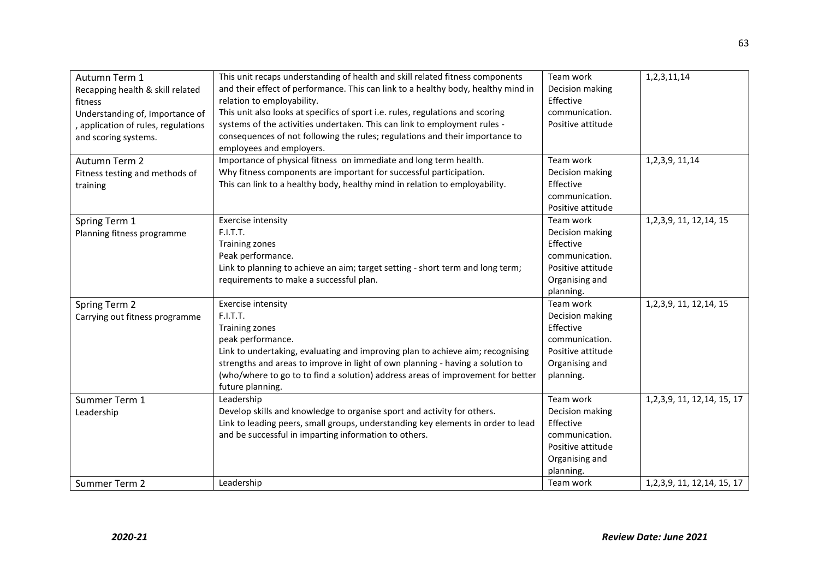| Autumn Term 1<br>Recapping health & skill related<br>fitness<br>Understanding of, Importance of<br>, application of rules, regulations<br>and scoring systems. | This unit recaps understanding of health and skill related fitness components<br>and their effect of performance. This can link to a healthy body, healthy mind in<br>relation to employability.<br>This unit also looks at specifics of sport i.e. rules, regulations and scoring<br>systems of the activities undertaken. This can link to employment rules -<br>consequences of not following the rules; regulations and their importance to<br>employees and employers. | Team work<br>Decision making<br>Effective<br>communication.<br>Positive attitude                                | 1,2,3,11,14                    |
|----------------------------------------------------------------------------------------------------------------------------------------------------------------|-----------------------------------------------------------------------------------------------------------------------------------------------------------------------------------------------------------------------------------------------------------------------------------------------------------------------------------------------------------------------------------------------------------------------------------------------------------------------------|-----------------------------------------------------------------------------------------------------------------|--------------------------------|
| Autumn Term 2<br>Fitness testing and methods of<br>training                                                                                                    | Importance of physical fitness on immediate and long term health.<br>Why fitness components are important for successful participation.<br>This can link to a healthy body, healthy mind in relation to employability.                                                                                                                                                                                                                                                      | Team work<br>Decision making<br>Effective<br>communication.<br>Positive attitude                                | 1, 2, 3, 9, 11, 14             |
| Spring Term 1<br>Planning fitness programme                                                                                                                    | Exercise intensity<br>F.I.T.T.<br>Training zones<br>Peak performance.<br>Link to planning to achieve an aim; target setting - short term and long term;<br>requirements to make a successful plan.                                                                                                                                                                                                                                                                          | Team work<br>Decision making<br>Effective<br>communication.<br>Positive attitude<br>Organising and<br>planning. | 1, 2, 3, 9, 11, 12, 14, 15     |
| Spring Term 2<br>Carrying out fitness programme                                                                                                                | <b>Exercise intensity</b><br>F.I.T.T.<br><b>Training zones</b><br>peak performance.<br>Link to undertaking, evaluating and improving plan to achieve aim; recognising<br>strengths and areas to improve in light of own planning - having a solution to<br>(who/where to go to to find a solution) address areas of improvement for better<br>future planning.                                                                                                              | Team work<br>Decision making<br>Effective<br>communication.<br>Positive attitude<br>Organising and<br>planning. | 1, 2, 3, 9, 11, 12, 14, 15     |
| Summer Term 1<br>Leadership                                                                                                                                    | Leadership<br>Develop skills and knowledge to organise sport and activity for others.<br>Link to leading peers, small groups, understanding key elements in order to lead<br>and be successful in imparting information to others.                                                                                                                                                                                                                                          | Team work<br>Decision making<br>Effective<br>communication.<br>Positive attitude<br>Organising and<br>planning. | 1, 2, 3, 9, 11, 12, 14, 15, 17 |
| Summer Term 2                                                                                                                                                  | Leadership                                                                                                                                                                                                                                                                                                                                                                                                                                                                  | Team work                                                                                                       | 1, 2, 3, 9, 11, 12, 14, 15, 17 |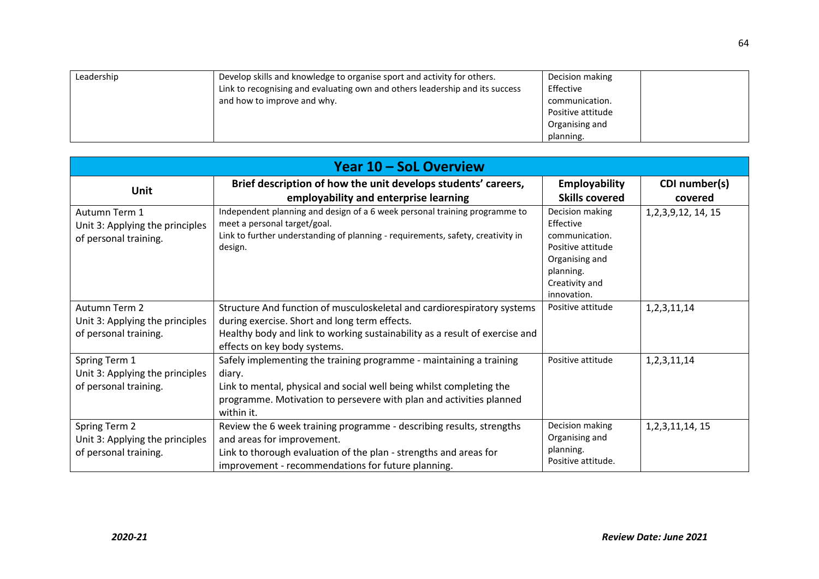| Leadership | Develop skills and knowledge to organise sport and activity for others.<br>Link to recognising and evaluating own and others leadership and its success<br>and how to improve and why. | Decision making<br>Effective<br>communication.<br>Positive attitude |
|------------|----------------------------------------------------------------------------------------------------------------------------------------------------------------------------------------|---------------------------------------------------------------------|
|            |                                                                                                                                                                                        | Organising and<br>planning.                                         |

| Year 10 – SoL Overview                                                    |                                                                                                                                                                                                                                            |                                                                                                                                     |                          |
|---------------------------------------------------------------------------|--------------------------------------------------------------------------------------------------------------------------------------------------------------------------------------------------------------------------------------------|-------------------------------------------------------------------------------------------------------------------------------------|--------------------------|
| Unit                                                                      | Brief description of how the unit develops students' careers,<br>employability and enterprise learning                                                                                                                                     | <b>Employability</b><br><b>Skills covered</b>                                                                                       | CDI number(s)<br>covered |
| Autumn Term 1<br>Unit 3: Applying the principles<br>of personal training. | Independent planning and design of a 6 week personal training programme to<br>meet a personal target/goal.<br>Link to further understanding of planning - requirements, safety, creativity in<br>design.                                   | Decision making<br>Effective<br>communication.<br>Positive attitude<br>Organising and<br>planning.<br>Creativity and<br>innovation. | 1, 2, 3, 9, 12, 14, 15   |
| Autumn Term 2<br>Unit 3: Applying the principles<br>of personal training. | Structure And function of musculoskeletal and cardiorespiratory systems<br>during exercise. Short and long term effects.<br>Healthy body and link to working sustainability as a result of exercise and<br>effects on key body systems.    | Positive attitude                                                                                                                   | 1, 2, 3, 11, 14          |
| Spring Term 1<br>Unit 3: Applying the principles<br>of personal training. | Safely implementing the training programme - maintaining a training<br>diary.<br>Link to mental, physical and social well being whilst completing the<br>programme. Motivation to persevere with plan and activities planned<br>within it. | Positive attitude                                                                                                                   | 1, 2, 3, 11, 14          |
| Spring Term 2<br>Unit 3: Applying the principles<br>of personal training. | Review the 6 week training programme - describing results, strengths<br>and areas for improvement.<br>Link to thorough evaluation of the plan - strengths and areas for<br>improvement - recommendations for future planning.              | Decision making<br>Organising and<br>planning.<br>Positive attitude.                                                                | 1, 2, 3, 11, 14, 15      |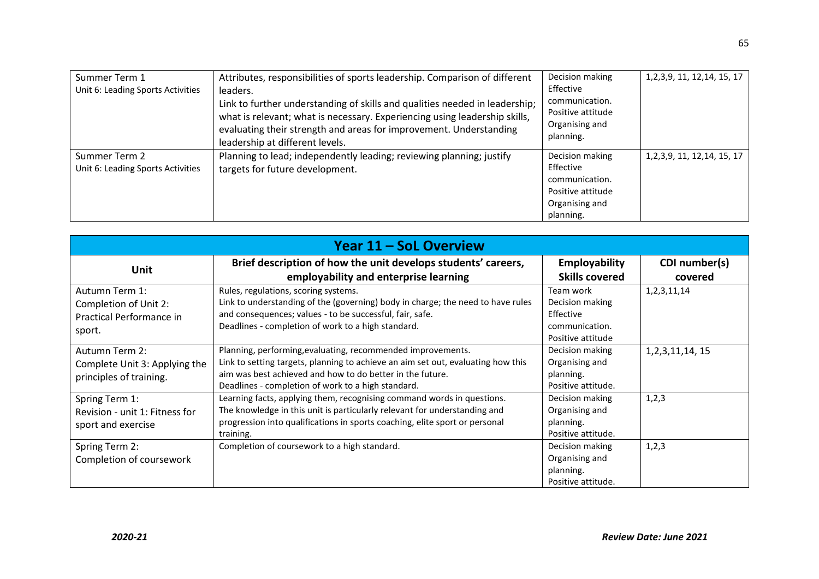| Summer Term 1<br>Unit 6: Leading Sports Activities | Attributes, responsibilities of sports leadership. Comparison of different<br>leaders.<br>Link to further understanding of skills and qualities needed in leadership;<br>what is relevant; what is necessary. Experiencing using leadership skills,<br>evaluating their strength and areas for improvement. Understanding<br>leadership at different levels. | Decision making<br>Effective<br>communication.<br>Positive attitude<br>Organising and<br>planning. | 1, 2, 3, 9, 11, 12, 14, 15, 17 |
|----------------------------------------------------|--------------------------------------------------------------------------------------------------------------------------------------------------------------------------------------------------------------------------------------------------------------------------------------------------------------------------------------------------------------|----------------------------------------------------------------------------------------------------|--------------------------------|
| Summer Term 2<br>Unit 6: Leading Sports Activities | Planning to lead; independently leading; reviewing planning; justify<br>targets for future development.                                                                                                                                                                                                                                                      | Decision making<br>Effective<br>communication.<br>Positive attitude<br>Organising and<br>planning. | 1, 2, 3, 9, 11, 12, 14, 15, 17 |

| Year 11 – SoL Overview                                                        |                                                                                                                                                                                                                                                                    |                                                                                  |                          |
|-------------------------------------------------------------------------------|--------------------------------------------------------------------------------------------------------------------------------------------------------------------------------------------------------------------------------------------------------------------|----------------------------------------------------------------------------------|--------------------------|
| <b>Unit</b>                                                                   | Brief description of how the unit develops students' careers,<br>employability and enterprise learning                                                                                                                                                             | Employability<br><b>Skills covered</b>                                           | CDI number(s)<br>covered |
| Autumn Term 1:<br>Completion of Unit 2:<br>Practical Performance in<br>sport. | Rules, regulations, scoring systems.<br>Link to understanding of the (governing) body in charge; the need to have rules<br>and consequences; values - to be successful, fair, safe.<br>Deadlines - completion of work to a high standard.                          | Team work<br>Decision making<br>Effective<br>communication.<br>Positive attitude | 1, 2, 3, 11, 14          |
| Autumn Term 2:<br>Complete Unit 3: Applying the<br>principles of training.    | Planning, performing, evaluating, recommended improvements.<br>Link to setting targets, planning to achieve an aim set out, evaluating how this<br>aim was best achieved and how to do better in the future.<br>Deadlines - completion of work to a high standard. | Decision making<br>Organising and<br>planning.<br>Positive attitude.             | 1, 2, 3, 11, 14, 15      |
| Spring Term 1:<br>Revision - unit 1: Fitness for<br>sport and exercise        | Learning facts, applying them, recognising command words in questions.<br>The knowledge in this unit is particularly relevant for understanding and<br>progression into qualifications in sports coaching, elite sport or personal<br>training.                    | Decision making<br>Organising and<br>planning.<br>Positive attitude.             | 1,2,3                    |
| Spring Term 2:<br>Completion of coursework                                    | Completion of coursework to a high standard.                                                                                                                                                                                                                       | Decision making<br>Organising and<br>planning.<br>Positive attitude.             | 1,2,3                    |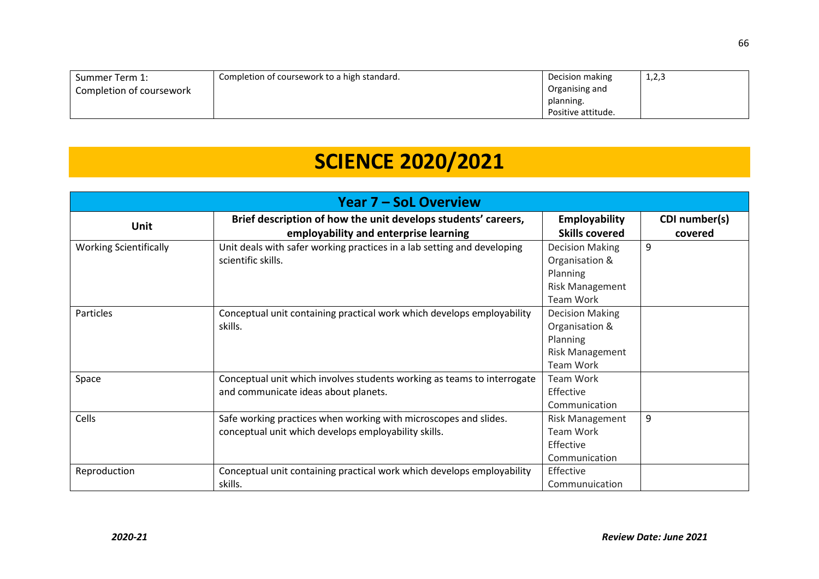| Summer Term 1:           | Completion of coursework to a high standard. | Decision making    | 1,2,3 |
|--------------------------|----------------------------------------------|--------------------|-------|
| Completion of coursework |                                              | Organising and     |       |
|                          |                                              | planning.          |       |
|                          |                                              | Positive attitude. |       |

# **SCIENCE 2020/2021**

| <b>Year 7 – SoL Overview</b>  |                                                                         |                        |               |
|-------------------------------|-------------------------------------------------------------------------|------------------------|---------------|
| <b>Unit</b>                   | Brief description of how the unit develops students' careers,           | <b>Employability</b>   | CDI number(s) |
|                               | employability and enterprise learning                                   | <b>Skills covered</b>  | covered       |
| <b>Working Scientifically</b> | Unit deals with safer working practices in a lab setting and developing | <b>Decision Making</b> | 9             |
|                               | scientific skills.                                                      | Organisation &         |               |
|                               |                                                                         | Planning               |               |
|                               |                                                                         | Risk Management        |               |
|                               |                                                                         | Team Work              |               |
| Particles                     | Conceptual unit containing practical work which develops employability  | <b>Decision Making</b> |               |
|                               | skills.                                                                 | Organisation &         |               |
|                               |                                                                         | Planning               |               |
|                               |                                                                         | Risk Management        |               |
|                               |                                                                         | Team Work              |               |
| Space                         | Conceptual unit which involves students working as teams to interrogate | <b>Team Work</b>       |               |
|                               | and communicate ideas about planets.                                    | Effective              |               |
|                               |                                                                         | Communication          |               |
| Cells                         | Safe working practices when working with microscopes and slides.        | <b>Risk Management</b> | 9             |
|                               | conceptual unit which develops employability skills.                    | Team Work              |               |
|                               |                                                                         | Effective              |               |
|                               |                                                                         | Communication          |               |
| Reproduction                  | Conceptual unit containing practical work which develops employability  | Effective              |               |
|                               | skills.                                                                 | Communuication         |               |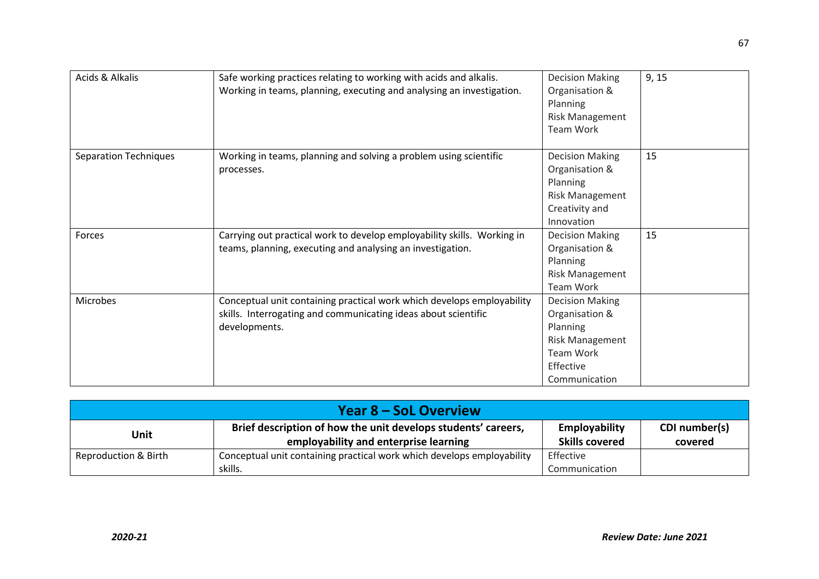| Acids & Alkalis              | Safe working practices relating to working with acids and alkalis.      | <b>Decision Making</b> | 9, 15 |
|------------------------------|-------------------------------------------------------------------------|------------------------|-------|
|                              | Working in teams, planning, executing and analysing an investigation.   | Organisation &         |       |
|                              |                                                                         | Planning               |       |
|                              |                                                                         | <b>Risk Management</b> |       |
|                              |                                                                         | Team Work              |       |
| <b>Separation Techniques</b> | Working in teams, planning and solving a problem using scientific       | <b>Decision Making</b> | 15    |
|                              | processes.                                                              | Organisation &         |       |
|                              |                                                                         | Planning               |       |
|                              |                                                                         | Risk Management        |       |
|                              |                                                                         | Creativity and         |       |
|                              |                                                                         | Innovation             |       |
| Forces                       | Carrying out practical work to develop employability skills. Working in | <b>Decision Making</b> | 15    |
|                              | teams, planning, executing and analysing an investigation.              | Organisation &         |       |
|                              |                                                                         | Planning               |       |
|                              |                                                                         | <b>Risk Management</b> |       |
|                              |                                                                         | Team Work              |       |
| Microbes                     | Conceptual unit containing practical work which develops employability  | <b>Decision Making</b> |       |
|                              | skills. Interrogating and communicating ideas about scientific          | Organisation &         |       |
|                              | developments.                                                           | Planning               |       |
|                              |                                                                         | <b>Risk Management</b> |       |
|                              |                                                                         | <b>Team Work</b>       |       |
|                              |                                                                         | Effective              |       |
|                              |                                                                         | Communication          |       |

| <b>Year 8 – SoL Overview</b> |                                                                        |                       |               |
|------------------------------|------------------------------------------------------------------------|-----------------------|---------------|
| Unit                         | Brief description of how the unit develops students' careers,          | <b>Employability</b>  | CDI number(s) |
|                              | employability and enterprise learning                                  | <b>Skills covered</b> | covered       |
| Reproduction & Birth         | Conceptual unit containing practical work which develops employability | Effective             |               |
|                              | skills.                                                                | Communication         |               |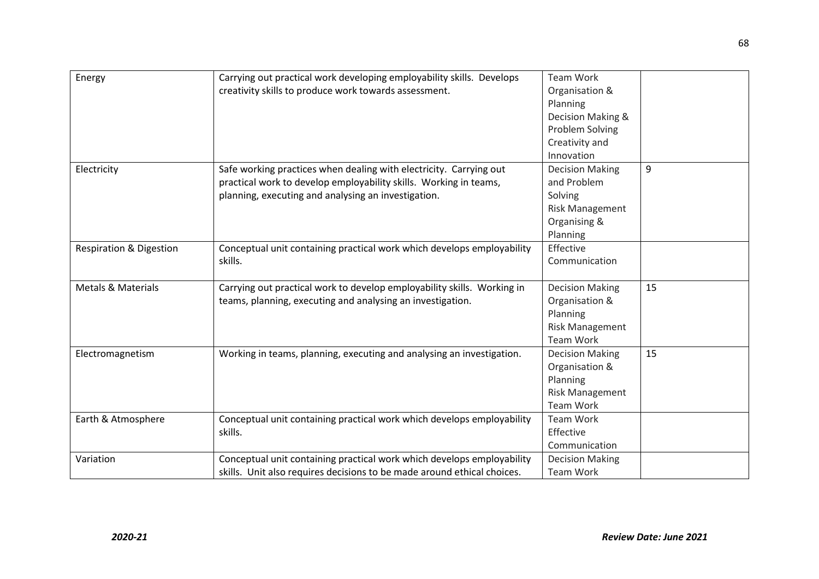| Energy                             | Carrying out practical work developing employability skills. Develops   | <b>Team Work</b>       |    |
|------------------------------------|-------------------------------------------------------------------------|------------------------|----|
|                                    | creativity skills to produce work towards assessment.                   | Organisation &         |    |
|                                    |                                                                         | Planning               |    |
|                                    |                                                                         | Decision Making &      |    |
|                                    |                                                                         | Problem Solving        |    |
|                                    |                                                                         | Creativity and         |    |
|                                    |                                                                         | Innovation             |    |
| Electricity                        | Safe working practices when dealing with electricity. Carrying out      | <b>Decision Making</b> | 9  |
|                                    | practical work to develop employability skills. Working in teams,       | and Problem            |    |
|                                    | planning, executing and analysing an investigation.                     | Solving                |    |
|                                    |                                                                         | <b>Risk Management</b> |    |
|                                    |                                                                         | Organising &           |    |
|                                    |                                                                         | Planning               |    |
| <b>Respiration &amp; Digestion</b> | Conceptual unit containing practical work which develops employability  | Effective              |    |
|                                    | skills.                                                                 | Communication          |    |
|                                    |                                                                         |                        |    |
| <b>Metals &amp; Materials</b>      | Carrying out practical work to develop employability skills. Working in | <b>Decision Making</b> | 15 |
|                                    | teams, planning, executing and analysing an investigation.              | Organisation &         |    |
|                                    |                                                                         | Planning               |    |
|                                    |                                                                         | <b>Risk Management</b> |    |
|                                    |                                                                         | Team Work              |    |
| Electromagnetism                   | Working in teams, planning, executing and analysing an investigation.   | <b>Decision Making</b> | 15 |
|                                    |                                                                         | Organisation &         |    |
|                                    |                                                                         | Planning               |    |
|                                    |                                                                         | <b>Risk Management</b> |    |
|                                    |                                                                         | Team Work              |    |
| Earth & Atmosphere                 | Conceptual unit containing practical work which develops employability  | Team Work              |    |
|                                    | skills.                                                                 | Effective              |    |
|                                    |                                                                         | Communication          |    |
| Variation                          | Conceptual unit containing practical work which develops employability  | <b>Decision Making</b> |    |
|                                    | skills. Unit also requires decisions to be made around ethical choices. | Team Work              |    |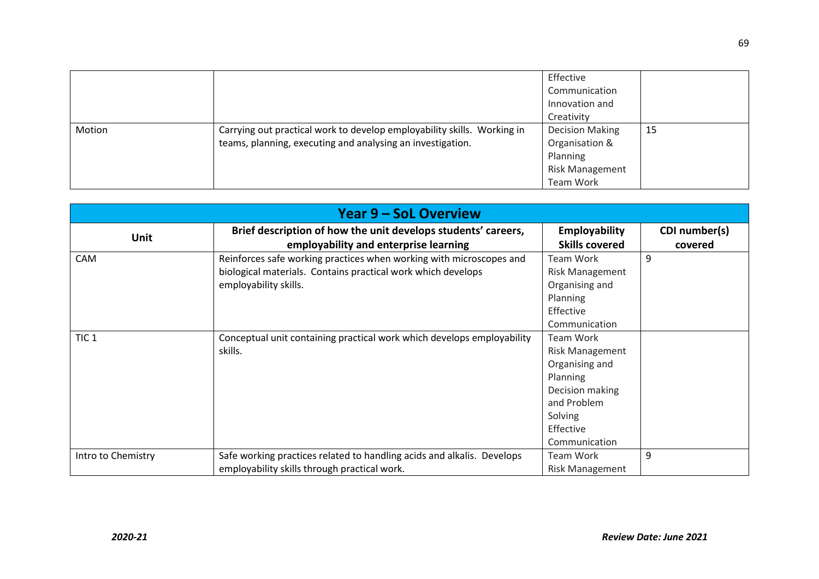|        |                                                                                                                                       | Effective<br>Communication<br>Innovation and<br>Creativity                                  |    |
|--------|---------------------------------------------------------------------------------------------------------------------------------------|---------------------------------------------------------------------------------------------|----|
| Motion | Carrying out practical work to develop employability skills. Working in<br>teams, planning, executing and analysing an investigation. | <b>Decision Making</b><br>Organisation &<br>Planning<br><b>Risk Management</b><br>Team Work | 15 |

| <b>Year 9 – SoL Overview</b> |                                                                        |                        |               |  |
|------------------------------|------------------------------------------------------------------------|------------------------|---------------|--|
| <b>Unit</b>                  | Brief description of how the unit develops students' careers,          | <b>Employability</b>   | CDI number(s) |  |
|                              | employability and enterprise learning                                  | <b>Skills covered</b>  | covered       |  |
| <b>CAM</b>                   | Reinforces safe working practices when working with microscopes and    | <b>Team Work</b>       | 9             |  |
|                              | biological materials. Contains practical work which develops           | <b>Risk Management</b> |               |  |
|                              | employability skills.                                                  | Organising and         |               |  |
|                              |                                                                        | Planning               |               |  |
|                              |                                                                        | Effective              |               |  |
|                              |                                                                        | Communication          |               |  |
| TIC <sub>1</sub>             | Conceptual unit containing practical work which develops employability | <b>Team Work</b>       |               |  |
|                              | skills.                                                                | <b>Risk Management</b> |               |  |
|                              |                                                                        | Organising and         |               |  |
|                              |                                                                        | Planning               |               |  |
|                              |                                                                        | Decision making        |               |  |
|                              |                                                                        | and Problem            |               |  |
|                              |                                                                        | Solving                |               |  |
|                              |                                                                        | Effective              |               |  |
|                              |                                                                        | Communication          |               |  |
| Intro to Chemistry           | Safe working practices related to handling acids and alkalis. Develops | <b>Team Work</b>       | 9             |  |
|                              | employability skills through practical work.                           | <b>Risk Management</b> |               |  |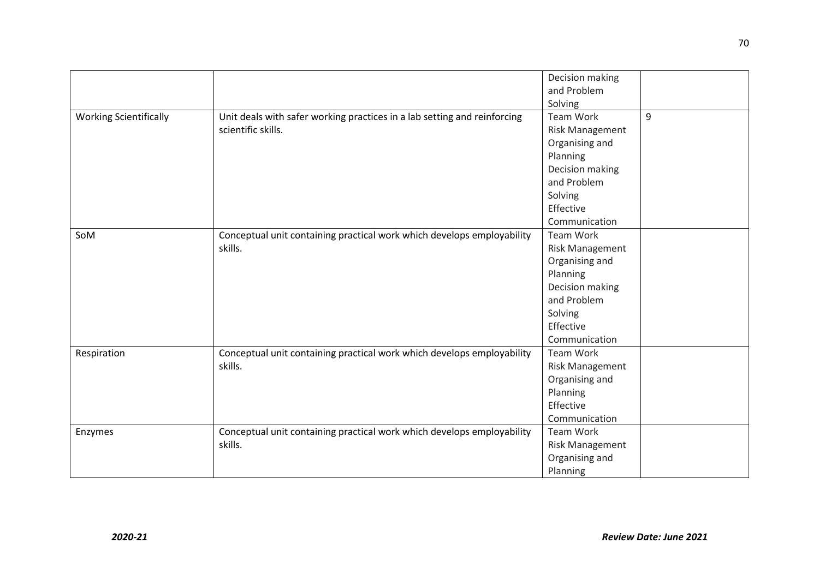|                               |                                                                          | Decision making        |   |
|-------------------------------|--------------------------------------------------------------------------|------------------------|---|
|                               |                                                                          | and Problem            |   |
|                               |                                                                          | Solving                |   |
| <b>Working Scientifically</b> | Unit deals with safer working practices in a lab setting and reinforcing | Team Work              | 9 |
|                               | scientific skills.                                                       | <b>Risk Management</b> |   |
|                               |                                                                          | Organising and         |   |
|                               |                                                                          | Planning               |   |
|                               |                                                                          | Decision making        |   |
|                               |                                                                          | and Problem            |   |
|                               |                                                                          | Solving                |   |
|                               |                                                                          | Effective              |   |
|                               |                                                                          | Communication          |   |
| SoM                           | Conceptual unit containing practical work which develops employability   | Team Work              |   |
|                               | skills.                                                                  | <b>Risk Management</b> |   |
|                               |                                                                          | Organising and         |   |
|                               |                                                                          | Planning               |   |
|                               |                                                                          | Decision making        |   |
|                               |                                                                          | and Problem            |   |
|                               |                                                                          | Solving                |   |
|                               |                                                                          | Effective              |   |
|                               |                                                                          | Communication          |   |
| Respiration                   | Conceptual unit containing practical work which develops employability   | Team Work              |   |
|                               | skills.                                                                  | <b>Risk Management</b> |   |
|                               |                                                                          | Organising and         |   |
|                               |                                                                          | Planning               |   |
|                               |                                                                          | Effective              |   |
|                               |                                                                          | Communication          |   |
| Enzymes                       | Conceptual unit containing practical work which develops employability   | Team Work              |   |
|                               | skills.                                                                  | <b>Risk Management</b> |   |
|                               |                                                                          | Organising and         |   |
|                               |                                                                          | Planning               |   |
|                               |                                                                          |                        |   |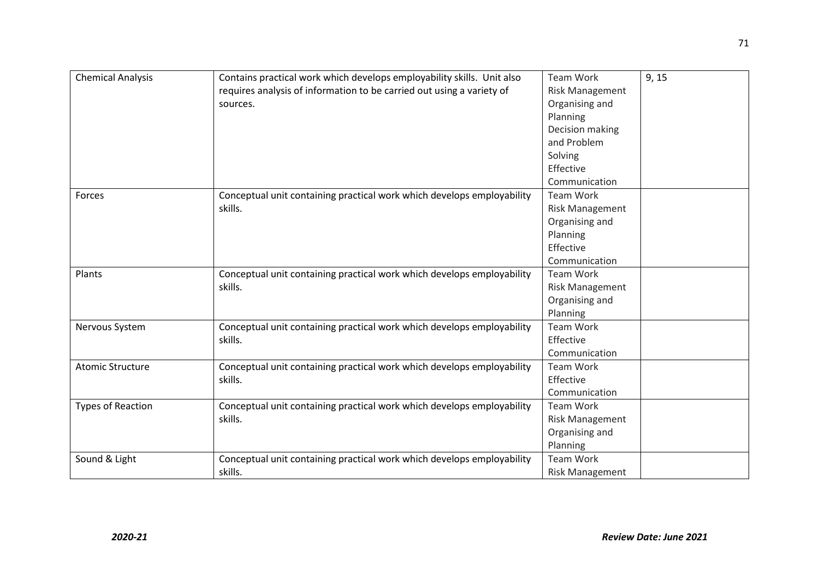| <b>Chemical Analysis</b> | Contains practical work which develops employability skills. Unit also<br>requires analysis of information to be carried out using a variety of<br>sources. | Team Work<br>Risk Management<br>Organising and<br>Planning<br>Decision making<br>and Problem<br>Solving<br>Effective<br>Communication | 9, 15 |
|--------------------------|-------------------------------------------------------------------------------------------------------------------------------------------------------------|---------------------------------------------------------------------------------------------------------------------------------------|-------|
| Forces                   | Conceptual unit containing practical work which develops employability<br>skills.                                                                           | <b>Team Work</b><br><b>Risk Management</b><br>Organising and<br>Planning<br>Effective<br>Communication                                |       |
| Plants                   | Conceptual unit containing practical work which develops employability<br>skills.                                                                           | Team Work<br><b>Risk Management</b><br>Organising and<br>Planning                                                                     |       |
| Nervous System           | Conceptual unit containing practical work which develops employability<br>skills.                                                                           | <b>Team Work</b><br>Effective<br>Communication                                                                                        |       |
| <b>Atomic Structure</b>  | Conceptual unit containing practical work which develops employability<br>skills.                                                                           | Team Work<br>Effective<br>Communication                                                                                               |       |
| <b>Types of Reaction</b> | Conceptual unit containing practical work which develops employability<br>skills.                                                                           | <b>Team Work</b><br><b>Risk Management</b><br>Organising and<br>Planning                                                              |       |
| Sound & Light            | Conceptual unit containing practical work which develops employability<br>skills.                                                                           | <b>Team Work</b><br><b>Risk Management</b>                                                                                            |       |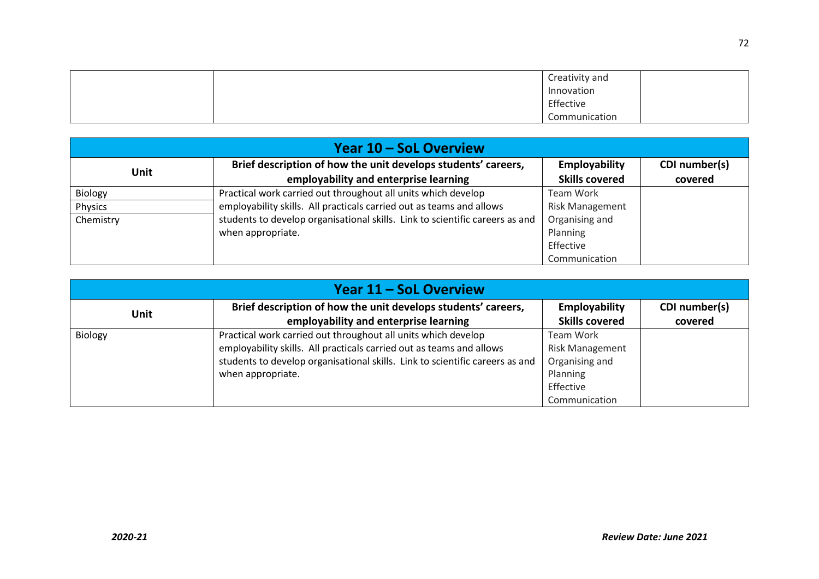|  | Creativity and |  |
|--|----------------|--|
|  | Innovation     |  |
|  | Effective      |  |
|  | Communication  |  |

| Year 10 – SoL Overview |                                                                              |                        |               |
|------------------------|------------------------------------------------------------------------------|------------------------|---------------|
| Unit                   | Brief description of how the unit develops students' careers,                | <b>Employability</b>   | CDI number(s) |
|                        | employability and enterprise learning                                        | <b>Skills covered</b>  | covered       |
| Biology                | Practical work carried out throughout all units which develop                | Team Work              |               |
| Physics                | employability skills. All practicals carried out as teams and allows         | <b>Risk Management</b> |               |
| Chemistry              | students to develop organisational skills. Link to scientific careers as and | Organising and         |               |
|                        | when appropriate.                                                            | Planning               |               |
|                        |                                                                              | Effective              |               |
|                        |                                                                              | Communication          |               |

| Year 11 – SoL Overview |                                                                                                                                                                                                                                            |                                                                                                 |                          |
|------------------------|--------------------------------------------------------------------------------------------------------------------------------------------------------------------------------------------------------------------------------------------|-------------------------------------------------------------------------------------------------|--------------------------|
| Unit                   | Brief description of how the unit develops students' careers,<br>employability and enterprise learning                                                                                                                                     | Employability<br><b>Skills covered</b>                                                          | CDI number(s)<br>covered |
| Biology                | Practical work carried out throughout all units which develop<br>employability skills. All practicals carried out as teams and allows<br>students to develop organisational skills. Link to scientific careers as and<br>when appropriate. | Team Work<br><b>Risk Management</b><br>Organising and<br>Planning<br>Effective<br>Communication |                          |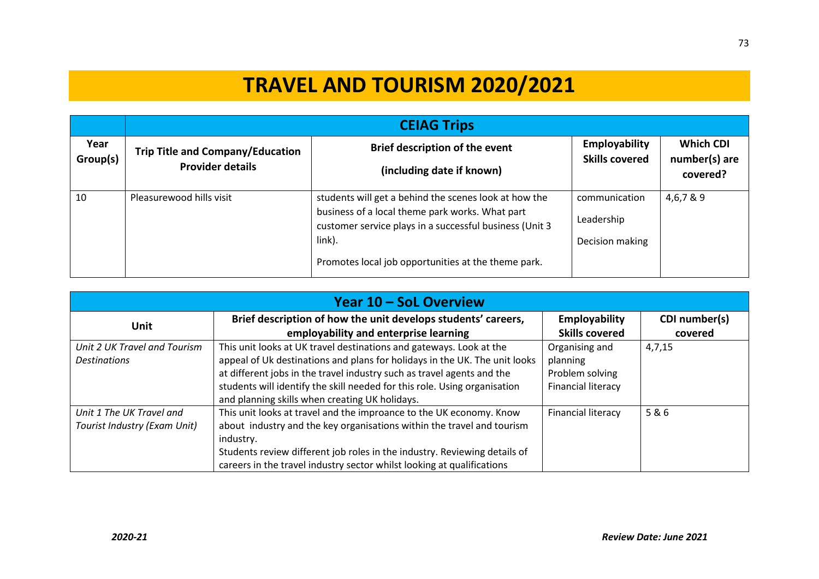## **TRAVEL AND TOURISM 2020/2021**

|                  | <b>CEIAG Trips</b>                                                 |                                                                                                                                                                                                                                      |                                                |                                               |  |
|------------------|--------------------------------------------------------------------|--------------------------------------------------------------------------------------------------------------------------------------------------------------------------------------------------------------------------------------|------------------------------------------------|-----------------------------------------------|--|
| Year<br>Group(s) | <b>Trip Title and Company/Education</b><br><b>Provider details</b> | Brief description of the event<br>(including date if known)                                                                                                                                                                          | Employability<br><b>Skills covered</b>         | <b>Which CDI</b><br>number(s) are<br>covered? |  |
| 10               | Pleasurewood hills visit                                           | students will get a behind the scenes look at how the<br>business of a local theme park works. What part<br>customer service plays in a successful business (Unit 3<br>link).<br>Promotes local job opportunities at the theme park. | communication<br>Leadership<br>Decision making | 4,6,7 & 9                                     |  |

| Year 10 – SoL Overview       |                                                                            |                           |               |  |  |  |  |
|------------------------------|----------------------------------------------------------------------------|---------------------------|---------------|--|--|--|--|
| <b>Unit</b>                  | Brief description of how the unit develops students' careers,              | Employability             | CDI number(s) |  |  |  |  |
|                              | employability and enterprise learning                                      | <b>Skills covered</b>     | covered       |  |  |  |  |
| Unit 2 UK Travel and Tourism | This unit looks at UK travel destinations and gateways. Look at the        | Organising and            | 4,7,15        |  |  |  |  |
| <b>Destinations</b>          | appeal of Uk destinations and plans for holidays in the UK. The unit looks | planning                  |               |  |  |  |  |
|                              | at different jobs in the travel industry such as travel agents and the     | Problem solving           |               |  |  |  |  |
|                              | students will identify the skill needed for this role. Using organisation  | <b>Financial literacy</b> |               |  |  |  |  |
|                              | and planning skills when creating UK holidays.                             |                           |               |  |  |  |  |
| Unit 1 The UK Travel and     | This unit looks at travel and the improance to the UK economy. Know        | <b>Financial literacy</b> | 5&6           |  |  |  |  |
| Tourist Industry (Exam Unit) | about industry and the key organisations within the travel and tourism     |                           |               |  |  |  |  |
|                              | industry.                                                                  |                           |               |  |  |  |  |
|                              | Students review different job roles in the industry. Reviewing details of  |                           |               |  |  |  |  |
|                              | careers in the travel industry sector whilst looking at qualifications     |                           |               |  |  |  |  |